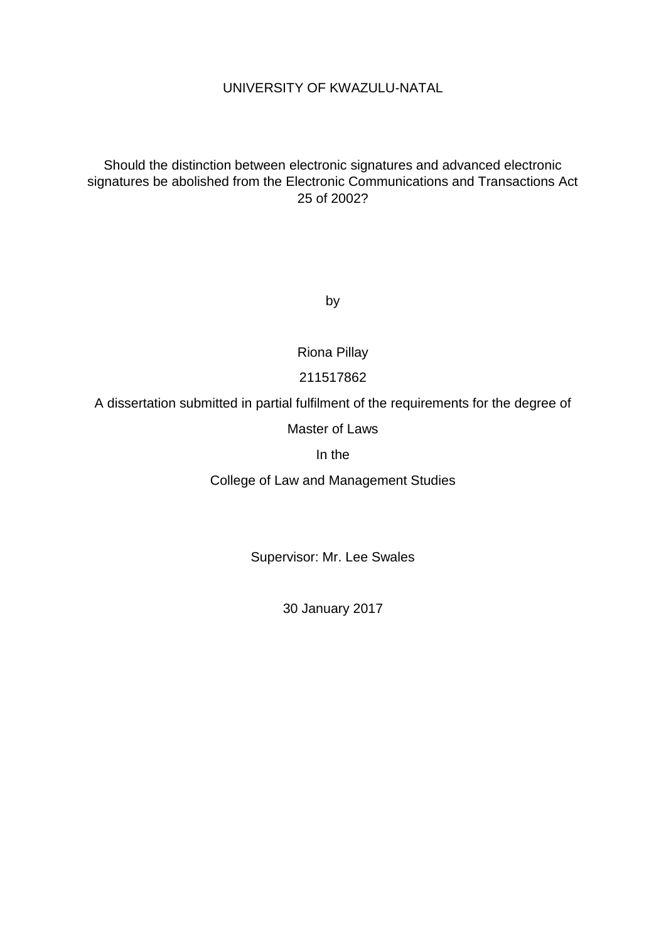## UNIVERSITY OF KWAZULU-NATAL

## Should the distinction between electronic signatures and advanced electronic signatures be abolished from the Electronic Communications and Transactions Act 25 of 2002?

by

Riona Pillay

## 211517862

A dissertation submitted in partial fulfilment of the requirements for the degree of

### Master of Laws

In the

College of Law and Management Studies

Supervisor: Mr. Lee Swales

30 January 2017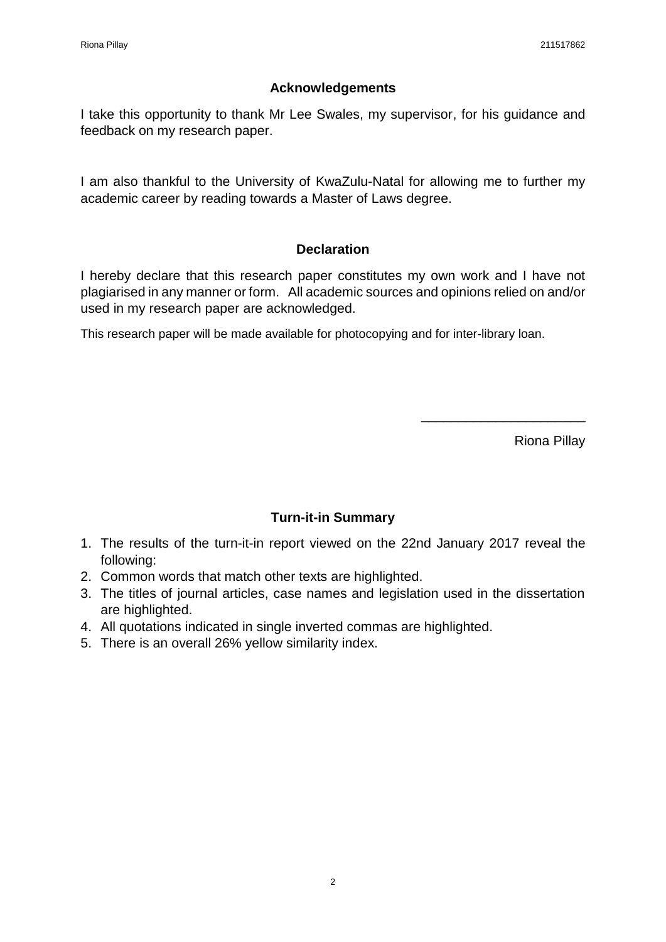## **Acknowledgements**

I take this opportunity to thank Mr Lee Swales, my supervisor, for his guidance and feedback on my research paper.

I am also thankful to the University of KwaZulu-Natal for allowing me to further my academic career by reading towards a Master of Laws degree.

## **Declaration**

I hereby declare that this research paper constitutes my own work and I have not plagiarised in any manner or form. All academic sources and opinions relied on and/or used in my research paper are acknowledged.

This research paper will be made available for photocopying and for inter-library loan.

Riona Pillay

\_\_\_\_\_\_\_\_\_\_\_\_\_\_\_\_\_\_\_\_\_\_

## **Turn-it-in Summary**

- 1. The results of the turn-it-in report viewed on the 22nd January 2017 reveal the following:
- 2. Common words that match other texts are highlighted.
- 3. The titles of journal articles, case names and legislation used in the dissertation are highlighted.
- 4. All quotations indicated in single inverted commas are highlighted.
- 5. There is an overall 26% yellow similarity index.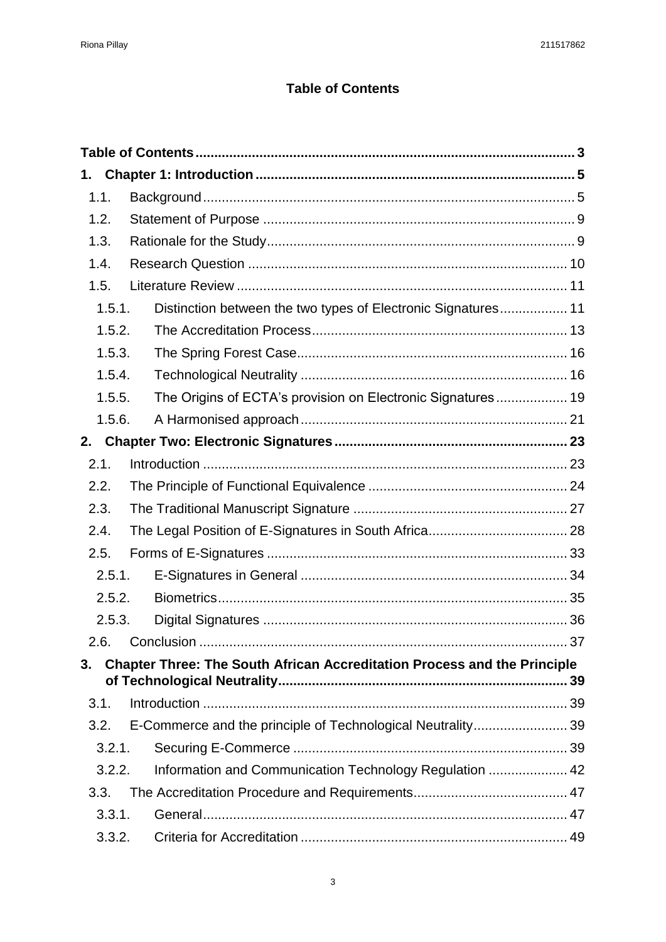# **Table of Contents**

<span id="page-2-0"></span>

| 1.     |                                                                                 |  |  |
|--------|---------------------------------------------------------------------------------|--|--|
| 1.1.   |                                                                                 |  |  |
| 1.2.   |                                                                                 |  |  |
| 1.3.   |                                                                                 |  |  |
| 1.4.   |                                                                                 |  |  |
| 1.5.   |                                                                                 |  |  |
| 1.5.1. | Distinction between the two types of Electronic Signatures 11                   |  |  |
| 1.5.2. |                                                                                 |  |  |
| 1.5.3. |                                                                                 |  |  |
| 1.5.4. |                                                                                 |  |  |
| 1.5.5. | The Origins of ECTA's provision on Electronic Signatures 19                     |  |  |
| 1.5.6. |                                                                                 |  |  |
| 2.     |                                                                                 |  |  |
| 2.1.   |                                                                                 |  |  |
| 2.2.   |                                                                                 |  |  |
| 2.3.   |                                                                                 |  |  |
| 2.4.   |                                                                                 |  |  |
| 2.5.   |                                                                                 |  |  |
| 2.5.1. |                                                                                 |  |  |
| 2.5.2. |                                                                                 |  |  |
| 2.5.3. |                                                                                 |  |  |
|        |                                                                                 |  |  |
| 3.     | <b>Chapter Three: The South African Accreditation Process and the Principle</b> |  |  |
|        |                                                                                 |  |  |
| 3.1.   |                                                                                 |  |  |
| 3.2.   |                                                                                 |  |  |
| 3.2.1. |                                                                                 |  |  |
| 3.2.2. | Information and Communication Technology Regulation  42                         |  |  |
| 3.3.   |                                                                                 |  |  |
| 3.3.1. |                                                                                 |  |  |
| 3.3.2. |                                                                                 |  |  |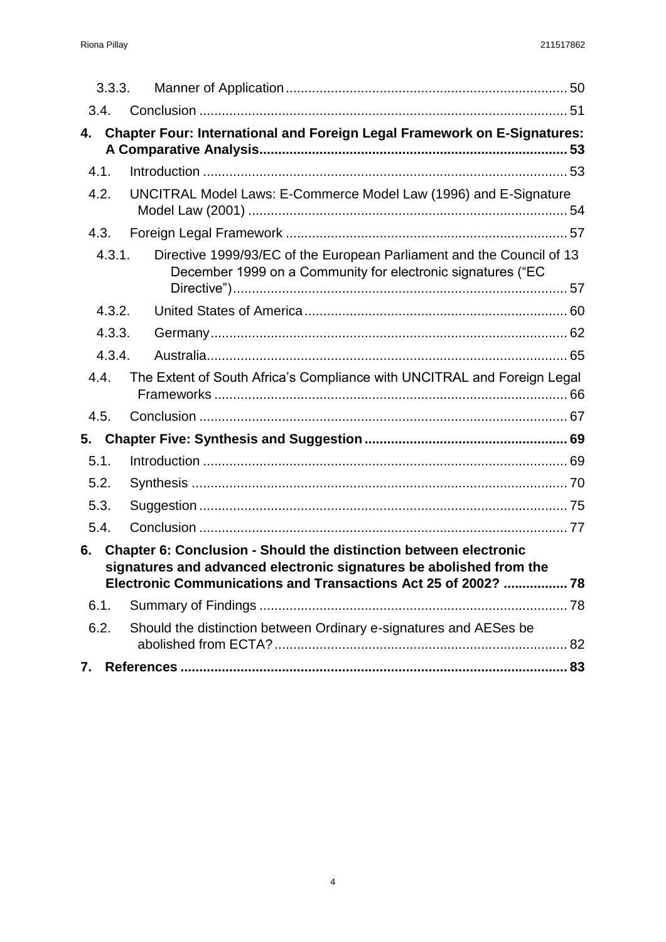| 3.3.3. |                                                                                                                                          |  |
|--------|------------------------------------------------------------------------------------------------------------------------------------------|--|
| 3.4.   |                                                                                                                                          |  |
| 4.     | Chapter Four: International and Foreign Legal Framework on E-Signatures:                                                                 |  |
| 4.1.   |                                                                                                                                          |  |
| 4.2.   | UNCITRAL Model Laws: E-Commerce Model Law (1996) and E-Signature                                                                         |  |
| 4.3.   |                                                                                                                                          |  |
| 4.3.1. | Directive 1999/93/EC of the European Parliament and the Council of 13<br>December 1999 on a Community for electronic signatures ("EC     |  |
| 4.3.2. |                                                                                                                                          |  |
| 4.3.3. |                                                                                                                                          |  |
| 4.3.4. |                                                                                                                                          |  |
| 4.4.   | The Extent of South Africa's Compliance with UNCITRAL and Foreign Legal                                                                  |  |
| 4.5.   |                                                                                                                                          |  |
| 5.     |                                                                                                                                          |  |
| 5.1.   |                                                                                                                                          |  |
| 5.2.   |                                                                                                                                          |  |
| 5.3.   |                                                                                                                                          |  |
| 5.4.   |                                                                                                                                          |  |
| 6.     | Chapter 6: Conclusion - Should the distinction between electronic<br>signatures and advanced electronic signatures be abolished from the |  |
| 6.1.   |                                                                                                                                          |  |
| 6.2.   | Should the distinction between Ordinary e-signatures and AESes be                                                                        |  |
| 7.     |                                                                                                                                          |  |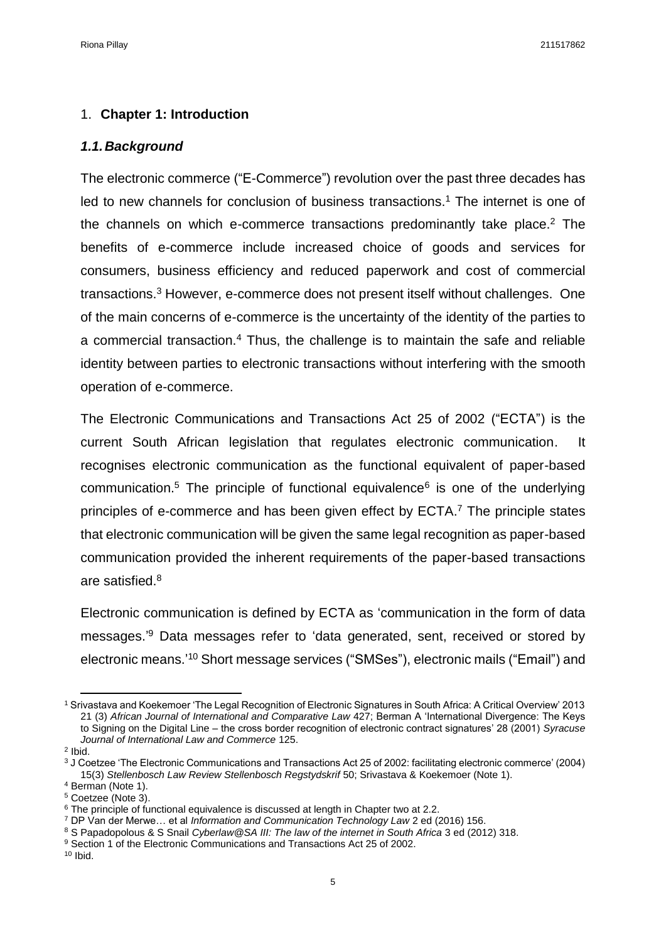### <span id="page-4-0"></span>1. **Chapter 1: Introduction**

#### <span id="page-4-1"></span>*1.1.Background*

The electronic commerce ("E-Commerce") revolution over the past three decades has led to new channels for conclusion of business transactions.<sup>1</sup> The internet is one of the channels on which e-commerce transactions predominantly take place.<sup>2</sup> The benefits of e-commerce include increased choice of goods and services for consumers, business efficiency and reduced paperwork and cost of commercial transactions.<sup>3</sup> However, e-commerce does not present itself without challenges. One of the main concerns of e-commerce is the uncertainty of the identity of the parties to a commercial transaction.<sup>4</sup> Thus, the challenge is to maintain the safe and reliable identity between parties to electronic transactions without interfering with the smooth operation of e-commerce.

The Electronic Communications and Transactions Act 25 of 2002 ("ECTA") is the current South African legislation that regulates electronic communication. It recognises electronic communication as the functional equivalent of paper-based communication.<sup>5</sup> The principle of functional equivalence<sup>6</sup> is one of the underlying principles of e-commerce and has been given effect by ECTA.<sup>7</sup> The principle states that electronic communication will be given the same legal recognition as paper-based communication provided the inherent requirements of the paper-based transactions are satisfied.<sup>8</sup>

Electronic communication is defined by ECTA as 'communication in the form of data messages.' <sup>9</sup> Data messages refer to 'data generated, sent, received or stored by electronic means.' <sup>10</sup> Short message services ("SMSes"), electronic mails ("Email") and

<sup>1</sup> Srivastava and Koekemoer 'The Legal Recognition of Electronic Signatures in South Africa: A Critical Overview' 2013 21 (3) *African Journal of International and Comparative Law* 427; Berman A 'International Divergence: The Keys to Signing on the Digital Line – the cross border recognition of electronic contract signatures' 28 (2001) *Syracuse Journal of International Law and Commerce* 125.

<sup>2</sup> Ibid.

<sup>3</sup> J Coetzee 'The Electronic Communications and Transactions Act 25 of 2002: facilitating electronic commerce' (2004) 15(3) *Stellenbosch Law Review Stellenbosch Regstydskrif* 50; Srivastava & Koekemoer (Note 1).

<sup>4</sup> Berman (Note 1).

<sup>5</sup> Coetzee (Note 3).

 $6$  The principle of functional equivalence is discussed at length in Chapter two at 2.2.

<sup>7</sup> DP Van der Merwe… et al *Information and Communication Technology Law* 2 ed (2016) 156.

<sup>8</sup> S Papadopolous & S Snail *Cyberlaw@SA III: The law of the internet in South Africa* 3 ed (2012) 318.

<sup>&</sup>lt;sup>9</sup> Section 1 of the Electronic Communications and Transactions Act 25 of 2002.

 $10$  Ibid.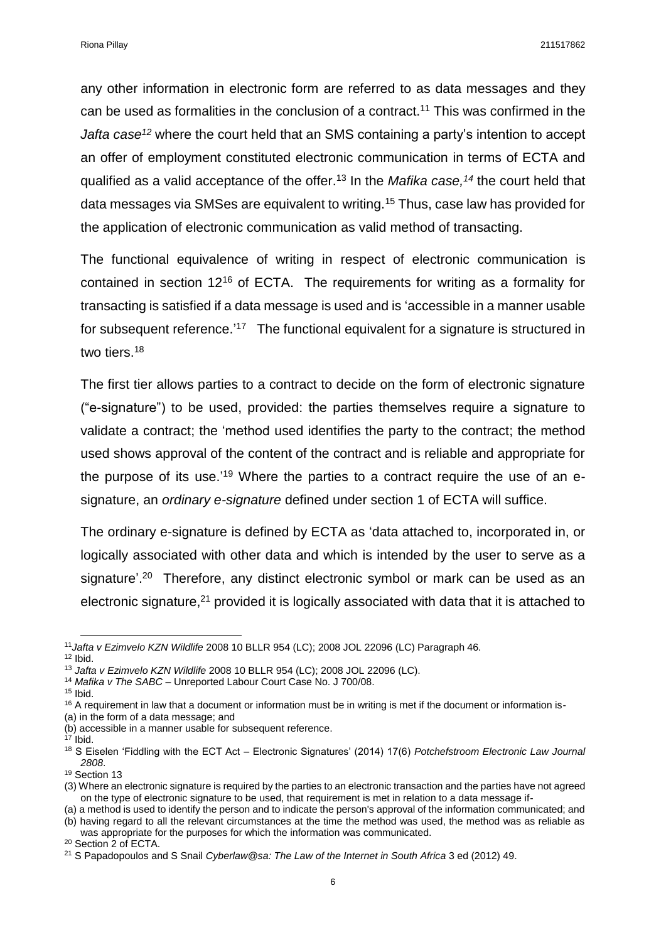any other information in electronic form are referred to as data messages and they can be used as formalities in the conclusion of a contract.<sup>11</sup> This was confirmed in the *Jafta case<sup>12</sup>* where the court held that an SMS containing a party's intention to accept an offer of employment constituted electronic communication in terms of ECTA and qualified as a valid acceptance of the offer.<sup>13</sup> In the *Mafika case,<sup>14</sup>* the court held that data messages via SMSes are equivalent to writing.<sup>15</sup> Thus, case law has provided for the application of electronic communication as valid method of transacting.

The functional equivalence of writing in respect of electronic communication is contained in section 12<sup>16</sup> of ECTA. The requirements for writing as a formality for transacting is satisfied if a data message is used and is 'accessible in a manner usable for subsequent reference.<sup>'17</sup> The functional equivalent for a signature is structured in two tiers.<sup>18</sup>

The first tier allows parties to a contract to decide on the form of electronic signature ("e-signature") to be used, provided: the parties themselves require a signature to validate a contract; the 'method used identifies the party to the contract; the method used shows approval of the content of the contract and is reliable and appropriate for the purpose of its use.<sup>'19</sup> Where the parties to a contract require the use of an esignature, an *ordinary e-signature* defined under section 1 of ECTA will suffice.

The ordinary e-signature is defined by ECTA as 'data attached to, incorporated in, or logically associated with other data and which is intended by the user to serve as a signature'.<sup>20</sup> Therefore, any distinct electronic symbol or mark can be used as an electronic signature,<sup>21</sup> provided it is logically associated with data that it is attached to

**.** 

(a) in the form of a data message; and

was appropriate for the purposes for which the information was communicated. <sup>20</sup> Section 2 of ECTA.

<sup>11</sup>*Jafta v Ezimvelo KZN Wildlife* 2008 10 BLLR 954 (LC); 2008 JOL 22096 (LC) Paragraph 46.  $12$  Ibid.

<sup>13</sup> *Jafta v Ezimvelo KZN Wildlife* 2008 10 BLLR 954 (LC); 2008 JOL 22096 (LC).

<sup>14</sup> *Mafika v The SABC –* Unreported Labour Court Case No. J 700/08.

 $15$  Ibid.

<sup>&</sup>lt;sup>16</sup> A requirement in law that a document or information must be in writing is met if the document or information is-

<sup>(</sup>b) accessible in a manner usable for subsequent reference.

 $17$  Ibid.

<sup>18</sup> S Eiselen 'Fiddling with the ECT Act – Electronic Signatures' (2014) 17(6) *Potchefstroom Electronic Law Journal 2808*.

<sup>&</sup>lt;sup>19</sup> Section 13

<sup>(3)</sup> Where an electronic signature is required by the parties to an electronic transaction and the parties have not agreed on the type of electronic signature to be used, that requirement is met in relation to a data message if-

<sup>(</sup>a) a method is used to identify the person and to indicate the person's approval of the information communicated; and (b) having regard to all the relevant circumstances at the time the method was used, the method was as reliable as

<sup>21</sup> S Papadopoulos and S Snail *Cyberlaw@sa: The Law of the Internet in South Africa* 3 ed (2012) 49.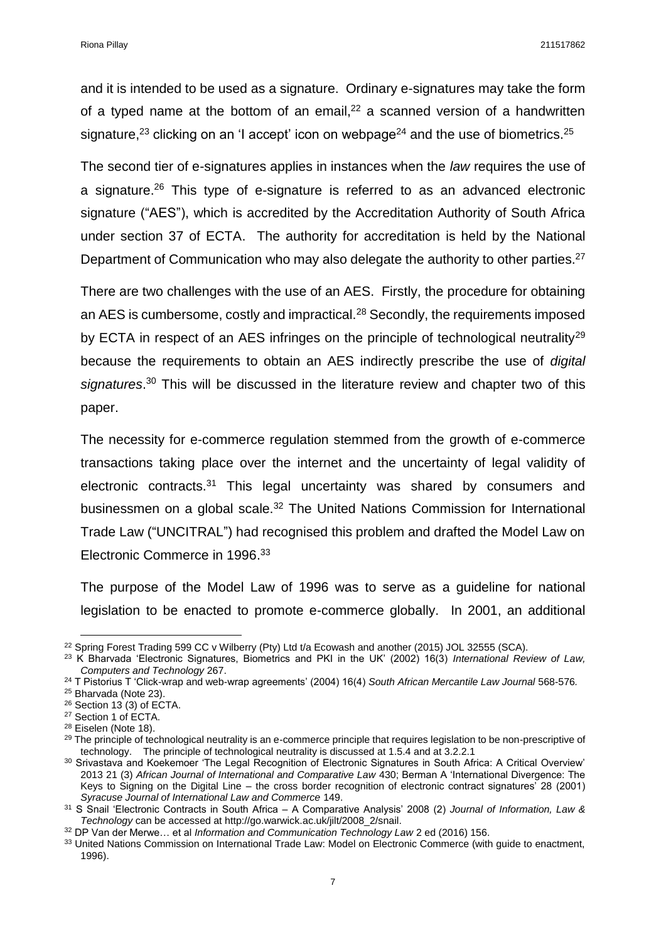and it is intended to be used as a signature. Ordinary e-signatures may take the form of a typed name at the bottom of an email,  $22$  a scanned version of a handwritten signature,<sup>23</sup> clicking on an 'I accept' icon on webpage<sup>24</sup> and the use of biometrics.<sup>25</sup>

The second tier of e-signatures applies in instances when the *law* requires the use of a signature. <sup>26</sup> This type of e-signature is referred to as an advanced electronic signature ("AES"), which is accredited by the Accreditation Authority of South Africa under section 37 of ECTA. The authority for accreditation is held by the National Department of Communication who may also delegate the authority to other parties.<sup>27</sup>

There are two challenges with the use of an AES. Firstly, the procedure for obtaining an AES is cumbersome, costly and impractical.<sup>28</sup> Secondly, the requirements imposed by ECTA in respect of an AES infringes on the principle of technological neutrality<sup>29</sup> because the requirements to obtain an AES indirectly prescribe the use of *digital signatures*. <sup>30</sup> This will be discussed in the literature review and chapter two of this paper.

The necessity for e-commerce regulation stemmed from the growth of e-commerce transactions taking place over the internet and the uncertainty of legal validity of electronic contracts.<sup>31</sup> This legal uncertainty was shared by consumers and businessmen on a global scale.<sup>32</sup> The United Nations Commission for International Trade Law ("UNCITRAL") had recognised this problem and drafted the Model Law on Electronic Commerce in 1996. 33

The purpose of the Model Law of 1996 was to serve as a guideline for national legislation to be enacted to promote e-commerce globally. In 2001, an additional

**<sup>.</sup>** <sup>22</sup> Spring Forest Trading 599 CC v Wilberry (Pty) Ltd t/a Ecowash and another (2015) JOL 32555 (SCA).

<sup>23</sup> K Bharvada 'Electronic Signatures, Biometrics and PKI in the UK' (2002) 16(3) *International Review of Law, Computers and Technology* 267.

<sup>24</sup> T Pistorius T 'Click-wrap and web-wrap agreements' (2004) 16(4) *South African Mercantile Law Journal* 568-576*.*

<sup>&</sup>lt;sup>25</sup> Bharvada (Note 23).

<sup>26</sup> Section 13 (3) of ECTA.

<sup>27</sup> Section 1 of ECTA.

<sup>28</sup> Eiselen (Note 18).

<sup>&</sup>lt;sup>29</sup> The principle of technological neutrality is an e-commerce principle that requires legislation to be non-prescriptive of technology. The principle of technological neutrality is discussed at 1.5.4 and at 3.2.2.1

<sup>30</sup> Srivastava and Koekemoer 'The Legal Recognition of Electronic Signatures in South Africa: A Critical Overview' 2013 21 (3) *African Journal of International and Comparative Law* 430; Berman A 'International Divergence: The Keys to Signing on the Digital Line – the cross border recognition of electronic contract signatures' 28 (2001) *Syracuse Journal of International Law and Commerce* 149.

<sup>31</sup> S Snail 'Electronic Contracts in South Africa – A Comparative Analysis' 2008 (2) *Journal of Information, Law & Technology* can be accessed at http://go.warwick.ac.uk/jilt/2008\_2/snail.

<sup>32</sup> DP Van der Merwe… et al *Information and Communication Technology Law* 2 ed (2016) 156.

<sup>33</sup> United Nations Commission on International Trade Law: Model on Electronic Commerce (with guide to enactment, 1996).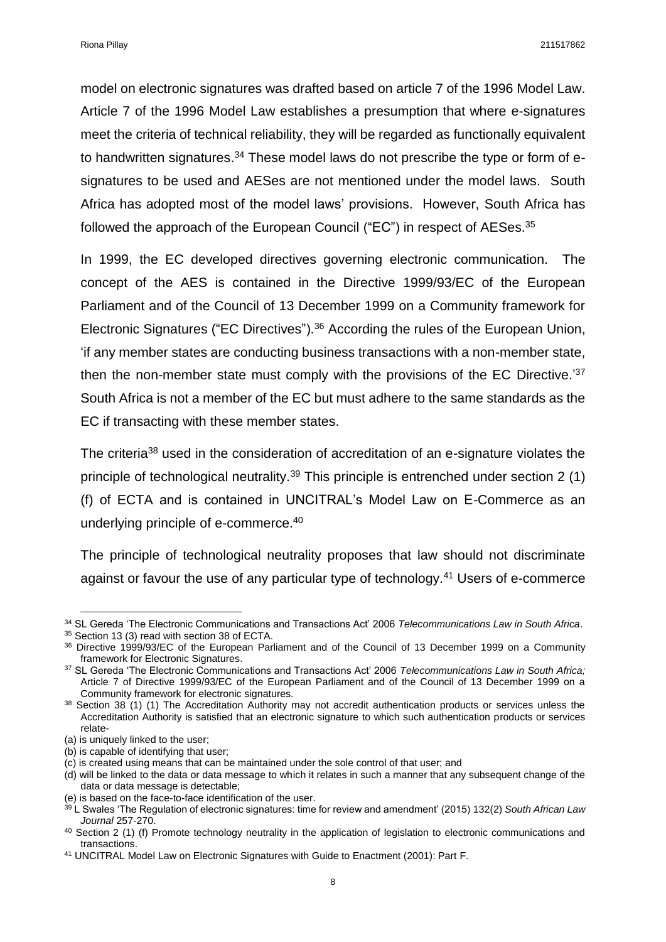model on electronic signatures was drafted based on article 7 of the 1996 Model Law. Article 7 of the 1996 Model Law establishes a presumption that where e-signatures meet the criteria of technical reliability, they will be regarded as functionally equivalent to handwritten signatures.<sup>34</sup> These model laws do not prescribe the type or form of esignatures to be used and AESes are not mentioned under the model laws. South Africa has adopted most of the model laws' provisions. However, South Africa has followed the approach of the European Council ("EC") in respect of AESes.<sup>35</sup>

In 1999, the EC developed directives governing electronic communication. The concept of the AES is contained in the Directive 1999/93/EC of the European Parliament and of the Council of 13 December 1999 on a Community framework for Electronic Signatures ("EC Directives"). <sup>36</sup> According the rules of the European Union, 'if any member states are conducting business transactions with a non-member state, then the non-member state must comply with the provisions of the EC Directive.<sup>'37</sup> South Africa is not a member of the EC but must adhere to the same standards as the EC if transacting with these member states.

The criteria<sup>38</sup> used in the consideration of accreditation of an e-signature violates the principle of technological neutrality.<sup>39</sup> This principle is entrenched under section 2 (1) (f) of ECTA and is contained in UNCITRAL's Model Law on E-Commerce as an underlying principle of e-commerce. 40

The principle of technological neutrality proposes that law should not discriminate against or favour the use of any particular type of technology.<sup>41</sup> Users of e-commerce

<sup>34</sup> SL Gereda 'The Electronic Communications and Transactions Act' 2006 *Telecommunications Law in South Africa*.

<sup>35</sup> Section 13 (3) read with section 38 of ECTA.

<sup>36</sup> Directive 1999/93/EC of the European Parliament and of the Council of 13 December 1999 on a Community framework for Electronic Signatures.

<sup>37</sup> SL Gereda 'The Electronic Communications and Transactions Act' 2006 *Telecommunications Law in South Africa;*  Article 7 of Directive 1999/93/EC of the European Parliament and of the Council of 13 December 1999 on a Community framework for electronic signatures.

<sup>38</sup> Section 38 (1) (1) The Accreditation Authority may not accredit authentication products or services unless the Accreditation Authority is satisfied that an electronic signature to which such authentication products or services relate-

<sup>(</sup>a) is uniquely linked to the user;

<sup>(</sup>b) is capable of identifying that user;

<sup>(</sup>c) is created using means that can be maintained under the sole control of that user; and

<sup>(</sup>d) will be linked to the data or data message to which it relates in such a manner that any subsequent change of the data or data message is detectable;

<sup>(</sup>e) is based on the face-to-face identification of the user.

<sup>39</sup> L Swales 'The Regulation of electronic signatures: time for review and amendment' (2015) 132(2) *South African Law Journal* 257-270.

<sup>&</sup>lt;sup>40</sup> Section 2 (1) (f) Promote technology neutrality in the application of legislation to electronic communications and transactions.

<sup>41</sup> UNCITRAL Model Law on Electronic Signatures with Guide to Enactment (2001): Part F.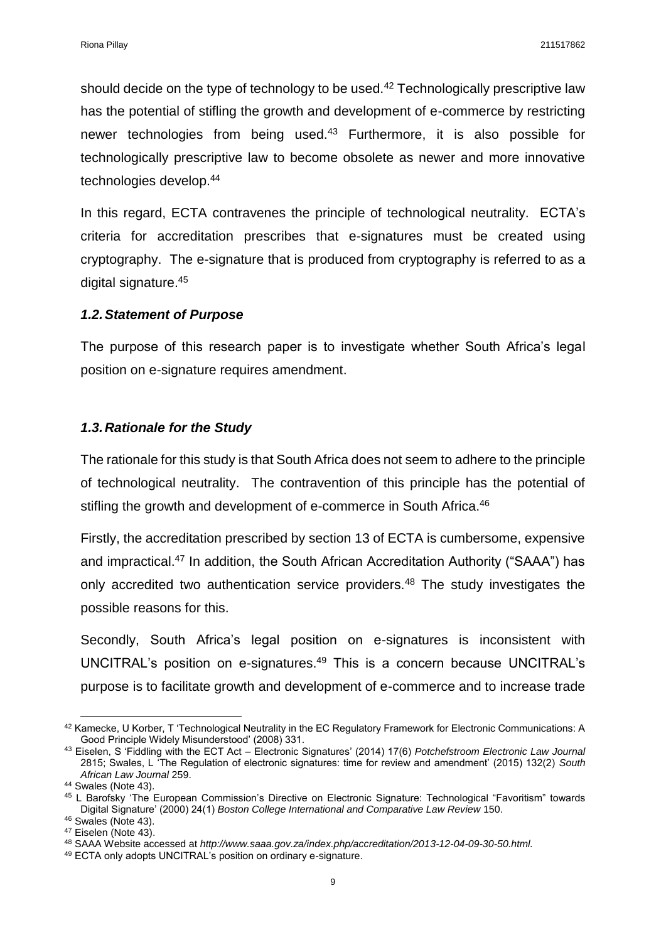should decide on the type of technology to be used.<sup>42</sup> Technologically prescriptive law has the potential of stifling the growth and development of e-commerce by restricting newer technologies from being used.<sup>43</sup> Furthermore, it is also possible for technologically prescriptive law to become obsolete as newer and more innovative technologies develop.<sup>44</sup>

In this regard, ECTA contravenes the principle of technological neutrality. ECTA's criteria for accreditation prescribes that e-signatures must be created using cryptography. The e-signature that is produced from cryptography is referred to as a digital signature. 45

#### <span id="page-8-0"></span>*1.2.Statement of Purpose*

The purpose of this research paper is to investigate whether South Africa's legal position on e-signature requires amendment.

#### <span id="page-8-1"></span>*1.3.Rationale for the Study*

The rationale for this study is that South Africa does not seem to adhere to the principle of technological neutrality. The contravention of this principle has the potential of stifling the growth and development of e-commerce in South Africa.<sup>46</sup>

Firstly, the accreditation prescribed by section 13 of ECTA is cumbersome, expensive and impractical.<sup>47</sup> In addition, the South African Accreditation Authority ("SAAA") has only accredited two authentication service providers.<sup>48</sup> The study investigates the possible reasons for this.

Secondly, South Africa's legal position on e-signatures is inconsistent with UNCITRAL's position on e-signatures.<sup>49</sup> This is a concern because UNCITRAL's purpose is to facilitate growth and development of e-commerce and to increase trade

<sup>42</sup> Kamecke, U Korber, T 'Technological Neutrality in the EC Regulatory Framework for Electronic Communications: A Good Principle Widely Misunderstood' (2008) 331.

<sup>43</sup> Eiselen, S 'Fiddling with the ECT Act – Electronic Signatures' (2014) 17(6) *Potchefstroom Electronic Law Journal*  2815; Swales, L 'The Regulation of electronic signatures: time for review and amendment' (2015) 132(2) *South African Law Journal* 259.

<sup>&</sup>lt;sup>44</sup> Swales (Note 43).

<sup>45</sup> L Barofsky 'The European Commission's Directive on Electronic Signature: Technological "Favoritism" towards Digital Signature' (2000) 24(1) *Boston College International and Comparative Law Review* 150.

<sup>46</sup> Swales (Note 43).

<sup>47</sup> Eiselen (Note 43).

<sup>48</sup> SAAA Website accessed at *http://www.saaa.gov.za/index.php/accreditation/2013-12-04-09-30-50.html.*

<sup>49</sup> ECTA only adopts UNCITRAL's position on ordinary e-signature.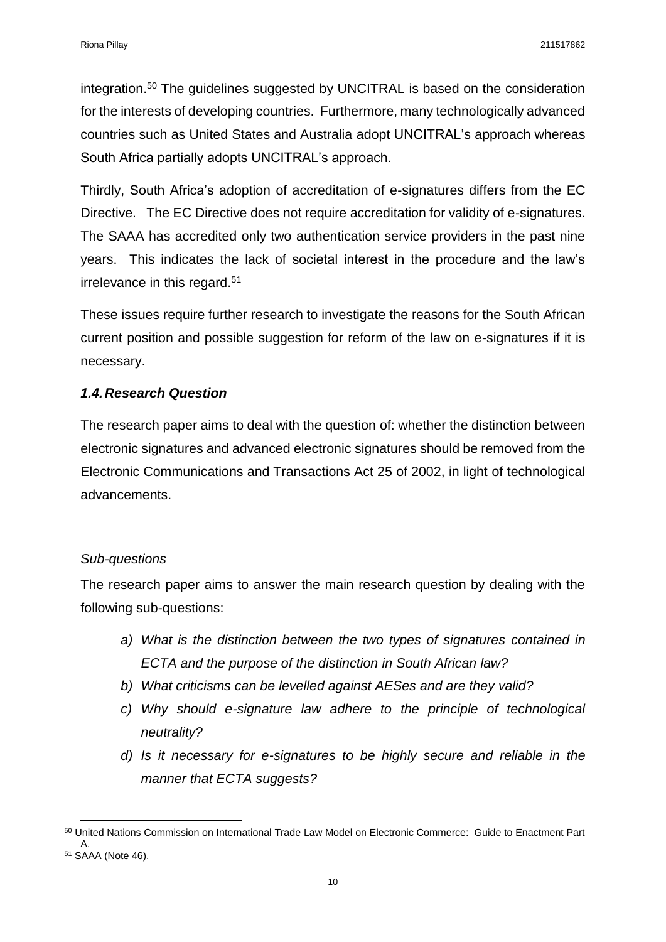integration.<sup>50</sup> The guidelines suggested by UNCITRAL is based on the consideration for the interests of developing countries. Furthermore, many technologically advanced countries such as United States and Australia adopt UNCITRAL's approach whereas South Africa partially adopts UNCITRAL's approach.

Thirdly, South Africa's adoption of accreditation of e-signatures differs from the EC Directive. The EC Directive does not require accreditation for validity of e-signatures. The SAAA has accredited only two authentication service providers in the past nine years. This indicates the lack of societal interest in the procedure and the law's irrelevance in this regard.<sup>51</sup>

These issues require further research to investigate the reasons for the South African current position and possible suggestion for reform of the law on e-signatures if it is necessary.

## <span id="page-9-0"></span>*1.4.Research Question*

The research paper aims to deal with the question of: whether the distinction between electronic signatures and advanced electronic signatures should be removed from the Electronic Communications and Transactions Act 25 of 2002, in light of technological advancements.

## *Sub-questions*

 $\overline{a}$ 

The research paper aims to answer the main research question by dealing with the following sub-questions:

- *a) What is the distinction between the two types of signatures contained in ECTA and the purpose of the distinction in South African law?*
- *b) What criticisms can be levelled against AESes and are they valid?*
- *c) Why should e-signature law adhere to the principle of technological neutrality?*
- *d) Is it necessary for e-signatures to be highly secure and reliable in the manner that ECTA suggests?*

<sup>&</sup>lt;sup>50</sup> United Nations Commission on International Trade Law Model on Electronic Commerce: Guide to Enactment Part A. <sup>51</sup> SAAA (Note 46).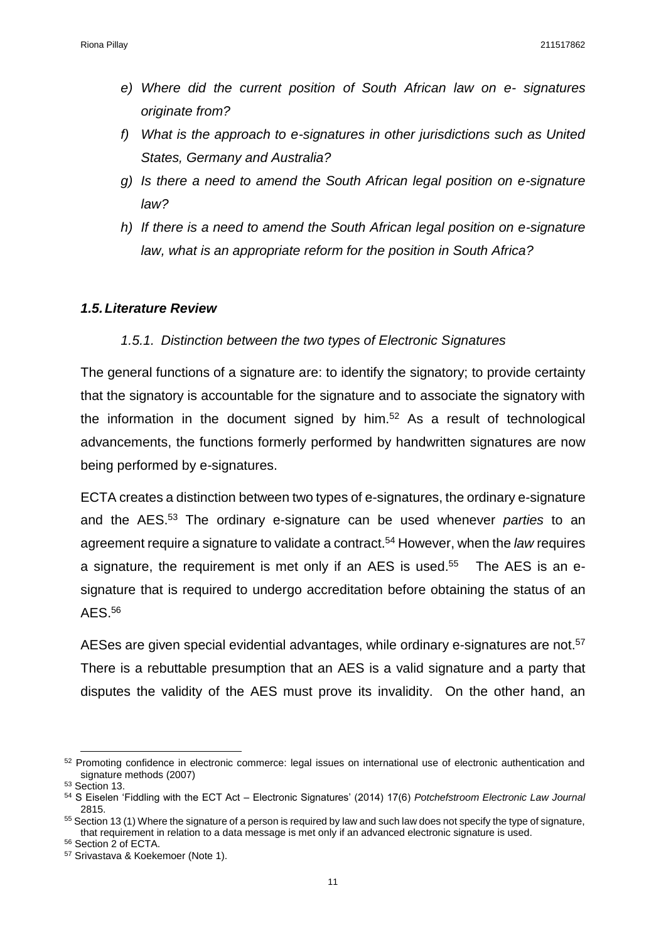- *e) Where did the current position of South African law on e- signatures originate from?*
- *f) What is the approach to e-signatures in other jurisdictions such as United States, Germany and Australia?*
- *g) Is there a need to amend the South African legal position on e-signature law?*
- *h) If there is a need to amend the South African legal position on e-signature law, what is an appropriate reform for the position in South Africa?*

### <span id="page-10-0"></span>*1.5.Literature Review*

## *1.5.1. Distinction between the two types of Electronic Signatures*

<span id="page-10-1"></span>The general functions of a signature are: to identify the signatory; to provide certainty that the signatory is accountable for the signature and to associate the signatory with the information in the document signed by him.<sup>52</sup> As a result of technological advancements, the functions formerly performed by handwritten signatures are now being performed by e-signatures.

ECTA creates a distinction between two types of e-signatures, the ordinary e-signature and the AES.<sup>53</sup> The ordinary e-signature can be used whenever *parties* to an agreement require a signature to validate a contract. <sup>54</sup> However, when the *law* requires a signature, the requirement is met only if an AES is used.<sup>55</sup> The AES is an esignature that is required to undergo accreditation before obtaining the status of an AES.<sup>56</sup>

AESes are given special evidential advantages, while ordinary e-signatures are not.<sup>57</sup> There is a rebuttable presumption that an AES is a valid signature and a party that disputes the validity of the AES must prove its invalidity. On the other hand, an

**<sup>.</sup>** <sup>52</sup> Promoting confidence in electronic commerce: legal issues on international use of electronic authentication and [signature methods \(2007\)](http://www.uncitral.org/pdf/english/texts/electcom/08-55698_Ebook.pdf)

<sup>53</sup> Section 13.

<sup>54</sup> S Eiselen 'Fiddling with the ECT Act – Electronic Signatures' (2014) 17(6) *Potchefstroom Electronic Law Journal*  2815.

<sup>55</sup> Section 13 (1) Where the signature of a person is required by law and such law does not specify the type of signature, that requirement in relation to a data message is met only if an advanced electronic signature is used.

<sup>56</sup> Section 2 of ECTA.

<sup>57</sup> Srivastava & Koekemoer (Note 1).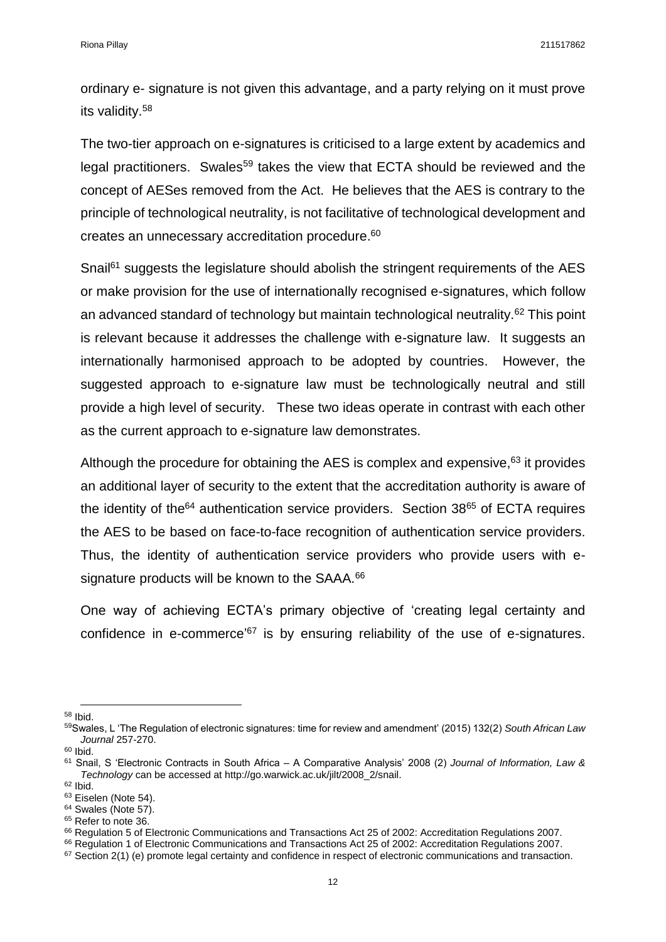ordinary e- signature is not given this advantage, and a party relying on it must prove its validity. 58

The two-tier approach on e-signatures is criticised to a large extent by academics and legal practitioners. Swales<sup>59</sup> takes the view that ECTA should be reviewed and the concept of AESes removed from the Act. He believes that the AES is contrary to the principle of technological neutrality, is not facilitative of technological development and creates an unnecessary accreditation procedure. 60

Snail<sup>61</sup> suggests the legislature should abolish the stringent requirements of the AES or make provision for the use of internationally recognised e-signatures, which follow an advanced standard of technology but maintain technological neutrality.<sup>62</sup> This point is relevant because it addresses the challenge with e-signature law. It suggests an internationally harmonised approach to be adopted by countries. However, the suggested approach to e-signature law must be technologically neutral and still provide a high level of security. These two ideas operate in contrast with each other as the current approach to e-signature law demonstrates.

Although the procedure for obtaining the AES is complex and expensive,<sup>63</sup> it provides an additional layer of security to the extent that the accreditation authority is aware of the identity of the<sup>64</sup> authentication service providers. Section  $38^{65}$  of ECTA requires the AES to be based on face-to-face recognition of authentication service providers. Thus, the identity of authentication service providers who provide users with esignature products will be known to the SAAA.<sup>66</sup>

One way of achieving ECTA's primary objective of 'creating legal certainty and confidence in e-commerce<sup>'67</sup> is by ensuring reliability of the use of e-signatures.

 $\overline{a}$ <sup>58</sup> Ibid.

<sup>59</sup>Swales, L 'The Regulation of electronic signatures: time for review and amendment' (2015) 132(2) *South African Law Journal* 257-270.

<sup>60</sup> Ibid.

<sup>61</sup> Snail, S 'Electronic Contracts in South Africa – A Comparative Analysis' 2008 (2) *Journal of Information, Law & Technology* can be accessed at http://go.warwick.ac.uk/jilt/2008\_2/snail.

<sup>62</sup> Ibid.

<sup>&</sup>lt;sup>63</sup> Eiselen (Note 54).

<sup>&</sup>lt;sup>64</sup> Swales (Note 57).

<sup>&</sup>lt;sup>65</sup> Refer to note 36.

<sup>66</sup> Regulation 5 of Electronic Communications and Transactions Act 25 of 2002: Accreditation Regulations 2007.

<sup>66</sup> Regulation 1 of Electronic Communications and Transactions Act 25 of 2002: Accreditation Regulations 2007.

 $67$  Section 2(1) (e) promote legal certainty and confidence in respect of electronic communications and transaction.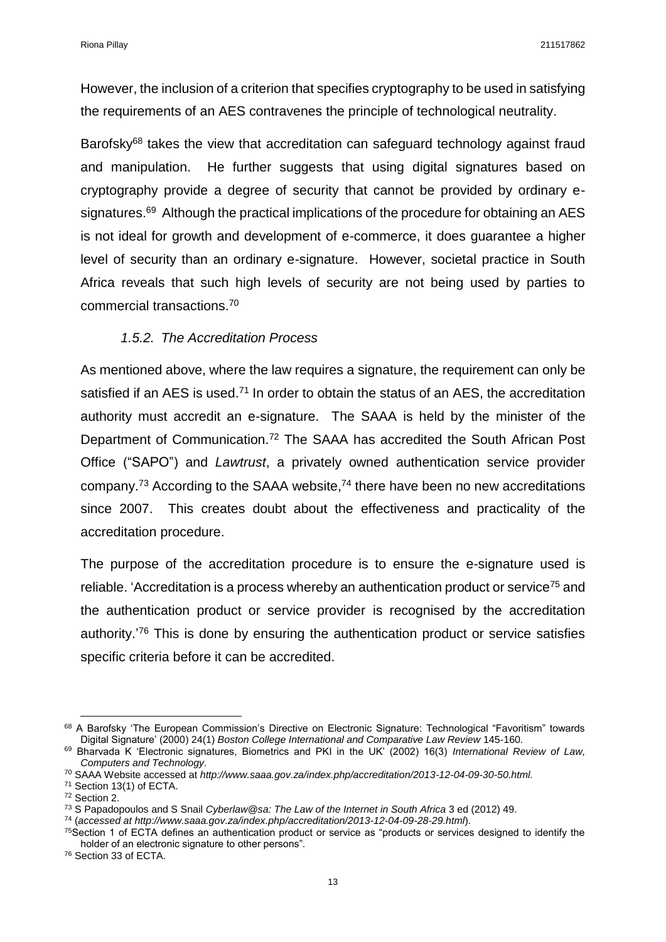However, the inclusion of a criterion that specifies cryptography to be used in satisfying the requirements of an AES contravenes the principle of technological neutrality.

Barofsky<sup>68</sup> takes the view that accreditation can safeguard technology against fraud and manipulation. He further suggests that using digital signatures based on cryptography provide a degree of security that cannot be provided by ordinary esignatures.<sup>69</sup> Although the practical implications of the procedure for obtaining an AES is not ideal for growth and development of e-commerce, it does guarantee a higher level of security than an ordinary e-signature. However, societal practice in South Africa reveals that such high levels of security are not being used by parties to commercial transactions.<sup>70</sup>

### *1.5.2. The Accreditation Process*

<span id="page-12-0"></span>As mentioned above, where the law requires a signature, the requirement can only be satisfied if an AES is used.<sup>71</sup> In order to obtain the status of an AES, the accreditation authority must accredit an e-signature. The SAAA is held by the minister of the Department of Communication.<sup>72</sup> The SAAA has accredited the South African Post Office ("SAPO") and *Lawtrust*, a privately owned authentication service provider company.<sup>73</sup> According to the SAAA website,<sup>74</sup> there have been no new accreditations since 2007. This creates doubt about the effectiveness and practicality of the accreditation procedure.

The purpose of the accreditation procedure is to ensure the e-signature used is reliable. 'Accreditation is a process whereby an authentication product or service<sup>75</sup> and the authentication product or service provider is recognised by the accreditation authority.<sup>'76</sup> This is done by ensuring the authentication product or service satisfies specific criteria before it can be accredited.

<sup>68</sup> A Barofsky 'The European Commission's Directive on Electronic Signature: Technological "Favoritism" towards Digital Signature' (2000) 24(1) *Boston College International and Comparative Law Review* 145-160.

<sup>69</sup> Bharvada K 'Electronic signatures, Biometrics and PKI in the UK' (2002) 16(3) *International Review of Law, Computers and Technology.*

<sup>70</sup> SAAA Website accessed at *http://www.saaa.gov.za/index.php/accreditation/2013-12-04-09-30-50.html.*

<sup>71</sup> Section 13(1) of ECTA.

<sup>72</sup> Section 2.

<sup>73</sup> S Papadopoulos and S Snail *Cyberlaw@sa: The Law of the Internet in South Africa* 3 ed (2012) 49.

<sup>74</sup> (*accessed at http://www.saaa.gov.za/index.php/accreditation/2013-12-04-09-28-29.html*).

 $75$ Section 1 of ECTA defines an authentication product or service as "products or services designed to identify the holder of an electronic signature to other persons".

<sup>76</sup> Section 33 of ECTA.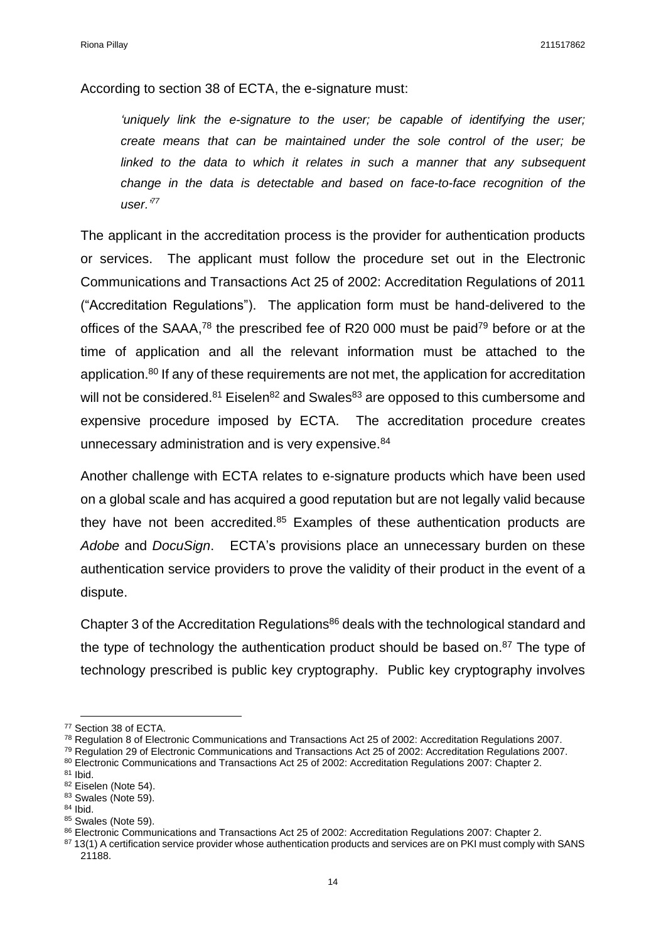According to section 38 of ECTA, the e-signature must:

*'uniquely link the e-signature to the user; be capable of identifying the user; create means that can be maintained under the sole control of the user; be*  linked to the data to which it relates in such a manner that any subsequent *change in the data is detectable and based on face-to-face recognition of the user.'<sup>77</sup>*

The applicant in the accreditation process is the provider for authentication products or services. The applicant must follow the procedure set out in the Electronic Communications and Transactions Act 25 of 2002: Accreditation Regulations of 2011 ("Accreditation Regulations"). The application form must be hand-delivered to the offices of the SAAA,<sup>78</sup> the prescribed fee of R20 000 must be paid<sup>79</sup> before or at the time of application and all the relevant information must be attached to the application.<sup>80</sup> If any of these requirements are not met, the application for accreditation will not be considered. $81$  Eiselen $82$  and Swales $83$  are opposed to this cumbersome and expensive procedure imposed by ECTA. The accreditation procedure creates unnecessary administration and is very expensive.<sup>84</sup>

Another challenge with ECTA relates to e-signature products which have been used on a global scale and has acquired a good reputation but are not legally valid because they have not been accredited. $85$  Examples of these authentication products are *Adobe* and *DocuSign*. ECTA's provisions place an unnecessary burden on these authentication service providers to prove the validity of their product in the event of a dispute.

Chapter 3 of the Accreditation Regulations $86$  deals with the technological standard and the type of technology the authentication product should be based on.<sup>87</sup> The type of technology prescribed is public key cryptography. Public key cryptography involves

<sup>77</sup> Section 38 of ECTA.

<sup>78</sup> Regulation 8 of Electronic Communications and Transactions Act 25 of 2002: Accreditation Regulations 2007.

<sup>&</sup>lt;sup>79</sup> Regulation 29 of Electronic Communications and Transactions Act 25 of 2002: Accreditation Regulations 2007.

<sup>80</sup> Electronic Communications and Transactions Act 25 of 2002: Accreditation Regulations 2007: Chapter 2.

<sup>81</sup> Ibid.

<sup>82</sup> Eiselen (Note 54).

<sup>83</sup> Swales (Note 59).

<sup>84</sup> Ibid.

<sup>85</sup> Swales (Note 59).

<sup>86</sup> Electronic Communications and Transactions Act 25 of 2002: Accreditation Regulations 2007: Chapter 2.

<sup>87 13(1)</sup> A certification service provider whose authentication products and services are on PKI must comply with SANS 21188.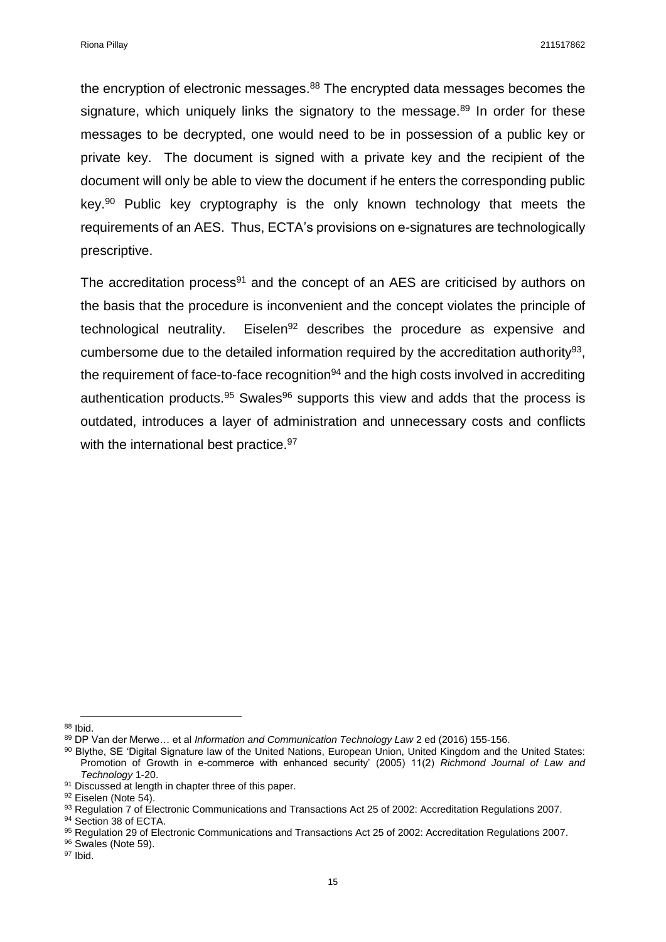the encryption of electronic messages.<sup>88</sup> The encrypted data messages becomes the signature, which uniquely links the signatory to the message.<sup>89</sup> In order for these messages to be decrypted, one would need to be in possession of a public key or private key. The document is signed with a private key and the recipient of the document will only be able to view the document if he enters the corresponding public key.<sup>90</sup> Public key cryptography is the only known technology that meets the requirements of an AES. Thus, ECTA's provisions on e-signatures are technologically prescriptive.

The accreditation process $91$  and the concept of an AES are criticised by authors on the basis that the procedure is inconvenient and the concept violates the principle of technological neutrality. Eiselen<sup>92</sup> describes the procedure as expensive and cumbersome due to the detailed information required by the accreditation authority<sup>93</sup>, the requirement of face-to-face recognition $94$  and the high costs involved in accrediting authentication products.<sup>95</sup> Swales<sup>96</sup> supports this view and adds that the process is outdated, introduces a layer of administration and unnecessary costs and conflicts with the international best practice.<sup>97</sup>

**<sup>.</sup>** <sup>88</sup> Ibid.

<sup>89</sup> DP Van der Merwe… et al *Information and Communication Technology Law* 2 ed (2016) 155-156.

<sup>90</sup> Blythe, SE 'Digital Signature law of the United Nations, European Union, United Kingdom and the United States: Promotion of Growth in e-commerce with enhanced security' (2005) 11(2) *Richmond Journal of Law and Technology* 1-20.

<sup>&</sup>lt;sup>91</sup> Discussed at length in chapter three of this paper.

<sup>&</sup>lt;sup>92</sup> Eiselen (Note 54).

<sup>93</sup> Regulation 7 of Electronic Communications and Transactions Act 25 of 2002: Accreditation Regulations 2007.

<sup>94</sup> Section 38 of ECTA.

<sup>95</sup> Regulation 29 of Electronic Communications and Transactions Act 25 of 2002: Accreditation Regulations 2007.

<sup>96</sup> Swales (Note 59).

<sup>97</sup> Ibid.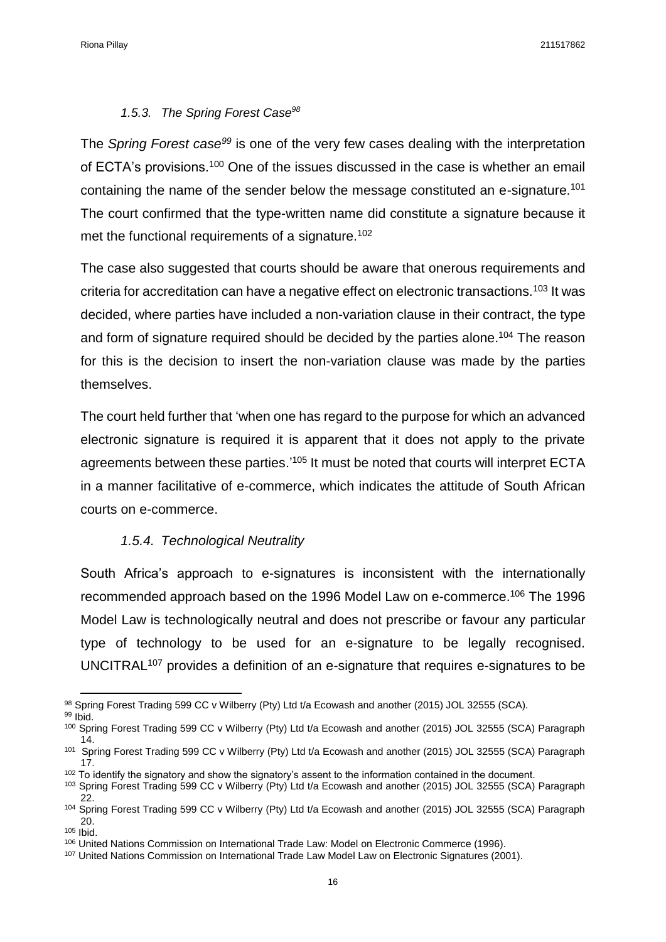## *1.5.3. The Spring Forest Case<sup>98</sup>*

<span id="page-15-0"></span>The *Spring Forest case<sup>99</sup>* is one of the very few cases dealing with the interpretation of ECTA's provisions.<sup>100</sup> One of the issues discussed in the case is whether an email containing the name of the sender below the message constituted an e-signature.<sup>101</sup> The court confirmed that the type-written name did constitute a signature because it met the functional requirements of a signature.<sup>102</sup>

The case also suggested that courts should be aware that onerous requirements and criteria for accreditation can have a negative effect on electronic transactions.<sup>103</sup> It was decided, where parties have included a non-variation clause in their contract, the type and form of signature required should be decided by the parties alone.<sup>104</sup> The reason for this is the decision to insert the non-variation clause was made by the parties themselves.

The court held further that 'when one has regard to the purpose for which an advanced electronic signature is required it is apparent that it does not apply to the private agreements between these parties.'<sup>105</sup> It must be noted that courts will interpret ECTA in a manner facilitative of e-commerce, which indicates the attitude of South African courts on e-commerce.

## *1.5.4. Technological Neutrality*

<span id="page-15-1"></span>South Africa's approach to e-signatures is inconsistent with the internationally recommended approach based on the 1996 Model Law on e-commerce.<sup>106</sup> The 1996 Model Law is technologically neutral and does not prescribe or favour any particular type of technology to be used for an e-signature to be legally recognised. UNCITRAL<sup>107</sup> provides a definition of an e-signature that requires e-signatures to be

**<sup>.</sup>** 98 Spring Forest Trading 599 CC v Wilberry (Pty) Ltd t/a Ecowash and another (2015) JOL 32555 (SCA). <sup>99</sup> Ibid.

<sup>100</sup> Spring Forest Trading 599 CC v Wilberry (Pty) Ltd t/a Ecowash and another (2015) JOL 32555 (SCA) Paragraph

<sup>14.</sup> 101 Spring Forest Trading 599 CC v Wilberry (Pty) Ltd t/a Ecowash and another (2015) JOL 32555 (SCA) Paragraph 17.

<sup>&</sup>lt;sup>102</sup> To identify the signatory and show the signatory's assent to the information contained in the document.

<sup>103</sup> Spring Forest Trading 599 CC v Wilberry (Pty) Ltd t/a Ecowash and another (2015) JOL 32555 (SCA) Paragraph 22.

<sup>104</sup> Spring Forest Trading 599 CC v Wilberry (Pty) Ltd t/a Ecowash and another (2015) JOL 32555 (SCA) Paragraph 20.

<sup>105</sup> Ibid.

<sup>106</sup> United Nations Commission on International Trade Law: Model on Electronic Commerce (1996).

<sup>107</sup> United Nations Commission on International Trade Law Model Law on Electronic Signatures (2001).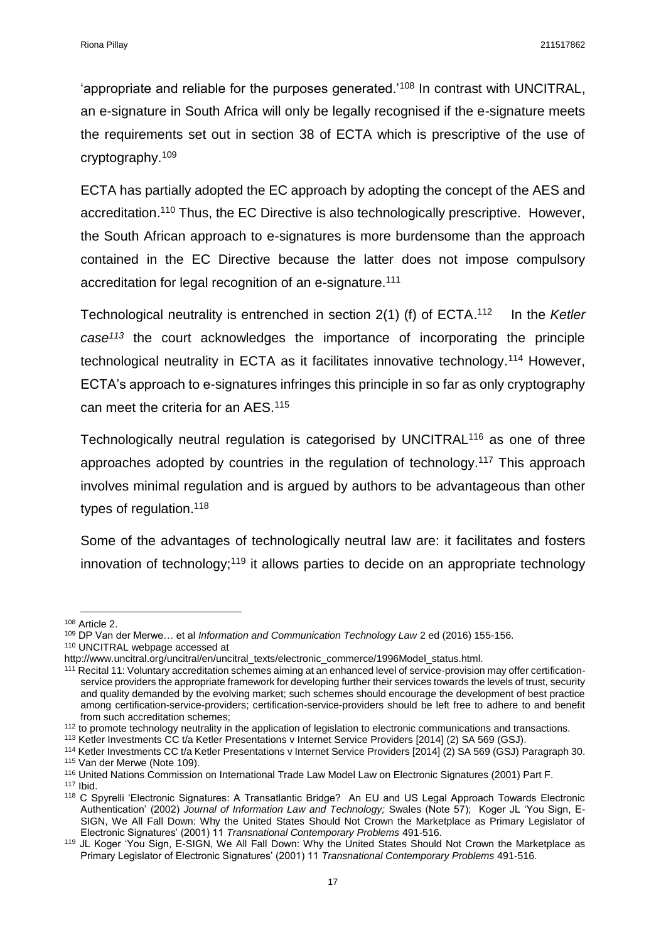'appropriate and reliable for the purposes generated.'<sup>108</sup> In contrast with UNCITRAL, an e-signature in South Africa will only be legally recognised if the e-signature meets the requirements set out in section 38 of ECTA which is prescriptive of the use of cryptography.<sup>109</sup>

ECTA has partially adopted the EC approach by adopting the concept of the AES and accreditation.<sup>110</sup> Thus, the EC Directive is also technologically prescriptive. However, the South African approach to e-signatures is more burdensome than the approach contained in the EC Directive because the latter does not impose compulsory accreditation for legal recognition of an e-signature.<sup>111</sup>

Technological neutrality is entrenched in section 2(1) (f) of ECTA. 112 In the *Ketler case<sup>113</sup>* the court acknowledges the importance of incorporating the principle technological neutrality in ECTA as it facilitates innovative technology.<sup>114</sup> However, ECTA's approach to e-signatures infringes this principle in so far as only cryptography can meet the criteria for an AES.<sup>115</sup>

Technologically neutral regulation is categorised by UNCITRAL<sup>116</sup> as one of three approaches adopted by countries in the regulation of technology. <sup>117</sup> This approach involves minimal regulation and is argued by authors to be advantageous than other types of regulation.<sup>118</sup>

Some of the advantages of technologically neutral law are: it facilitates and fosters innovation of technology;<sup>119</sup> it allows parties to decide on an appropriate technology

**<sup>.</sup>** <sup>108</sup> Article 2.

<sup>109</sup> DP Van der Merwe… et al *Information and Communication Technology Law* 2 ed (2016) 155-156. <sup>110</sup> UNCITRAL webpage accessed at

http://www.uncitral.org/uncitral/en/uncitral\_texts/electronic\_commerce/1996Model\_status.html.

<sup>111</sup> Recital 11: Voluntary accreditation schemes aiming at an enhanced level of service-provision may offer certificationservice providers the appropriate framework for developing further their services towards the levels of trust, security and quality demanded by the evolving market; such schemes should encourage the development of best practice among certification-service-providers; certification-service-providers should be left free to adhere to and benefit from such accreditation schemes;

<sup>112</sup> to promote technology neutrality in the application of legislation to electronic communications and transactions.

<sup>113</sup> Ketler Investments CC t/a Ketler Presentations v Internet Service Providers [2014] (2) SA 569 (GSJ).

<sup>114</sup> Ketler Investments CC t/a Ketler Presentations v Internet Service Providers [2014] (2) SA 569 (GSJ) Paragraph 30. <sup>115</sup> Van der Merwe (Note 109).

<sup>116</sup> United Nations Commission on International Trade Law Model Law on Electronic Signatures (2001) Part F.

 $117$  Ibid. <sup>118</sup> C Spyrelli 'Electronic Signatures: A Transatlantic Bridge? An EU and US Legal Approach Towards Electronic Authentication' (2002) *Journal of Information Law and Technology;* Swales (Note 57); Koger JL 'You Sign, E-SIGN, We All Fall Down: Why the United States Should Not Crown the Marketplace as Primary Legislator of Electronic Signatures' (2001) 11 *Transnational Contemporary Problems* 491-516.

<sup>119</sup> JL Koger 'You Sign, E-SIGN, We All Fall Down: Why the United States Should Not Crown the Marketplace as Primary Legislator of Electronic Signatures' (2001) 11 *Transnational Contemporary Problems* 491-516*.*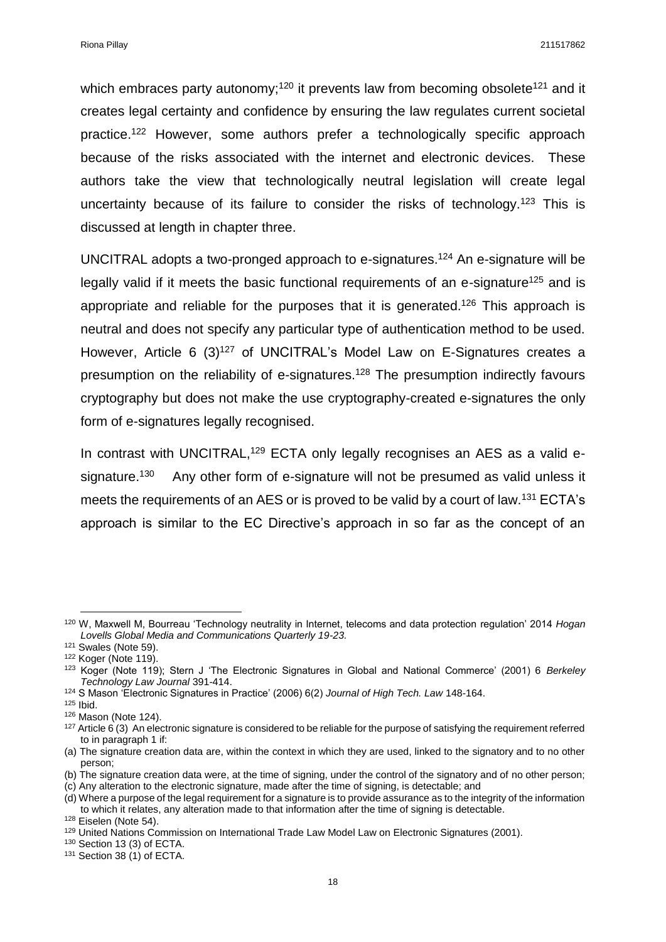which embraces party autonomy;<sup>120</sup> it prevents law from becoming obsolete<sup>121</sup> and it creates legal certainty and confidence by ensuring the law regulates current societal practice.<sup>122</sup> However, some authors prefer a technologically specific approach because of the risks associated with the internet and electronic devices. These authors take the view that technologically neutral legislation will create legal uncertainty because of its failure to consider the risks of technology.<sup>123</sup> This is discussed at length in chapter three.

UNCITRAL adopts a two-pronged approach to e-signatures.<sup>124</sup> An e-signature will be legally valid if it meets the basic functional requirements of an e-signature<sup>125</sup> and is appropriate and reliable for the purposes that it is generated.<sup>126</sup> This approach is neutral and does not specify any particular type of authentication method to be used. However, Article 6 (3)<sup>127</sup> of UNCITRAL's Model Law on E-Signatures creates a presumption on the reliability of e-signatures.<sup>128</sup> The presumption indirectly favours cryptography but does not make the use cryptography-created e-signatures the only form of e-signatures legally recognised.

In contrast with UNCITRAL,<sup>129</sup> ECTA only legally recognises an AES as a valid esignature.<sup>130</sup> Any other form of e-signature will not be presumed as valid unless it meets the requirements of an AES or is proved to be valid by a court of law.<sup>131</sup> ECTA's approach is similar to the EC Directive's approach in so far as the concept of an

<sup>124</sup> S Mason 'Electronic Signatures in Practice' (2006) 6(2) *Journal of High Tech. Law* 148-164.

<sup>120</sup> W, Maxwell M, Bourreau 'Technology neutrality in Internet, telecoms and data protection regulation' 2014 *Hogan Lovells Global Media and Communications Quarterly 19-23.*

<sup>121</sup> Swales (Note 59).

 $122$  Koger (Note 119).

<sup>123</sup> Koger (Note 119); Stern J 'The Electronic Signatures in Global and National Commerce' (2001) 6 *Berkeley Technology Law Journal* 391-414.

<sup>125</sup> Ibid.

<sup>126</sup> Mason (Note 124).

 $127$  Article 6 (3) An electronic signature is considered to be reliable for the purpose of satisfying the requirement referred to in paragraph 1 if:

<sup>(</sup>a) The signature creation data are, within the context in which they are used, linked to the signatory and to no other person;

<sup>(</sup>b) The signature creation data were, at the time of signing, under the control of the signatory and of no other person;

<sup>(</sup>c) Any alteration to the electronic signature, made after the time of signing, is detectable; and

<sup>(</sup>d) Where a purpose of the legal requirement for a signature is to provide assurance as to the integrity of the information to which it relates, any alteration made to that information after the time of signing is detectable.

<sup>128</sup> Eiselen (Note 54).

<sup>129</sup> United Nations Commission on International Trade Law Model Law on Electronic Signatures (2001).

<sup>130</sup> Section 13 (3) of ECTA.

<sup>131</sup> Section 38 (1) of ECTA.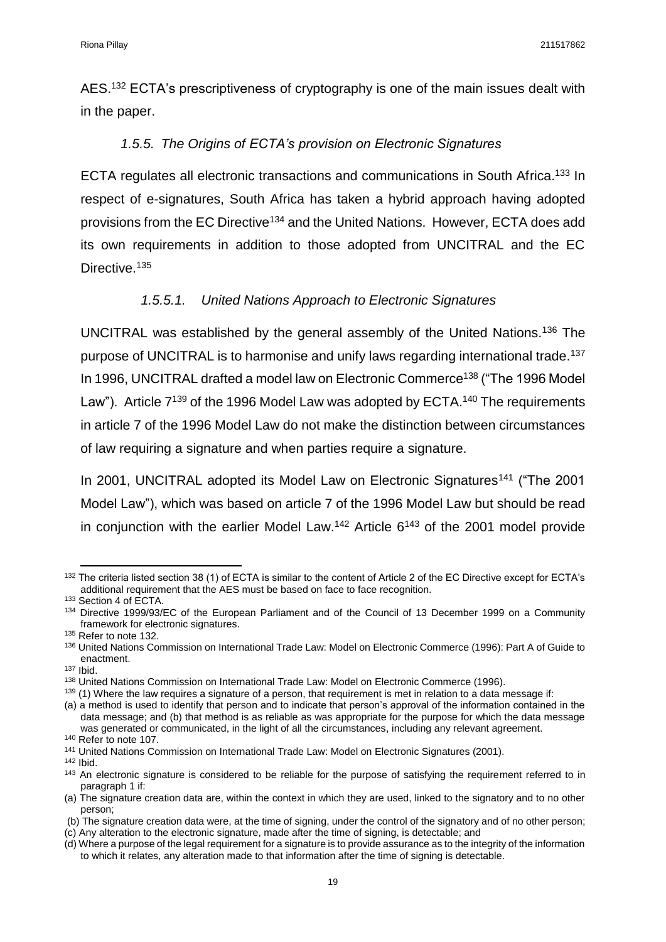AES.<sup>132</sup> ECTA's prescriptiveness of cryptography is one of the main issues dealt with in the paper.

## *1.5.5. The Origins of ECTA's provision on Electronic Signatures*

<span id="page-18-0"></span>ECTA regulates all electronic transactions and communications in South Africa.<sup>133</sup> In respect of e-signatures, South Africa has taken a hybrid approach having adopted provisions from the EC Directive<sup>134</sup> and the United Nations. However, ECTA does add its own requirements in addition to those adopted from UNCITRAL and the EC Directive.<sup>135</sup>

## *1.5.5.1. United Nations Approach to Electronic Signatures*

UNCITRAL was established by the general assembly of the United Nations.<sup>136</sup> The purpose of UNCITRAL is to harmonise and unify laws regarding international trade.<sup>137</sup> In 1996, UNCITRAL drafted a model law on Electronic Commerce<sup>138</sup> ("The 1996 Model Law"). Article  $7^{139}$  of the 1996 Model Law was adopted by ECTA.<sup>140</sup> The requirements in article 7 of the 1996 Model Law do not make the distinction between circumstances of law requiring a signature and when parties require a signature.

In 2001, UNCITRAL adopted its Model Law on Electronic Signatures<sup>141</sup> ("The 2001 Model Law"), which was based on article 7 of the 1996 Model Law but should be read in conjunction with the earlier Model Law.<sup>142</sup> Article  $6^{143}$  of the 2001 model provide

<sup>1</sup> 132 The criteria listed section 38 (1) of ECTA is similar to the content of Article 2 of the EC Directive except for ECTA's additional requirement that the AES must be based on face to face recognition.

<sup>133</sup> Section 4 of ECTA.

<sup>134</sup> Directive 1999/93/EC of the European Parliament and of the Council of 13 December 1999 on a Community framework for electronic signatures.

<sup>135</sup> Refer to note 132.

<sup>&</sup>lt;sup>136</sup> United Nations Commission on International Trade Law: Model on Electronic Commerce (1996): Part A of Guide to enactment.

<sup>137</sup> Ibid.

<sup>138</sup> United Nations Commission on International Trade Law: Model on Electronic Commerce (1996).

<sup>139 (1)</sup> Where the law requires a signature of a person, that requirement is met in relation to a data message if:

<sup>(</sup>a) a method is used to identify that person and to indicate that person's approval of the information contained in the data message; and (b) that method is as reliable as was appropriate for the purpose for which the data message was generated or communicated, in the light of all the circumstances, including any relevant agreement.

<sup>&</sup>lt;sup>140</sup> Refer to note 107.

<sup>141</sup> United Nations Commission on International Trade Law: Model on Electronic Signatures (2001).

<sup>142</sup> Ibid.

<sup>143</sup> An electronic signature is considered to be reliable for the purpose of satisfying the requirement referred to in paragraph 1 if:

<sup>(</sup>a) The signature creation data are, within the context in which they are used, linked to the signatory and to no other person;

<sup>(</sup>b) The signature creation data were, at the time of signing, under the control of the signatory and of no other person;

<sup>(</sup>c) Any alteration to the electronic signature, made after the time of signing, is detectable; and

<sup>(</sup>d) Where a purpose of the legal requirement for a signature is to provide assurance as to the integrity of the information to which it relates, any alteration made to that information after the time of signing is detectable.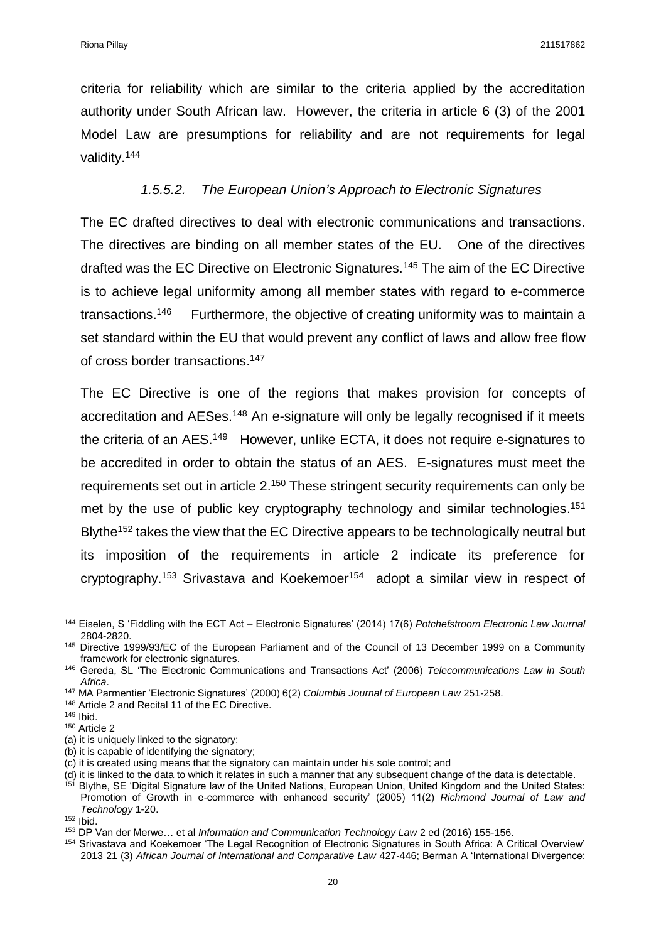criteria for reliability which are similar to the criteria applied by the accreditation authority under South African law. However, the criteria in article 6 (3) of the 2001 Model Law are presumptions for reliability and are not requirements for legal validity.<sup>144</sup>

## *1.5.5.2. The European Union's Approach to Electronic Signatures*

The EC drafted directives to deal with electronic communications and transactions. The directives are binding on all member states of the EU. One of the directives drafted was the EC Directive on Electronic Signatures.<sup>145</sup> The aim of the EC Directive is to achieve legal uniformity among all member states with regard to e-commerce transactions. 146 Furthermore, the objective of creating uniformity was to maintain a set standard within the EU that would prevent any conflict of laws and allow free flow of cross border transactions. 147

The EC Directive is one of the regions that makes provision for concepts of accreditation and AESes.<sup>148</sup> An e-signature will only be legally recognised if it meets the criteria of an AES.<sup>149</sup> However, unlike ECTA, it does not require e-signatures to be accredited in order to obtain the status of an AES. E-signatures must meet the requirements set out in article 2.<sup>150</sup> These stringent security requirements can only be met by the use of public key cryptography technology and similar technologies.<sup>151</sup> Blythe<sup>152</sup> takes the view that the EC Directive appears to be technologically neutral but its imposition of the requirements in article 2 indicate its preference for cryptography.<sup>153</sup> Srivastava and Koekemoer<sup>154</sup> adopt a similar view in respect of

**<sup>.</sup>** <sup>144</sup> Eiselen, S 'Fiddling with the ECT Act – Electronic Signatures' (2014) 17(6) *Potchefstroom Electronic Law Journal*  2804-2820.

<sup>145</sup> Directive 1999/93/EC of the European Parliament and of the Council of 13 December 1999 on a Community framework for electronic signatures.

<sup>146</sup> Gereda, SL 'The Electronic Communications and Transactions Act' (2006) *Telecommunications Law in South Africa*.

<sup>147</sup> MA Parmentier 'Electronic Signatures' (2000) 6(2) *Columbia Journal of European Law* 251-258.

<sup>148</sup> Article 2 and Recital 11 of the EC Directive.

<sup>149</sup> Ibid.

<sup>150</sup> Article 2

<sup>(</sup>a) it is uniquely linked to the signatory;

<sup>(</sup>b) it is capable of identifying the signatory;

<sup>(</sup>c) it is created using means that the signatory can maintain under his sole control; and

<sup>(</sup>d) it is linked to the data to which it relates in such a manner that any subsequent change of the data is detectable.

<sup>151</sup> Blythe, SE 'Digital Signature law of the United Nations, European Union, United Kingdom and the United States: Promotion of Growth in e-commerce with enhanced security' (2005) 11(2) *Richmond Journal of Law and Technology* 1-20.

<sup>152</sup> Ibid.

<sup>153</sup> DP Van der Merwe… et al *Information and Communication Technology Law* 2 ed (2016) 155-156.

<sup>154</sup> Srivastava and Koekemoer 'The Legal Recognition of Electronic Signatures in South Africa: A Critical Overview' 2013 21 (3) *African Journal of International and Comparative Law* 427-446; Berman A 'International Divergence: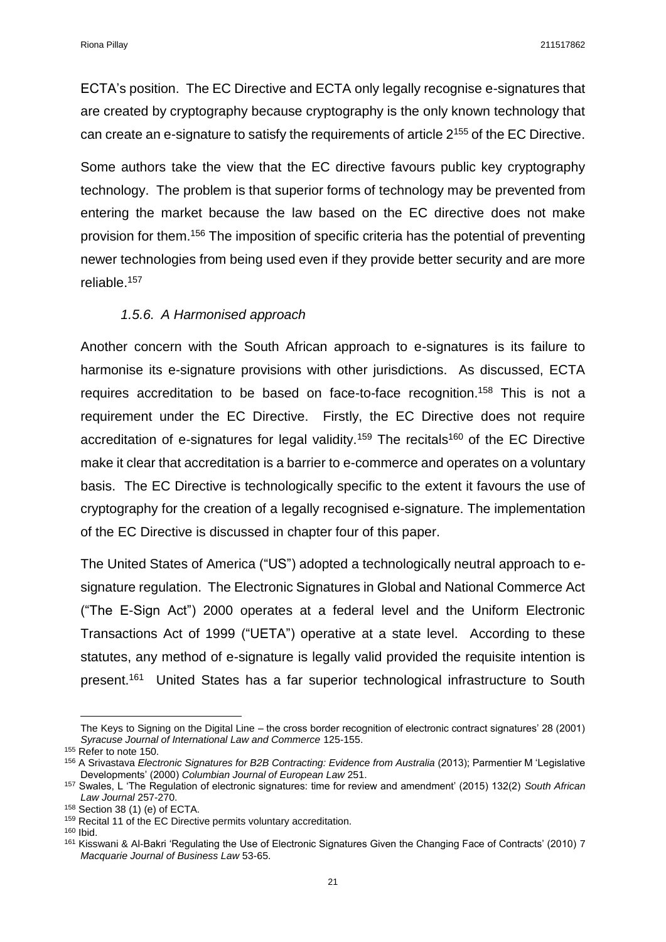ECTA's position. The EC Directive and ECTA only legally recognise e-signatures that are created by cryptography because cryptography is the only known technology that can create an e-signature to satisfy the requirements of article 2<sup>155</sup> of the EC Directive.

Some authors take the view that the EC directive favours public key cryptography technology. The problem is that superior forms of technology may be prevented from entering the market because the law based on the EC directive does not make provision for them.<sup>156</sup> The imposition of specific criteria has the potential of preventing newer technologies from being used even if they provide better security and are more reliable.<sup>157</sup>

## *1.5.6. A Harmonised approach*

<span id="page-20-0"></span>Another concern with the South African approach to e-signatures is its failure to harmonise its e-signature provisions with other jurisdictions. As discussed, ECTA requires accreditation to be based on face-to-face recognition.<sup>158</sup> This is not a requirement under the EC Directive. Firstly, the EC Directive does not require accreditation of e-signatures for legal validity.<sup>159</sup> The recitals<sup>160</sup> of the EC Directive make it clear that accreditation is a barrier to e-commerce and operates on a voluntary basis. The EC Directive is technologically specific to the extent it favours the use of cryptography for the creation of a legally recognised e-signature. The implementation of the EC Directive is discussed in chapter four of this paper.

The United States of America ("US") adopted a technologically neutral approach to esignature regulation. The Electronic Signatures in Global and National Commerce Act ("The E-Sign Act") 2000 operates at a federal level and the Uniform Electronic Transactions Act of 1999 ("UETA") operative at a state level. According to these statutes, any method of e-signature is legally valid provided the requisite intention is present.<sup>161</sup> United States has a far superior technological infrastructure to South

The Keys to Signing on the Digital Line – the cross border recognition of electronic contract signatures' 28 (2001) *Syracuse Journal of International Law and Commerce* 125-155.

<sup>&</sup>lt;sup>155</sup> Refer to note 150.

<sup>156</sup> A Srivastava *Electronic Signatures for B2B Contracting: Evidence from Australia* (2013); Parmentier M 'Legislative Developments' (2000) *Columbian Journal of European Law* 251.

<sup>157</sup> Swales, L 'The Regulation of electronic signatures: time for review and amendment' (2015) 132(2) *South African Law Journal* 257-270.

<sup>158</sup> Section 38 (1) (e) of ECTA.

<sup>&</sup>lt;sup>159</sup> Recital 11 of the EC Directive permits voluntary accreditation.

<sup>160</sup> Ibid.

<sup>161</sup> Kisswani & Al-Bakri 'Regulating the Use of Electronic Signatures Given the Changing Face of Contracts' (2010) 7 *Macquarie Journal of Business Law* 53-65.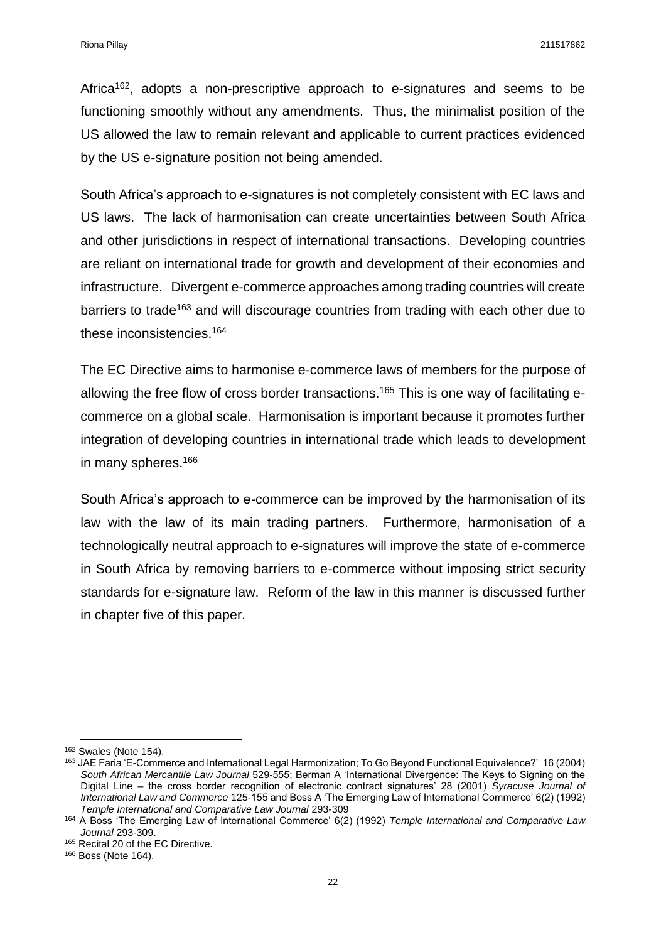Africa<sup>162</sup>, adopts a non-prescriptive approach to e-signatures and seems to be functioning smoothly without any amendments. Thus, the minimalist position of the US allowed the law to remain relevant and applicable to current practices evidenced by the US e-signature position not being amended.

South Africa's approach to e-signatures is not completely consistent with EC laws and US laws. The lack of harmonisation can create uncertainties between South Africa and other jurisdictions in respect of international transactions. Developing countries are reliant on international trade for growth and development of their economies and infrastructure. Divergent e-commerce approaches among trading countries will create barriers to trade<sup>163</sup> and will discourage countries from trading with each other due to these inconsistencies. 164

The EC Directive aims to harmonise e-commerce laws of members for the purpose of allowing the free flow of cross border transactions.<sup>165</sup> This is one way of facilitating ecommerce on a global scale. Harmonisation is important because it promotes further integration of developing countries in international trade which leads to development in many spheres.<sup>166</sup>

South Africa's approach to e-commerce can be improved by the harmonisation of its law with the law of its main trading partners. Furthermore, harmonisation of a technologically neutral approach to e-signatures will improve the state of e-commerce in South Africa by removing barriers to e-commerce without imposing strict security standards for e-signature law. Reform of the law in this manner is discussed further in chapter five of this paper.

 $\overline{a}$ 

<sup>166</sup> Boss (Note 164).

<sup>162</sup> Swales (Note 154).

<sup>163</sup> JAE Faria 'E-Commerce and International Legal Harmonization; To Go Beyond Functional Equivalence?' 16 (2004) *South African Mercantile Law Journal* 529-555; Berman A 'International Divergence: The Keys to Signing on the Digital Line – the cross border recognition of electronic contract signatures' 28 (2001) *Syracuse Journal of International Law and Commerce* 125-155 and Boss A 'The Emerging Law of International Commerce' 6(2) (1992) *Temple International and Comparative Law Journal* 293-309

<sup>164</sup> A Boss 'The Emerging Law of International Commerce' 6(2) (1992) *Temple International and Comparative Law Journal* 293-309.

<sup>165</sup> Recital 20 of the EC Directive.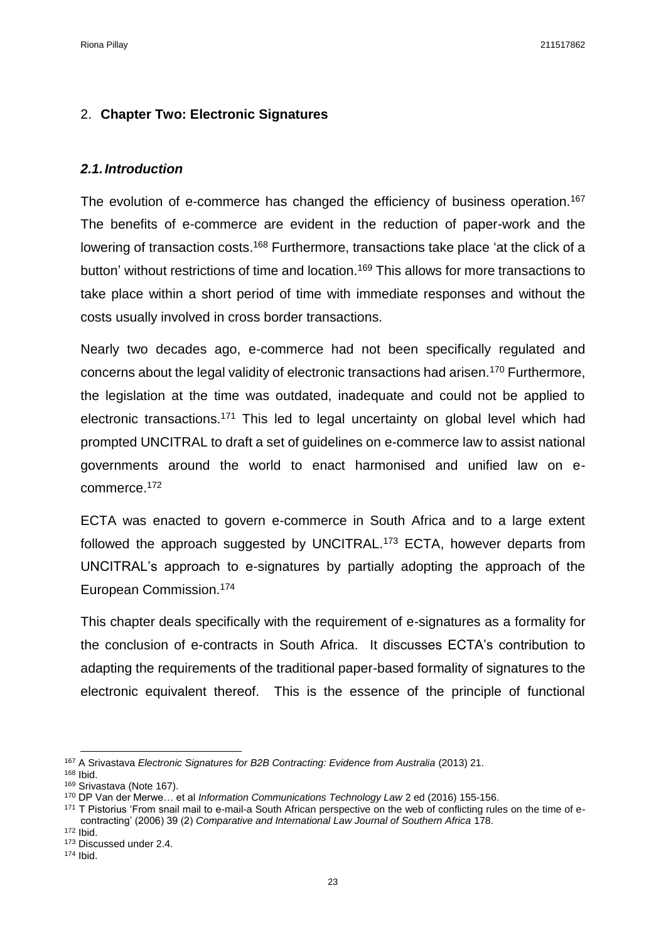## <span id="page-22-0"></span>2. **Chapter Two: Electronic Signatures**

## <span id="page-22-1"></span>*2.1.Introduction*

The evolution of e-commerce has changed the efficiency of business operation.<sup>167</sup> The benefits of e-commerce are evident in the reduction of paper-work and the lowering of transaction costs.<sup>168</sup> Furthermore, transactions take place 'at the click of a button' without restrictions of time and location.<sup>169</sup> This allows for more transactions to take place within a short period of time with immediate responses and without the costs usually involved in cross border transactions.

Nearly two decades ago, e-commerce had not been specifically regulated and concerns about the legal validity of electronic transactions had arisen.<sup>170</sup> Furthermore, the legislation at the time was outdated, inadequate and could not be applied to electronic transactions.<sup>171</sup> This led to legal uncertainty on global level which had prompted UNCITRAL to draft a set of guidelines on e-commerce law to assist national governments around the world to enact harmonised and unified law on ecommerce.<sup>172</sup>

ECTA was enacted to govern e-commerce in South Africa and to a large extent followed the approach suggested by UNCITRAL.<sup>173</sup> ECTA, however departs from UNCITRAL's approach to e-signatures by partially adopting the approach of the European Commission.<sup>174</sup>

This chapter deals specifically with the requirement of e-signatures as a formality for the conclusion of e-contracts in South Africa. It discusses ECTA's contribution to adapting the requirements of the traditional paper-based formality of signatures to the electronic equivalent thereof. This is the essence of the principle of functional

<sup>168</sup> Ibid.

<sup>167</sup> A Srivastava *Electronic Signatures for B2B Contracting: Evidence from Australia (2013) 21.* 

<sup>169</sup> Srivastava (Note 167).

<sup>170</sup> DP Van der Merwe… et al *Information Communications Technology Law* 2 ed (2016) 155-156.

<sup>&</sup>lt;sup>171</sup> T Pistorius 'From snail mail to e-mail-a South African perspective on the web of conflicting rules on the time of econtracting' (2006) 39 (2) *Comparative and International Law Journal of Southern Africa* 178.

<sup>172</sup> Ibid.

<sup>173</sup> Discussed under 2.4.

<sup>174</sup> Ibid.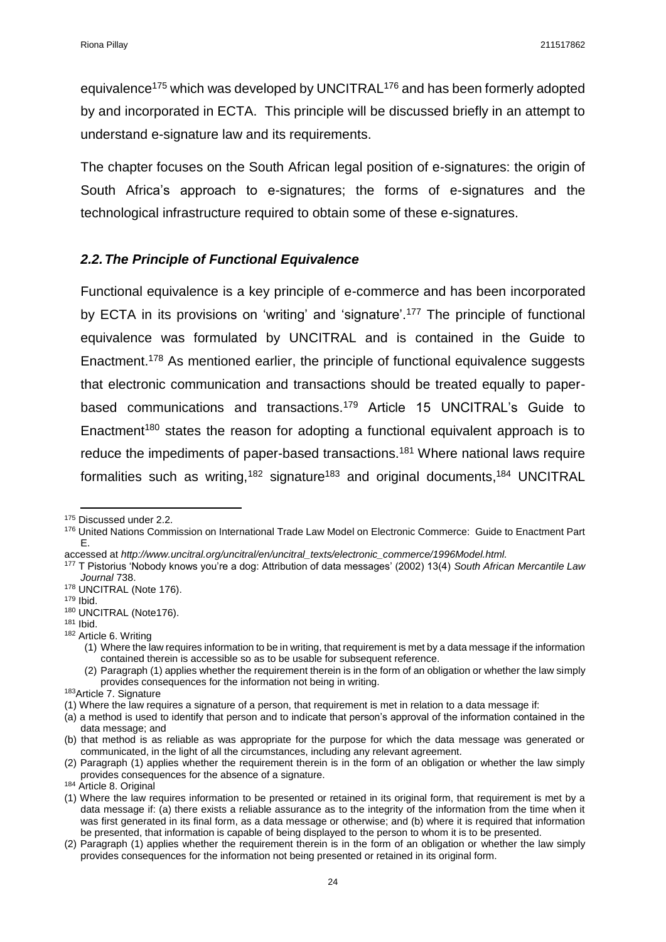equivalence<sup>175</sup> which was developed by UNCITRAL<sup>176</sup> and has been formerly adopted by and incorporated in ECTA. This principle will be discussed briefly in an attempt to understand e-signature law and its requirements.

The chapter focuses on the South African legal position of e-signatures: the origin of South Africa's approach to e-signatures; the forms of e-signatures and the technological infrastructure required to obtain some of these e-signatures.

## <span id="page-23-0"></span>*2.2.The Principle of Functional Equivalence*

Functional equivalence is a key principle of e-commerce and has been incorporated by ECTA in its provisions on 'writing' and 'signature'.<sup>177</sup> The principle of functional equivalence was formulated by UNCITRAL and is contained in the Guide to Enactment.<sup>178</sup> As mentioned earlier, the principle of functional equivalence suggests that electronic communication and transactions should be treated equally to paperbased communications and transactions.<sup>179</sup> Article 15 UNCITRAL's Guide to Enactment<sup>180</sup> states the reason for adopting a functional equivalent approach is to reduce the impediments of paper-based transactions.<sup>181</sup> Where national laws require formalities such as writing,<sup>182</sup> signature<sup>183</sup> and original documents,<sup>184</sup> UNCITRAL

1

<sup>&</sup>lt;sup>175</sup> Discussed under 2.2.

<sup>176</sup> United Nations Commission on International Trade Law Model on Electronic Commerce: Guide to Enactment Part E.

accessed at *http://www.uncitral.org/uncitral/en/uncitral\_texts/electronic\_commerce/1996Model.html.* 

<sup>177</sup> T Pistorius 'Nobody knows you're a dog: Attribution of data messages' (2002) 13(4) *South African Mercantile Law Journal* 738.

<sup>&</sup>lt;sup>178</sup> UNCITRAL (Note 176).

<sup>179</sup> Ibid.

<sup>180</sup> UNCITRAL (Note176).

<sup>181</sup> Ibid.

<sup>182</sup> Article 6. Writing

<sup>(1)</sup> Where the law requires information to be in writing, that requirement is met by a data message if the information contained therein is accessible so as to be usable for subsequent reference.

<sup>(2)</sup> Paragraph (1) applies whether the requirement therein is in the form of an obligation or whether the law simply provides consequences for the information not being in writing.

<sup>183</sup>Article 7. Signature

<sup>(1)</sup> Where the law requires a signature of a person, that requirement is met in relation to a data message if:

<sup>(</sup>a) a method is used to identify that person and to indicate that person's approval of the information contained in the data message; and

<sup>(</sup>b) that method is as reliable as was appropriate for the purpose for which the data message was generated or communicated, in the light of all the circumstances, including any relevant agreement.

<sup>(2)</sup> Paragraph (1) applies whether the requirement therein is in the form of an obligation or whether the law simply provides consequences for the absence of a signature.

<sup>184</sup> Article 8. Original

<sup>(1)</sup> Where the law requires information to be presented or retained in its original form, that requirement is met by a data message if: (a) there exists a reliable assurance as to the integrity of the information from the time when it was first generated in its final form, as a data message or otherwise; and (b) where it is required that information be presented, that information is capable of being displayed to the person to whom it is to be presented.

<sup>(2)</sup> Paragraph (1) applies whether the requirement therein is in the form of an obligation or whether the law simply provides consequences for the information not being presented or retained in its original form.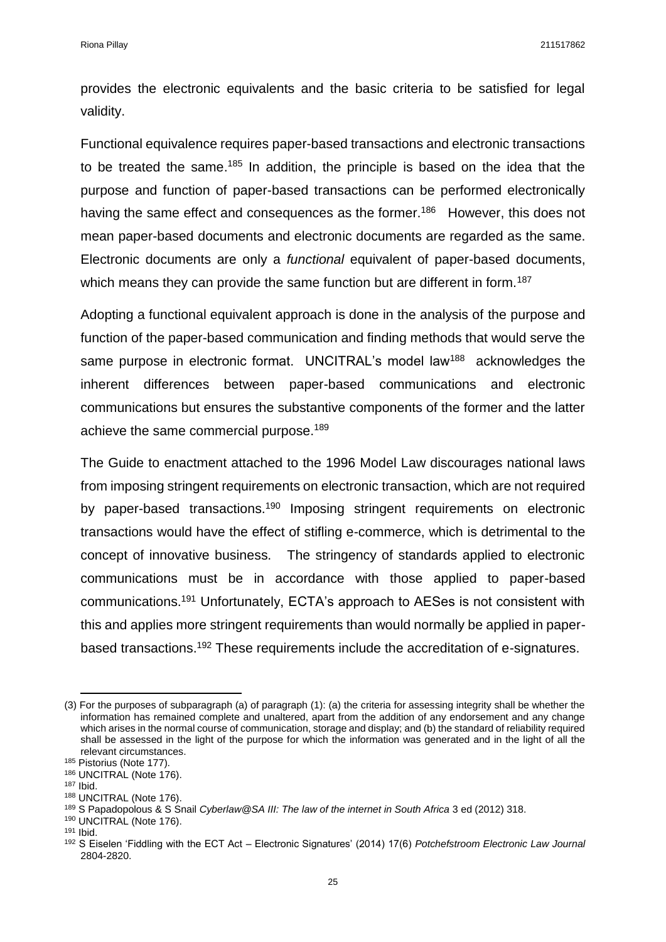provides the electronic equivalents and the basic criteria to be satisfied for legal validity.

Functional equivalence requires paper-based transactions and electronic transactions to be treated the same.<sup>185</sup> In addition, the principle is based on the idea that the purpose and function of paper-based transactions can be performed electronically having the same effect and consequences as the former.<sup>186</sup> However, this does not mean paper-based documents and electronic documents are regarded as the same. Electronic documents are only a *functional* equivalent of paper-based documents, which means they can provide the same function but are different in form.<sup>187</sup>

Adopting a functional equivalent approach is done in the analysis of the purpose and function of the paper-based communication and finding methods that would serve the same purpose in electronic format. UNCITRAL's model law<sup>188</sup> acknowledges the inherent differences between paper-based communications and electronic communications but ensures the substantive components of the former and the latter achieve the same commercial purpose.<sup>189</sup>

The Guide to enactment attached to the 1996 Model Law discourages national laws from imposing stringent requirements on electronic transaction, which are not required by paper-based transactions.<sup>190</sup> Imposing stringent requirements on electronic transactions would have the effect of stifling e-commerce, which is detrimental to the concept of innovative business. The stringency of standards applied to electronic communications must be in accordance with those applied to paper-based communications.<sup>191</sup> Unfortunately, ECTA's approach to AESes is not consistent with this and applies more stringent requirements than would normally be applied in paperbased transactions.<sup>192</sup> These requirements include the accreditation of e-signatures.

<sup>(3)</sup> For the purposes of subparagraph (a) of paragraph (1): (a) the criteria for assessing integrity shall be whether the information has remained complete and unaltered, apart from the addition of any endorsement and any change which arises in the normal course of communication, storage and display; and (b) the standard of reliability required shall be assessed in the light of the purpose for which the information was generated and in the light of all the relevant circumstances.

<sup>185</sup> Pistorius (Note 177).

<sup>186</sup> UNCITRAL (Note 176).

<sup>187</sup> Ibid.

<sup>188</sup> UNCITRAL (Note 176).

<sup>189</sup> S Papadopolous & S Snail *Cyberlaw@SA III: The law of the internet in South Africa* 3 ed (2012) 318.

<sup>190</sup> UNCITRAL (Note 176).

<sup>191</sup> Ibid.

<sup>192</sup> S Eiselen 'Fiddling with the ECT Act – Electronic Signatures' (2014) 17(6) *Potchefstroom Electronic Law Journal*  2804-2820.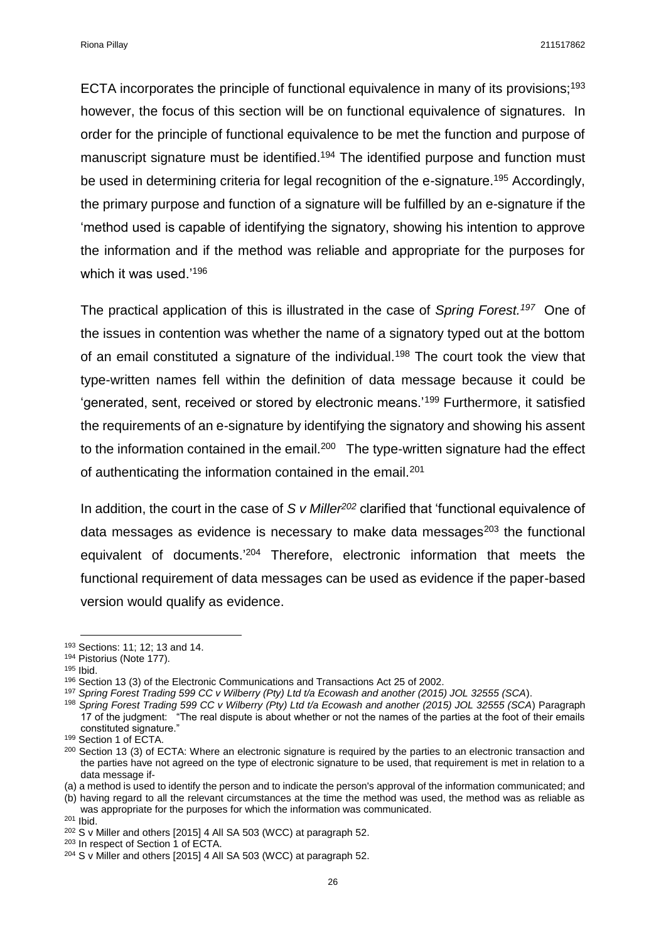Riona Pillay 211517862

ECTA incorporates the principle of functional equivalence in many of its provisions;<sup>193</sup> however, the focus of this section will be on functional equivalence of signatures. In order for the principle of functional equivalence to be met the function and purpose of manuscript signature must be identified.<sup>194</sup> The identified purpose and function must be used in determining criteria for legal recognition of the e-signature.<sup>195</sup> Accordingly, the primary purpose and function of a signature will be fulfilled by an e-signature if the 'method used is capable of identifying the signatory, showing his intention to approve the information and if the method was reliable and appropriate for the purposes for which it was used.'<sup>196</sup>

The practical application of this is illustrated in the case of *Spring Forest.<sup>197</sup>* One of the issues in contention was whether the name of a signatory typed out at the bottom of an email constituted a signature of the individual.<sup>198</sup> The court took the view that type-written names fell within the definition of data message because it could be 'generated, sent, received or stored by electronic means.'<sup>199</sup> Furthermore, it satisfied the requirements of an e-signature by identifying the signatory and showing his assent to the information contained in the email.<sup>200</sup> The type-written signature had the effect of authenticating the information contained in the email.<sup>201</sup>

In addition, the court in the case of *S v Miller<sup>202</sup>* clarified that 'functional equivalence of data messages as evidence is necessary to make data messages<sup>203</sup> the functional equivalent of documents.'<sup>204</sup> Therefore, electronic information that meets the functional requirement of data messages can be used as evidence if the paper-based version would qualify as evidence.

<sup>193</sup> Sections: 11; 12; 13 and 14.

<sup>194</sup> Pistorius (Note 177).

<sup>195</sup> Ibid.

<sup>196</sup> Section 13 (3) of the Electronic Communications and Transactions Act 25 of 2002.

<sup>197</sup> *Spring Forest Trading 599 CC v Wilberry (Pty) Ltd t/a Ecowash and another (2015) JOL 32555 (SCA*).

<sup>198</sup> *Spring Forest Trading 599 CC v Wilberry (Pty) Ltd t/a Ecowash and another (2015) JOL 32555 (SCA*) Paragraph 17 of the judgment: "The real dispute is about whether or not the names of the parties at the foot of their emails constituted signature."

<sup>199</sup> Section 1 of ECTA.

<sup>&</sup>lt;sup>200</sup> Section 13 (3) of ECTA: Where an electronic signature is required by the parties to an electronic transaction and the parties have not agreed on the type of electronic signature to be used, that requirement is met in relation to a data message if-

<sup>(</sup>a) a method is used to identify the person and to indicate the person's approval of the information communicated; and

<sup>(</sup>b) having regard to all the relevant circumstances at the time the method was used, the method was as reliable as was appropriate for the purposes for which the information was communicated.

<sup>201</sup> Ibid.

<sup>&</sup>lt;sup>202</sup> S v Miller and others [2015] 4 All SA 503 (WCC) at paragraph 52.

<sup>203</sup> In respect of Section 1 of ECTA.

<sup>204</sup> S v Miller and others [2015] 4 All SA 503 (WCC) at paragraph 52.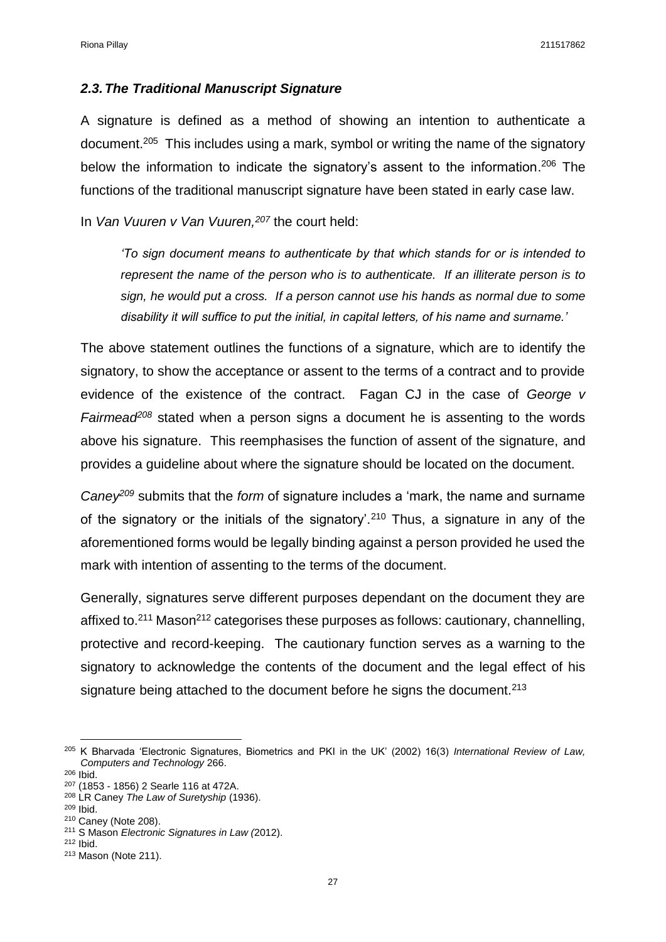#### <span id="page-26-0"></span>*2.3.The Traditional Manuscript Signature*

A signature is defined as a method of showing an intention to authenticate a document.<sup>205</sup> This includes using a mark, symbol or writing the name of the signatory below the information to indicate the signatory's assent to the information. <sup>206</sup> The functions of the traditional manuscript signature have been stated in early case law.

In *Van Vuuren v Van Vuuren,<sup>207</sup>* the court held:

*'To sign document means to authenticate by that which stands for or is intended to represent the name of the person who is to authenticate. If an illiterate person is to sign, he would put a cross. If a person cannot use his hands as normal due to some disability it will suffice to put the initial, in capital letters, of his name and surname.'*

The above statement outlines the functions of a signature, which are to identify the signatory, to show the acceptance or assent to the terms of a contract and to provide evidence of the existence of the contract. Fagan CJ in the case of *George v Fairmead<sup>208</sup>* stated when a person signs a document he is assenting to the words above his signature. This reemphasises the function of assent of the signature, and provides a guideline about where the signature should be located on the document.

*Caney<sup>209</sup>* submits that the *form* of signature includes a 'mark, the name and surname of the signatory or the initials of the signatory'.<sup>210</sup> Thus, a signature in any of the aforementioned forms would be legally binding against a person provided he used the mark with intention of assenting to the terms of the document.

Generally, signatures serve different purposes dependant on the document they are affixed to. $211$  Mason $212$  categorises these purposes as follows: cautionary, channelling, protective and record-keeping. The cautionary function serves as a warning to the signatory to acknowledge the contents of the document and the legal effect of his signature being attached to the document before he signs the document.<sup>213</sup>

 $\overline{a}$ 

<sup>205</sup> K Bharvada 'Electronic Signatures, Biometrics and PKI in the UK' (2002) 16(3) *International Review of Law, Computers and Technology* 266.

<sup>206</sup> Ibid.

<sup>207</sup> (1853 - 1856) 2 Searle 116 at 472A.

<sup>208</sup> LR Caney *The Law of Suretyship* (1936).

<sup>209</sup> Ibid.

<sup>210</sup> Caney (Note 208).

<sup>211</sup> S Mason *Electronic Signatures in Law (*2012).

<sup>212</sup> Ibid.

<sup>213</sup> Mason (Note 211).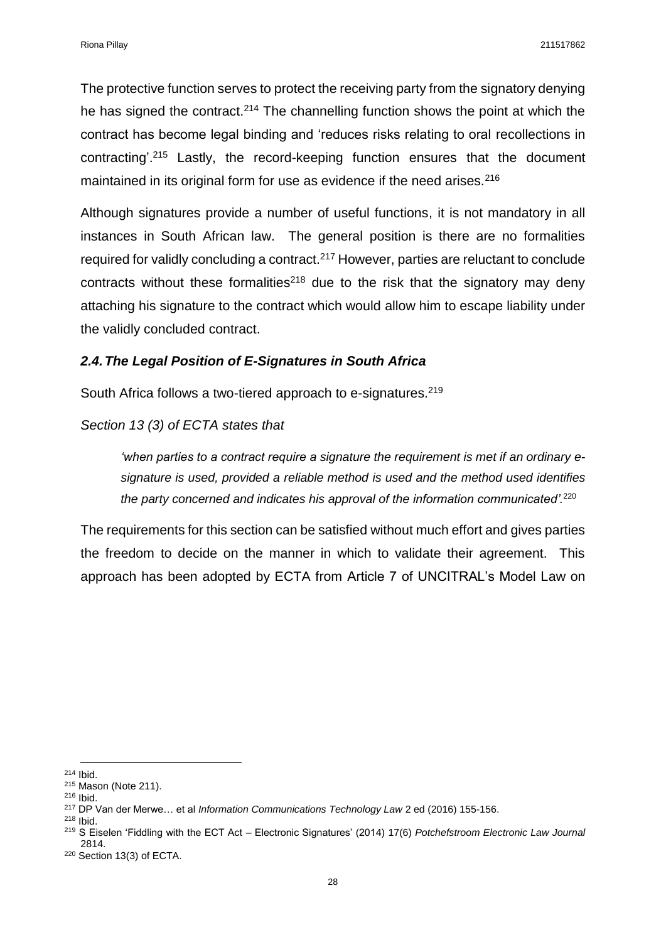The protective function serves to protect the receiving party from the signatory denying he has signed the contract.<sup>214</sup> The channelling function shows the point at which the contract has become legal binding and 'reduces risks relating to oral recollections in contracting'.<sup>215</sup> Lastly, the record-keeping function ensures that the document maintained in its original form for use as evidence if the need arises.<sup>216</sup>

Although signatures provide a number of useful functions, it is not mandatory in all instances in South African law. The general position is there are no formalities required for validly concluding a contract.<sup>217</sup> However, parties are reluctant to conclude contracts without these formalities<sup>218</sup> due to the risk that the signatory may deny attaching his signature to the contract which would allow him to escape liability under the validly concluded contract.

#### <span id="page-27-0"></span>*2.4.The Legal Position of E-Signatures in South Africa*

South Africa follows a two-tiered approach to e-signatures.<sup>219</sup>

#### *Section 13 (3) of ECTA states that*

*'when parties to a contract require a signature the requirement is met if an ordinary esignature is used, provided a reliable method is used and the method used identifies the party concerned and indicates his approval of the information communicated'.*<sup>220</sup> 

The requirements for this section can be satisfied without much effort and gives parties the freedom to decide on the manner in which to validate their agreement. This approach has been adopted by ECTA from Article 7 of UNCITRAL's Model Law on

 $\overline{a}$ <sup>214</sup> Ibid.

<sup>215</sup> Mason (Note 211).

<sup>216</sup> Ibid.

<sup>217</sup> DP Van der Merwe… et al *Information Communications Technology Law* 2 ed (2016) 155-156. <sup>218</sup> Ibid.

<sup>219</sup> S Eiselen 'Fiddling with the ECT Act – Electronic Signatures' (2014) 17(6) *Potchefstroom Electronic Law Journal*  2814.

<sup>220</sup> Section 13(3) of ECTA.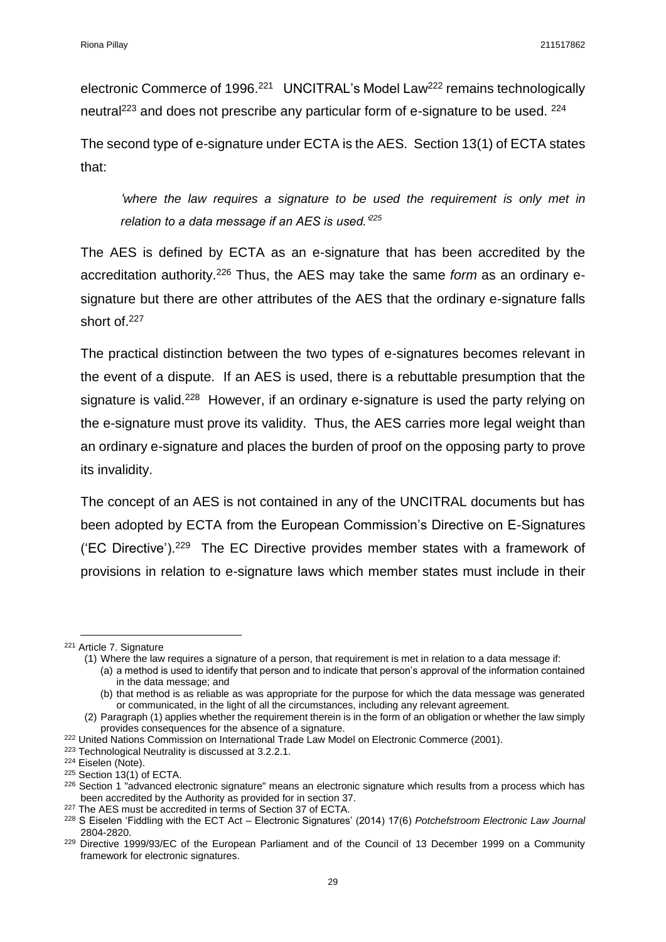electronic Commerce of 1996.<sup>221</sup> UNCITRAL's Model Law<sup>222</sup> remains technologically neutral<sup>223</sup> and does not prescribe any particular form of e-signature to be used. <sup>224</sup>

The second type of e-signature under ECTA is the AES. Section 13(1) of ECTA states that:

*'where the law requires a signature to be used the requirement is only met in*  relation to a data message if an AES is used.<sup>225</sup>

The AES is defined by ECTA as an e-signature that has been accredited by the accreditation authority.<sup>226</sup> Thus, the AES may take the same *form* as an ordinary esignature but there are other attributes of the AES that the ordinary e-signature falls short of.<sup>227</sup>

The practical distinction between the two types of e-signatures becomes relevant in the event of a dispute. If an AES is used, there is a rebuttable presumption that the signature is valid.<sup>228</sup> However, if an ordinary e-signature is used the party relying on the e-signature must prove its validity. Thus, the AES carries more legal weight than an ordinary e-signature and places the burden of proof on the opposing party to prove its invalidity.

The concept of an AES is not contained in any of the UNCITRAL documents but has been adopted by ECTA from the European Commission's Directive on E-Signatures ('EC Directive').<sup>229</sup> The EC Directive provides member states with a framework of provisions in relation to e-signature laws which member states must include in their

**.** 

<sup>223</sup> Technological Neutrality is discussed at 3.2.2.1.

<sup>221</sup> Article 7. Signature

<sup>(1)</sup> Where the law requires a signature of a person, that requirement is met in relation to a data message if: (a) a method is used to identify that person and to indicate that person's approval of the information contained

in the data message; and

<sup>(</sup>b) that method is as reliable as was appropriate for the purpose for which the data message was generated or communicated, in the light of all the circumstances, including any relevant agreement.

<sup>(2)</sup> Paragraph (1) applies whether the requirement therein is in the form of an obligation or whether the law simply provides consequences for the absence of a signature.

<sup>&</sup>lt;sup>222</sup> United Nations Commission on International Trade Law Model on Electronic Commerce (2001).

<sup>224</sup> Eiselen (Note).

<sup>225</sup> Section 13(1) of ECTA.

<sup>&</sup>lt;sup>226</sup> Section 1 "advanced electronic signature" means an electronic signature which results from a process which has been accredited by the Authority as provided for in section 37.

<sup>&</sup>lt;sup>227</sup> The AES must be accredited in terms of Section 37 of ECTA.

<sup>228</sup> S Eiselen 'Fiddling with the ECT Act – Electronic Signatures' (2014) 17(6) *Potchefstroom Electronic Law Journal*  2804-2820.

<sup>&</sup>lt;sup>229</sup> Directive 1999/93/EC of the European Parliament and of the Council of 13 December 1999 on a Community framework for electronic signatures.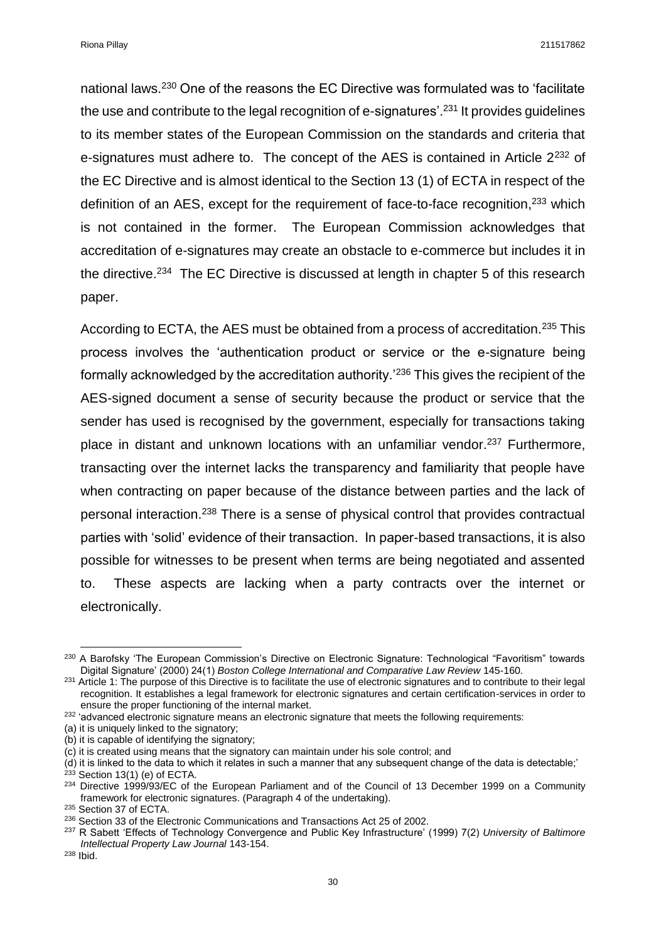Riona Pillay 211517862

national laws.<sup>230</sup> One of the reasons the EC Directive was formulated was to 'facilitate the use and contribute to the legal recognition of e-signatures'.<sup>231</sup> It provides guidelines to its member states of the European Commission on the standards and criteria that e-signatures must adhere to. The concept of the AES is contained in Article 2<sup>232</sup> of the EC Directive and is almost identical to the Section 13 (1) of ECTA in respect of the definition of an AES, except for the requirement of face-to-face recognition,<sup>233</sup> which is not contained in the former. The European Commission acknowledges that accreditation of e-signatures may create an obstacle to e-commerce but includes it in the directive.<sup>234</sup> The EC Directive is discussed at length in chapter 5 of this research paper.

According to ECTA, the AES must be obtained from a process of accreditation.<sup>235</sup> This process involves the 'authentication product or service or the e-signature being formally acknowledged by the accreditation authority.'<sup>236</sup> This gives the recipient of the AES-signed document a sense of security because the product or service that the sender has used is recognised by the government, especially for transactions taking place in distant and unknown locations with an unfamiliar vendor.<sup>237</sup> Furthermore. transacting over the internet lacks the transparency and familiarity that people have when contracting on paper because of the distance between parties and the lack of personal interaction.<sup>238</sup> There is a sense of physical control that provides contractual parties with 'solid' evidence of their transaction. In paper-based transactions, it is also possible for witnesses to be present when terms are being negotiated and assented to. These aspects are lacking when a party contracts over the internet or electronically.

 $\overline{a}$ <sup>230</sup> A Barofsky 'The European Commission's Directive on Electronic Signature: Technological "Favoritism" towards Digital Signature' (2000) 24(1) *Boston College International and Comparative Law Review* 145-160.

 $231$  Article 1: The purpose of this Directive is to facilitate the use of electronic signatures and to contribute to their legal recognition. It establishes a legal framework for electronic signatures and certain certification-services in order to ensure the proper functioning of the internal market.

<sup>&</sup>lt;sup>232</sup> 'advanced electronic signature means an electronic signature that meets the following requirements:

<sup>(</sup>a) it is uniquely linked to the signatory;

<sup>(</sup>b) it is capable of identifying the signatory;

<sup>(</sup>c) it is created using means that the signatory can maintain under his sole control; and

<sup>(</sup>d) it is linked to the data to which it relates in such a manner that any subsequent change of the data is detectable;'

 $233$  Section 13(1) (e) of ECTA.

<sup>&</sup>lt;sup>234</sup> Directive 1999/93/EC of the European Parliament and of the Council of 13 December 1999 on a Community framework for electronic signatures. (Paragraph 4 of the undertaking).

<sup>235</sup> Section 37 of ECTA.

<sup>&</sup>lt;sup>236</sup> Section 33 of the Electronic Communications and Transactions Act 25 of 2002.

<sup>237</sup> R Sabett 'Effects of Technology Convergence and Public Key Infrastructure' (1999) 7(2) *University of Baltimore Intellectual Property Law Journal* 143-154.

<sup>238</sup> Ibid.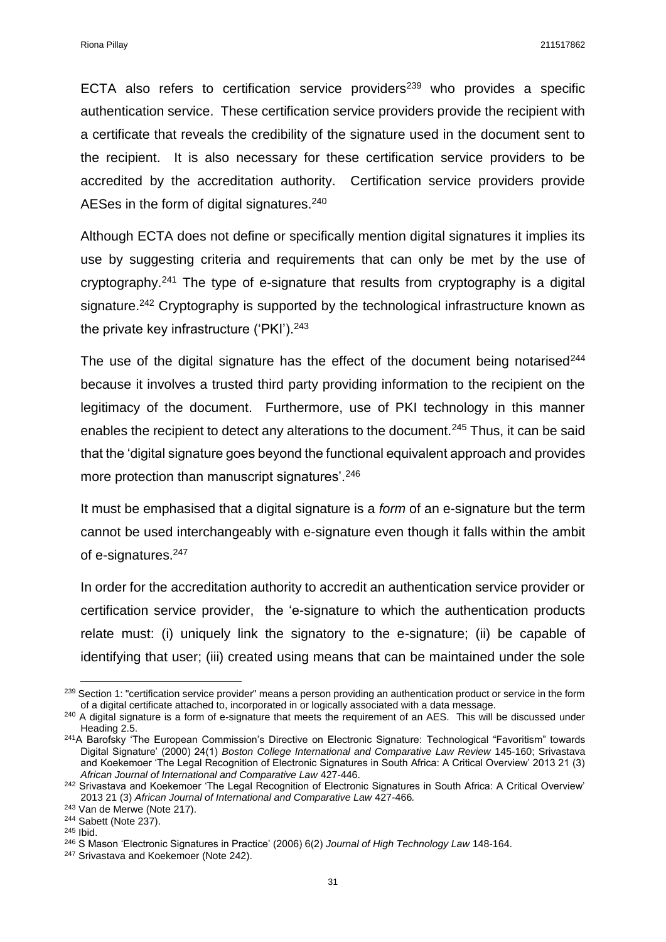ECTA also refers to certification service providers<sup>239</sup> who provides a specific authentication service. These certification service providers provide the recipient with a certificate that reveals the credibility of the signature used in the document sent to the recipient. It is also necessary for these certification service providers to be accredited by the accreditation authority. Certification service providers provide AESes in the form of digital signatures.<sup>240</sup>

Although ECTA does not define or specifically mention digital signatures it implies its use by suggesting criteria and requirements that can only be met by the use of cryptography.<sup>241</sup> The type of e-signature that results from cryptography is a digital signature.<sup>242</sup> Cryptography is supported by the technological infrastructure known as the private key infrastructure ('PKI').<sup>243</sup>

The use of the digital signature has the effect of the document being notarised $244$ because it involves a trusted third party providing information to the recipient on the legitimacy of the document. Furthermore, use of PKI technology in this manner enables the recipient to detect any alterations to the document.<sup>245</sup> Thus, it can be said that the 'digital signature goes beyond the functional equivalent approach and provides more protection than manuscript signatures'.<sup>246</sup>

It must be emphasised that a digital signature is a *form* of an e-signature but the term cannot be used interchangeably with e-signature even though it falls within the ambit of e-signatures.<sup>247</sup>

In order for the accreditation authority to accredit an authentication service provider or certification service provider, the 'e-signature to which the authentication products relate must: (i) uniquely link the signatory to the e-signature; (ii) be capable of identifying that user; (iii) created using means that can be maintained under the sole

<sup>&</sup>lt;sup>239</sup> Section 1: "certification service provider" means a person providing an authentication product or service in the form of a digital certificate attached to, incorporated in or logically associated with a data message.

<sup>&</sup>lt;sup>240</sup> A digital signature is a form of e-signature that meets the requirement of an AES. This will be discussed under Heading 2.5.

<sup>&</sup>lt;sup>241</sup>A Barofsky 'The European Commission's Directive on Electronic Signature: Technological "Favoritism" towards Digital Signature' (2000) 24(1) *Boston College International and Comparative Law Review* 145-160; Srivastava and Koekemoer 'The Legal Recognition of Electronic Signatures in South Africa: A Critical Overview' 2013 21 (3) *African Journal of International and Comparative Law* 427-446.

<sup>&</sup>lt;sup>242</sup> Srivastava and Koekemoer 'The Legal Recognition of Electronic Signatures in South Africa: A Critical Overview' 2013 21 (3) *African Journal of International and Comparative Law* 427-466*.*

<sup>243</sup> Van de Merwe (Note 217).

<sup>244</sup> Sabett (Note 237).

<sup>245</sup> Ibid.

<sup>246</sup> S Mason 'Electronic Signatures in Practice' (2006) 6(2) *Journal of High Technology Law* 148-164.

<sup>&</sup>lt;sup>247</sup> Srivastava and Koekemoer (Note 242).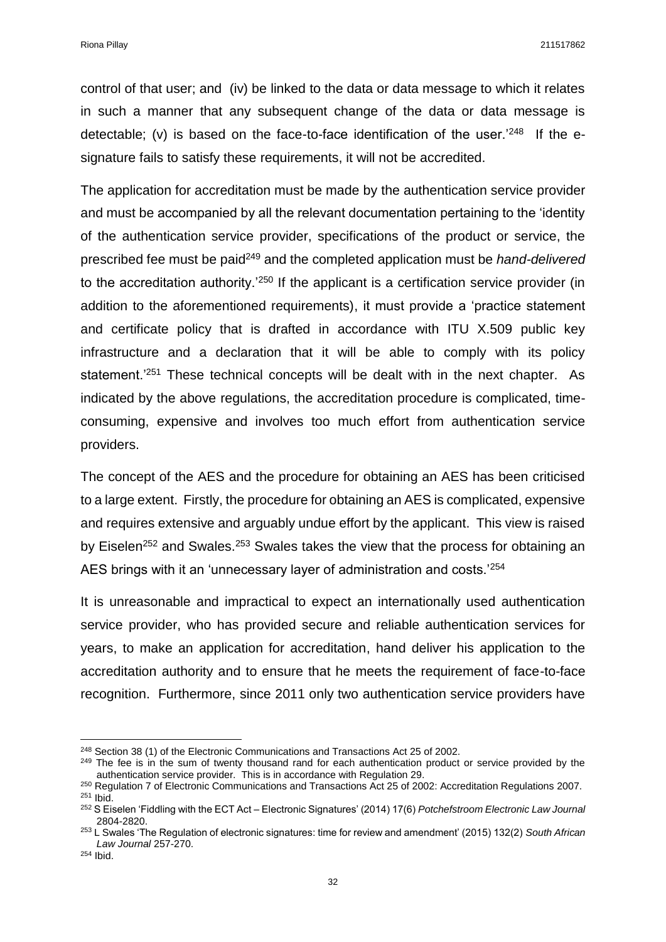control of that user; and (iv) be linked to the data or data message to which it relates in such a manner that any subsequent change of the data or data message is detectable; (v) is based on the face-to-face identification of the user.<sup>'248</sup> If the esignature fails to satisfy these requirements, it will not be accredited.

The application for accreditation must be made by the authentication service provider and must be accompanied by all the relevant documentation pertaining to the 'identity of the authentication service provider, specifications of the product or service, the prescribed fee must be paid<sup>249</sup> and the completed application must be *hand-delivered* to the accreditation authority.'<sup>250</sup> If the applicant is a certification service provider (in addition to the aforementioned requirements), it must provide a 'practice statement and certificate policy that is drafted in accordance with ITU X.509 public key infrastructure and a declaration that it will be able to comply with its policy statement.<sup>'251</sup> These technical concepts will be dealt with in the next chapter. As indicated by the above regulations, the accreditation procedure is complicated, timeconsuming, expensive and involves too much effort from authentication service providers.

The concept of the AES and the procedure for obtaining an AES has been criticised to a large extent. Firstly, the procedure for obtaining an AES is complicated, expensive and requires extensive and arguably undue effort by the applicant. This view is raised by Eiselen<sup>252</sup> and Swales.<sup>253</sup> Swales takes the view that the process for obtaining an AES brings with it an 'unnecessary layer of administration and costs.'<sup>254</sup>

It is unreasonable and impractical to expect an internationally used authentication service provider, who has provided secure and reliable authentication services for years, to make an application for accreditation, hand deliver his application to the accreditation authority and to ensure that he meets the requirement of face-to-face recognition. Furthermore, since 2011 only two authentication service providers have

 $\overline{a}$ 

<sup>248</sup> Section 38 (1) of the Electronic Communications and Transactions Act 25 of 2002.

<sup>&</sup>lt;sup>249</sup> The fee is in the sum of twenty thousand rand for each authentication product or service provided by the authentication service provider. This is in accordance with Regulation 29.

<sup>250</sup> Regulation 7 of Electronic Communications and Transactions Act 25 of 2002: Accreditation Regulations 2007. <sup>251</sup> Ibid.

<sup>252</sup> S Eiselen 'Fiddling with the ECT Act – Electronic Signatures' (2014) 17(6) *Potchefstroom Electronic Law Journal*  2804-2820.

<sup>253</sup> L Swales 'The Regulation of electronic signatures: time for review and amendment' (2015) 132(2) *South African Law Journal* 257-270.

<sup>254</sup> Ibid.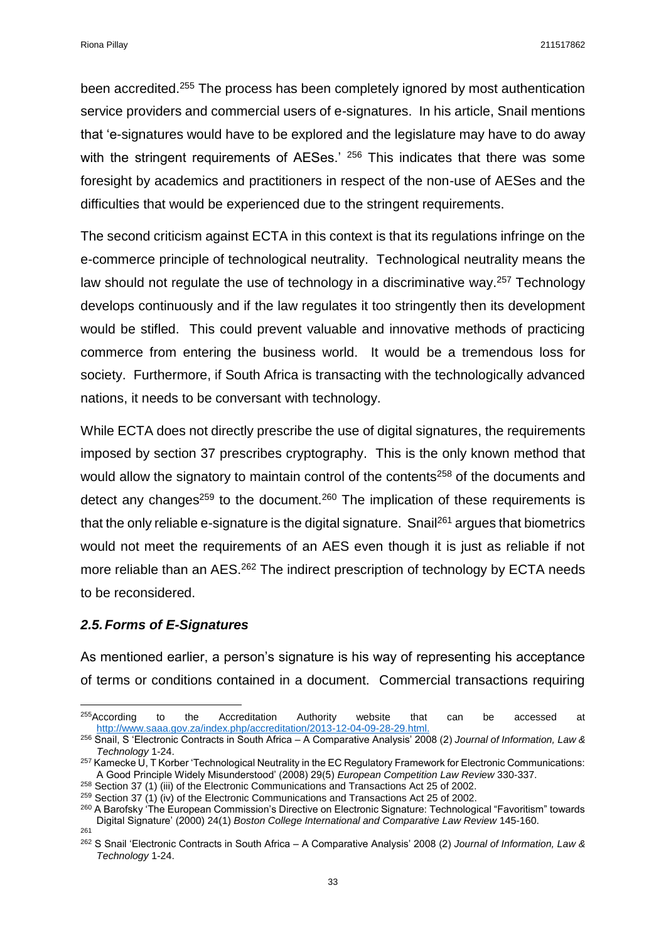been accredited.<sup>255</sup> The process has been completely ignored by most authentication service providers and commercial users of e-signatures. In his article, Snail mentions that 'e-signatures would have to be explored and the legislature may have to do away with the stringent requirements of AESes.<sup>' 256</sup> This indicates that there was some foresight by academics and practitioners in respect of the non-use of AESes and the difficulties that would be experienced due to the stringent requirements.

The second criticism against ECTA in this context is that its regulations infringe on the e-commerce principle of technological neutrality. Technological neutrality means the law should not regulate the use of technology in a discriminative way.<sup>257</sup> Technology develops continuously and if the law regulates it too stringently then its development would be stifled. This could prevent valuable and innovative methods of practicing commerce from entering the business world. It would be a tremendous loss for society. Furthermore, if South Africa is transacting with the technologically advanced nations, it needs to be conversant with technology.

While ECTA does not directly prescribe the use of digital signatures, the requirements imposed by section 37 prescribes cryptography. This is the only known method that would allow the signatory to maintain control of the contents<sup>258</sup> of the documents and detect any changes<sup>259</sup> to the document.<sup>260</sup> The implication of these requirements is that the only reliable e-signature is the digital signature. Snail<sup>261</sup> argues that biometrics would not meet the requirements of an AES even though it is just as reliable if not more reliable than an AES.<sup>262</sup> The indirect prescription of technology by ECTA needs to be reconsidered.

## <span id="page-32-0"></span>*2.5.Forms of E-Signatures*

 $\overline{a}$ 

As mentioned earlier, a person's signature is his way of representing his acceptance of terms or conditions contained in a document. Commercial transactions requiring

 $255$ According to the Accreditation Authority website that can be accessed at [http://www.saaa.gov.za/index.php/accreditation/2013-12-04-09-28-29.html.](http://www.saaa.gov.za/index.php/accreditation/2013-12-04-09-28-29.html)

<sup>256</sup> Snail, S 'Electronic Contracts in South Africa – A Comparative Analysis' 2008 (2) *Journal of Information, Law & Technology* 1-24.

<sup>257</sup> Kamecke U, T Korber 'Technological Neutrality in the EC Regulatory Framework for Electronic Communications: A Good Principle Widely Misunderstood' (2008) 29(5) *European Competition Law Review* 330-337.

<sup>&</sup>lt;sup>258</sup> Section 37 (1) (iii) of the Electronic Communications and Transactions Act 25 of 2002.

<sup>&</sup>lt;sup>259</sup> Section 37 (1) (iv) of the Electronic Communications and Transactions Act 25 of 2002.

<sup>&</sup>lt;sup>260</sup> A Barofsky 'The European Commission's Directive on Electronic Signature: Technological "Favoritism" towards Digital Signature' (2000) 24(1) *Boston College International and Comparative Law Review* 145-160. 261

<sup>262</sup> S Snail 'Electronic Contracts in South Africa – A Comparative Analysis' 2008 (2) *Journal of Information, Law & Technology* 1-24.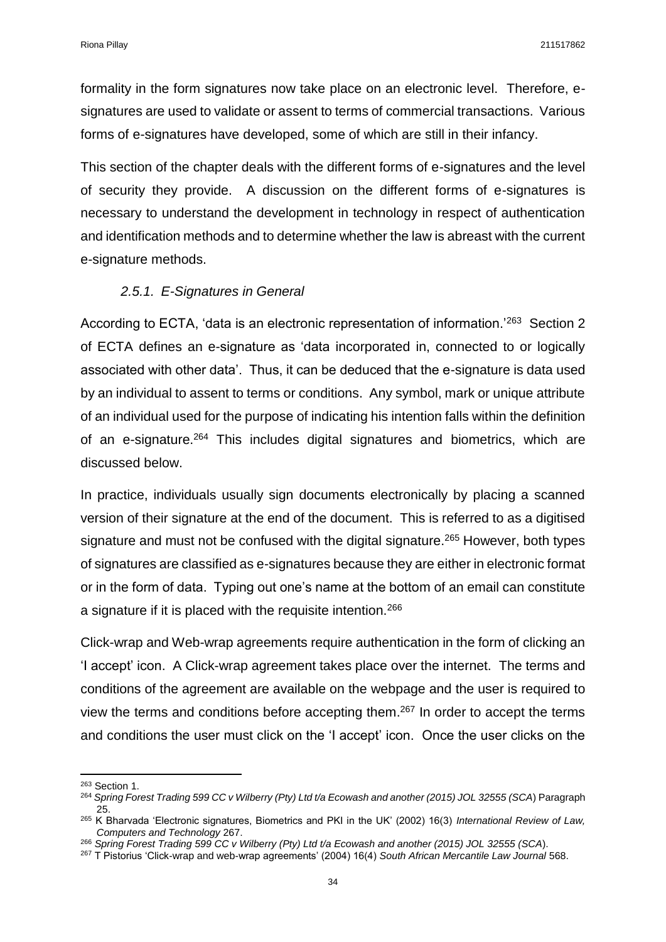formality in the form signatures now take place on an electronic level. Therefore, esignatures are used to validate or assent to terms of commercial transactions. Various forms of e-signatures have developed, some of which are still in their infancy.

This section of the chapter deals with the different forms of e-signatures and the level of security they provide. A discussion on the different forms of e-signatures is necessary to understand the development in technology in respect of authentication and identification methods and to determine whether the law is abreast with the current e-signature methods.

## *2.5.1. E-Signatures in General*

<span id="page-33-0"></span>According to ECTA, 'data is an electronic representation of information.'<sup>263</sup> Section 2 of ECTA defines an e-signature as 'data incorporated in, connected to or logically associated with other data'. Thus, it can be deduced that the e-signature is data used by an individual to assent to terms or conditions. Any symbol, mark or unique attribute of an individual used for the purpose of indicating his intention falls within the definition of an e-signature.<sup>264</sup> This includes digital signatures and biometrics, which are discussed below.

In practice, individuals usually sign documents electronically by placing a scanned version of their signature at the end of the document. This is referred to as a digitised signature and must not be confused with the digital signature.<sup>265</sup> However, both types of signatures are classified as e-signatures because they are either in electronic format or in the form of data. Typing out one's name at the bottom of an email can constitute a signature if it is placed with the requisite intention.<sup>266</sup>

Click-wrap and Web-wrap agreements require authentication in the form of clicking an 'I accept' icon. A Click-wrap agreement takes place over the internet. The terms and conditions of the agreement are available on the webpage and the user is required to view the terms and conditions before accepting them.<sup>267</sup> In order to accept the terms and conditions the user must click on the 'I accept' icon. Once the user clicks on the

**<sup>.</sup>** <sup>263</sup> Section 1.

<sup>264</sup> *Spring Forest Trading 599 CC v Wilberry (Pty) Ltd t/a Ecowash and another (2015) JOL 32555 (SCA*) Paragraph 25.

<sup>265</sup> K Bharvada 'Electronic signatures, Biometrics and PKI in the UK' (2002) 16(3) *International Review of Law, Computers and Technology* 267.

<sup>266</sup> *Spring Forest Trading 599 CC v Wilberry (Pty) Ltd t/a Ecowash and another (2015) JOL 32555 (SCA*).

<sup>267</sup> T Pistorius 'Click-wrap and web-wrap agreements' (2004) 16(4) *South African Mercantile Law Journal* 568.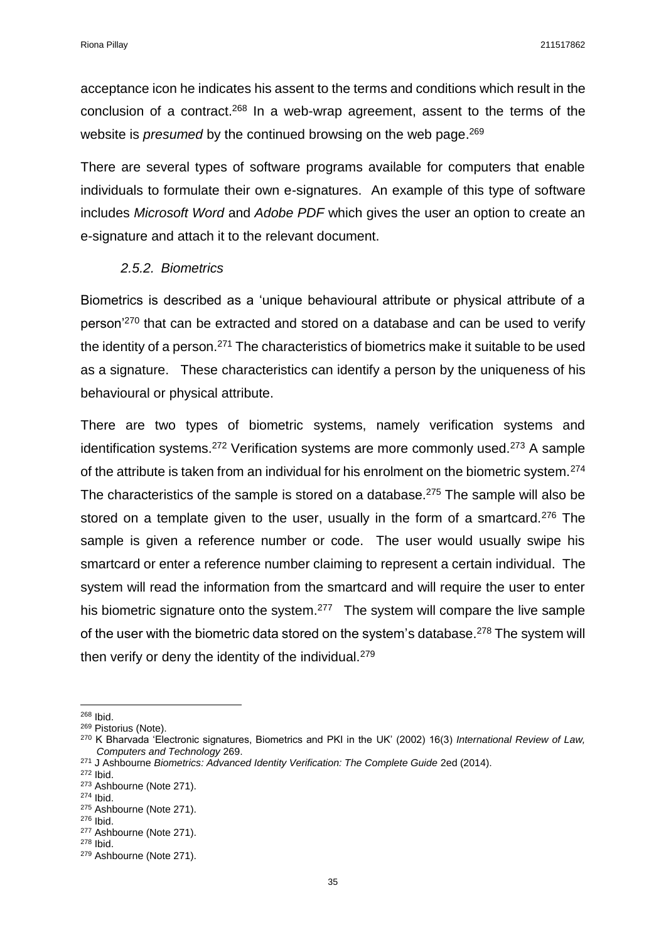acceptance icon he indicates his assent to the terms and conditions which result in the conclusion of a contract.<sup>268</sup> In a web-wrap agreement, assent to the terms of the website is *presumed* by the continued browsing on the web page. 269

There are several types of software programs available for computers that enable individuals to formulate their own e-signatures. An example of this type of software includes *Microsoft Word* and *Adobe PDF* which gives the user an option to create an e-signature and attach it to the relevant document.

### *2.5.2. Biometrics*

<span id="page-34-0"></span>Biometrics is described as a 'unique behavioural attribute or physical attribute of a person'<sup>270</sup> that can be extracted and stored on a database and can be used to verify the identity of a person.<sup>271</sup> The characteristics of biometrics make it suitable to be used as a signature. These characteristics can identify a person by the uniqueness of his behavioural or physical attribute.

There are two types of biometric systems, namely verification systems and identification systems.<sup>272</sup> Verification systems are more commonly used.<sup>273</sup> A sample of the attribute is taken from an individual for his enrolment on the biometric system.<sup>274</sup> The characteristics of the sample is stored on a database.<sup>275</sup> The sample will also be stored on a template given to the user, usually in the form of a smartcard.<sup>276</sup> The sample is given a reference number or code. The user would usually swipe his smartcard or enter a reference number claiming to represent a certain individual. The system will read the information from the smartcard and will require the user to enter his biometric signature onto the system.<sup>277</sup> The system will compare the live sample of the user with the biometric data stored on the system's database.<sup>278</sup> The system will then verify or deny the identity of the individual.<sup>279</sup>

 $\overline{a}$ <sup>268</sup> Ibid.

<sup>269</sup> Pistorius (Note).

<sup>270</sup> K Bharvada 'Electronic signatures, Biometrics and PKI in the UK' (2002) 16(3) *International Review of Law, Computers and Technology* 269.

<sup>&</sup>lt;sup>271</sup> J Ashbourne *Biometrics: Advanced Identity Verification: The Complete Guide 2ed (2014).* 

<sup>272</sup> Ibid.

<sup>273</sup> Ashbourne (Note 271).

<sup>274</sup> Ibid.

<sup>&</sup>lt;sup>275</sup> Ashbourne (Note 271).

<sup>276</sup> Ibid. <sup>277</sup> Ashbourne (Note 271).

<sup>278</sup> Ibid.

<sup>279</sup> Ashbourne (Note 271).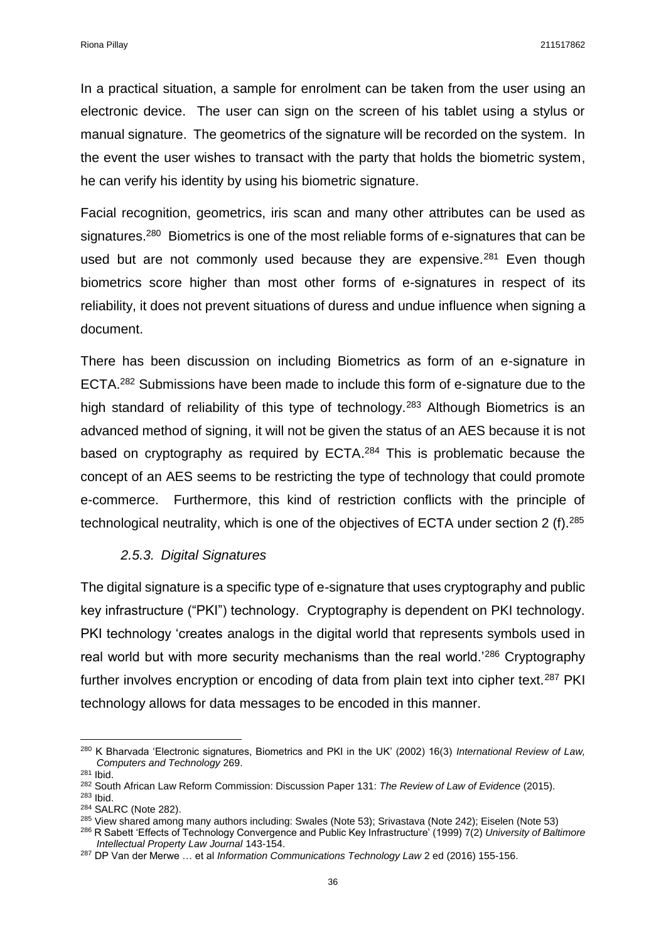In a practical situation, a sample for enrolment can be taken from the user using an electronic device. The user can sign on the screen of his tablet using a stylus or manual signature. The geometrics of the signature will be recorded on the system. In the event the user wishes to transact with the party that holds the biometric system, he can verify his identity by using his biometric signature.

Facial recognition, geometrics, iris scan and many other attributes can be used as signatures.<sup>280</sup> Biometrics is one of the most reliable forms of e-signatures that can be used but are not commonly used because they are expensive. $281$  Even though biometrics score higher than most other forms of e-signatures in respect of its reliability, it does not prevent situations of duress and undue influence when signing a document.

There has been discussion on including Biometrics as form of an e-signature in ECTA.<sup>282</sup> Submissions have been made to include this form of e-signature due to the high standard of reliability of this type of technology.<sup>283</sup> Although Biometrics is an advanced method of signing, it will not be given the status of an AES because it is not based on cryptography as required by ECTA.<sup>284</sup> This is problematic because the concept of an AES seems to be restricting the type of technology that could promote e-commerce. Furthermore, this kind of restriction conflicts with the principle of technological neutrality, which is one of the objectives of ECTA under section 2 (f).<sup>285</sup>

## *2.5.3. Digital Signatures*

<span id="page-35-0"></span>The digital signature is a specific type of e-signature that uses cryptography and public key infrastructure ("PKI") technology. Cryptography is dependent on PKI technology. PKI technology 'creates analogs in the digital world that represents symbols used in real world but with more security mechanisms than the real world.'<sup>286</sup> Cryptography further involves encryption or encoding of data from plain text into cipher text.<sup>287</sup> PKI technology allows for data messages to be encoded in this manner.

 $\overline{a}$ <sup>280</sup> K Bharvada 'Electronic signatures, Biometrics and PKI in the UK' (2002) 16(3) *International Review of Law, Computers and Technology* 269.

<sup>281</sup> Ibid.

<sup>282</sup> South African Law Reform Commission: Discussion Paper 131: *The Review of Law of Evidence* (2015). <sup>283</sup> Ibid.

<sup>284</sup> SALRC (Note 282).

<sup>285</sup> View shared among many authors including: Swales (Note 53); Srivastava (Note 242); Eiselen (Note 53)

<sup>286</sup> R Sabett 'Effects of Technology Convergence and Public Key Infrastructure' (1999) 7(2) *University of Baltimore Intellectual Property Law Journal* 143-154.

<sup>287</sup> DP Van der Merwe … et al *Information Communications Technology Law* 2 ed (2016) 155-156.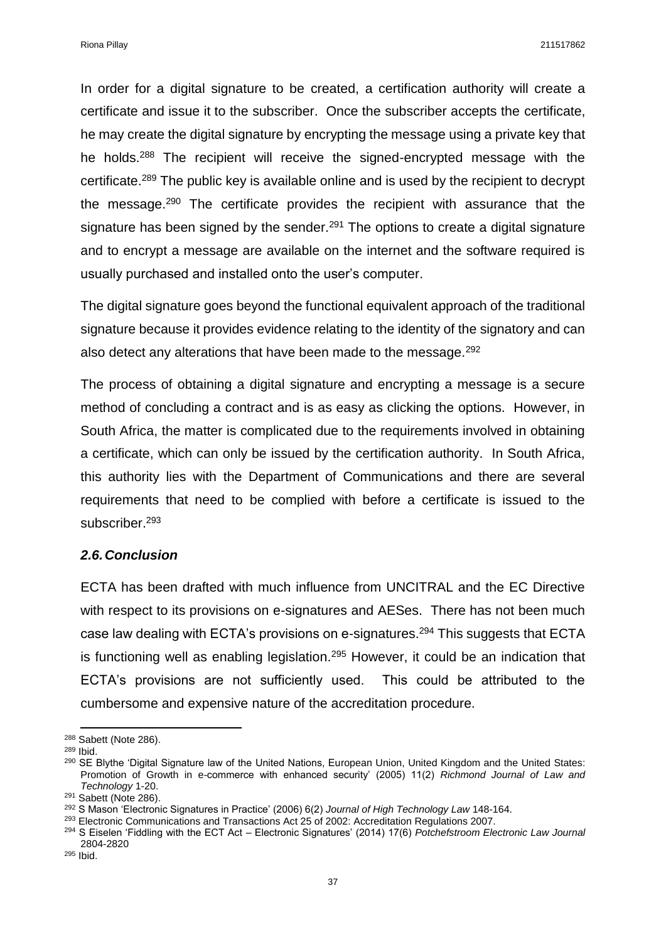Riona Pillay 211517862

In order for a digital signature to be created, a certification authority will create a certificate and issue it to the subscriber. Once the subscriber accepts the certificate, he may create the digital signature by encrypting the message using a private key that he holds.<sup>288</sup> The recipient will receive the signed-encrypted message with the certificate.<sup>289</sup> The public key is available online and is used by the recipient to decrypt the message.<sup>290</sup> The certificate provides the recipient with assurance that the signature has been signed by the sender.<sup>291</sup> The options to create a digital signature and to encrypt a message are available on the internet and the software required is usually purchased and installed onto the user's computer.

The digital signature goes beyond the functional equivalent approach of the traditional signature because it provides evidence relating to the identity of the signatory and can also detect any alterations that have been made to the message.<sup>292</sup>

The process of obtaining a digital signature and encrypting a message is a secure method of concluding a contract and is as easy as clicking the options. However, in South Africa, the matter is complicated due to the requirements involved in obtaining a certificate, which can only be issued by the certification authority. In South Africa, this authority lies with the Department of Communications and there are several requirements that need to be complied with before a certificate is issued to the subscriber.<sup>293</sup>

#### *2.6.Conclusion*

ECTA has been drafted with much influence from UNCITRAL and the EC Directive with respect to its provisions on e-signatures and AESes. There has not been much case law dealing with ECTA's provisions on e-signatures.<sup>294</sup> This suggests that ECTA is functioning well as enabling legislation.<sup>295</sup> However, it could be an indication that ECTA's provisions are not sufficiently used. This could be attributed to the cumbersome and expensive nature of the accreditation procedure.

 $\overline{a}$ <sup>288</sup> Sabett (Note 286).

<sup>289</sup> Ibid.

<sup>&</sup>lt;sup>290</sup> SE Blythe 'Digital Signature law of the United Nations, European Union, United Kingdom and the United States: Promotion of Growth in e-commerce with enhanced security' (2005) 11(2) *Richmond Journal of Law and Technology* 1-20.

<sup>291</sup> Sabett (Note 286).

<sup>292</sup> S Mason 'Electronic Signatures in Practice' (2006) 6(2) *Journal of High Technology Law* 148-164.

 $293$  Electronic Communications and Transactions Act  $25$  of 2002: Accreditation Regulations 2007.

<sup>294</sup> S Eiselen 'Fiddling with the ECT Act – Electronic Signatures' (2014) 17(6) *Potchefstroom Electronic Law Journal*  2804-2820

<sup>295</sup> Ibid.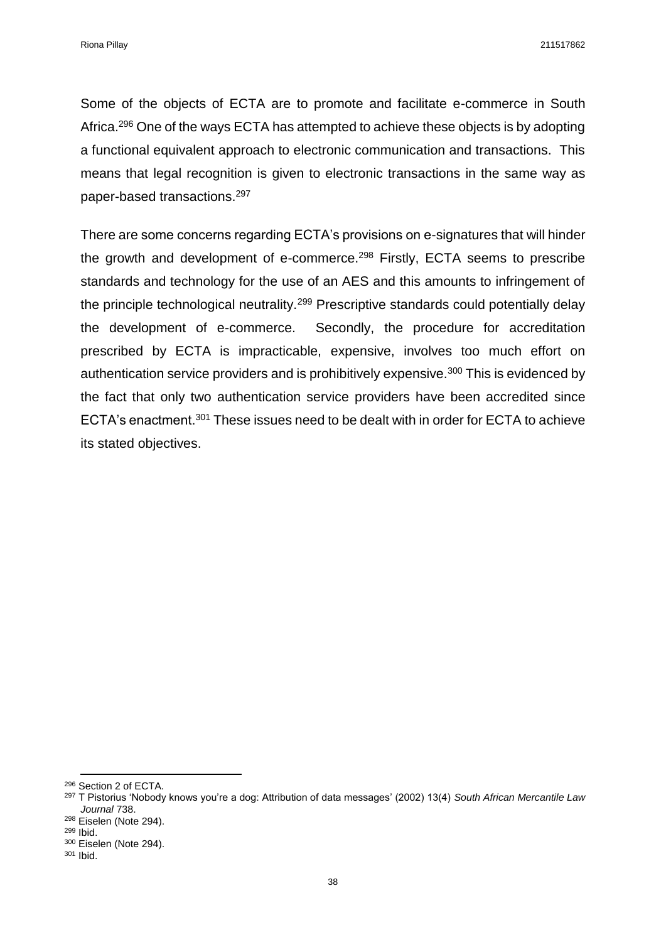Some of the objects of ECTA are to promote and facilitate e-commerce in South Africa.<sup>296</sup> One of the ways ECTA has attempted to achieve these objects is by adopting a functional equivalent approach to electronic communication and transactions. This means that legal recognition is given to electronic transactions in the same way as paper-based transactions.<sup>297</sup>

There are some concerns regarding ECTA's provisions on e-signatures that will hinder the growth and development of e-commerce.<sup>298</sup> Firstly, ECTA seems to prescribe standards and technology for the use of an AES and this amounts to infringement of the principle technological neutrality.<sup>299</sup> Prescriptive standards could potentially delay the development of e-commerce. Secondly, the procedure for accreditation prescribed by ECTA is impracticable, expensive, involves too much effort on authentication service providers and is prohibitively expensive.<sup>300</sup> This is evidenced by the fact that only two authentication service providers have been accredited since ECTA's enactment.<sup>301</sup> These issues need to be dealt with in order for ECTA to achieve its stated objectives.

<sup>298</sup> Eiselen (Note 294).

**.** 

<sup>296</sup> Section 2 of ECTA.

<sup>297</sup> T Pistorius 'Nobody knows you're a dog: Attribution of data messages' (2002) 13(4) *South African Mercantile Law Journal* 738.

<sup>299</sup> Ibid.

<sup>300</sup> Eiselen (Note 294).

<sup>301</sup> Ibid.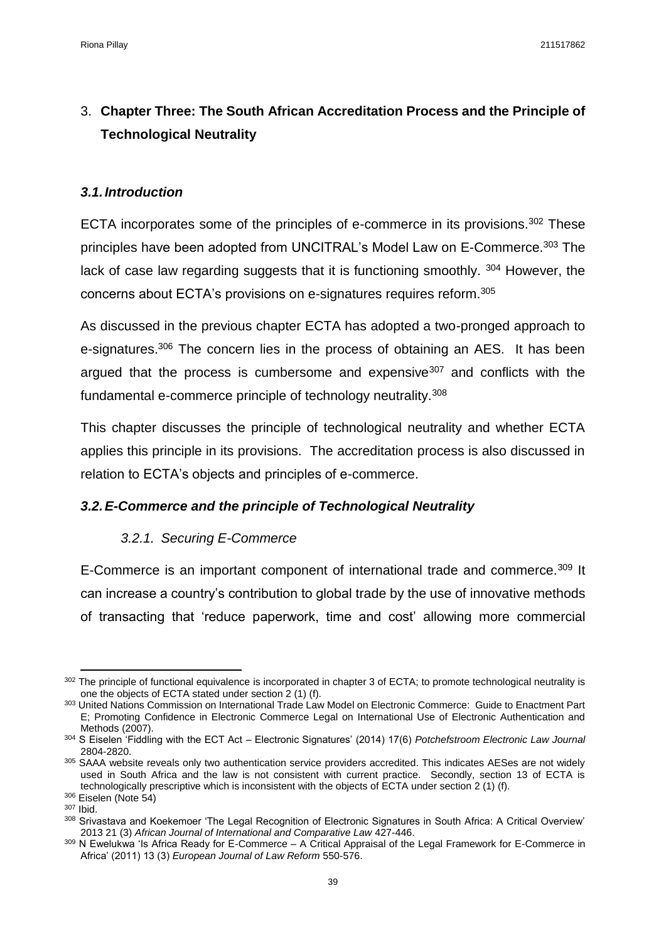# 3. **Chapter Three: The South African Accreditation Process and the Principle of Technological Neutrality**

## *3.1.Introduction*

ECTA incorporates some of the principles of e-commerce in its provisions.<sup>302</sup> These principles have been adopted from UNCITRAL's Model Law on E-Commerce.<sup>303</sup> The lack of case law regarding suggests that it is functioning smoothly. 304 However, the concerns about ECTA's provisions on e-signatures requires reform.<sup>305</sup>

As discussed in the previous chapter ECTA has adopted a two-pronged approach to e-signatures.<sup>306</sup> The concern lies in the process of obtaining an AES. It has been argued that the process is cumbersome and expensive<sup>307</sup> and conflicts with the fundamental e-commerce principle of technology neutrality.<sup>308</sup>

This chapter discusses the principle of technological neutrality and whether ECTA applies this principle in its provisions. The accreditation process is also discussed in relation to ECTA's objects and principles of e-commerce.

## *3.2.E-Commerce and the principle of Technological Neutrality*

## *3.2.1. Securing E-Commerce*

E-Commerce is an important component of international trade and commerce.<sup>309</sup> It can increase a country's contribution to global trade by the use of innovative methods of transacting that 'reduce paperwork, time and cost' allowing more commercial

 $\overline{a}$  $302$  The principle of functional equivalence is incorporated in chapter 3 of ECTA; to promote technological neutrality is one the objects of ECTA stated under section 2 (1) (f).

<sup>303</sup> United Nations Commission on International Trade Law Model on Electronic Commerce: Guide to Enactment Part E; Promoting Confidence in Electronic Commerce Legal on International Use of Electronic Authentication and Methods (2007).

<sup>304</sup> S Eiselen 'Fiddling with the ECT Act – Electronic Signatures' (2014) 17(6) *Potchefstroom Electronic Law Journal*  2804-2820.

<sup>305</sup> SAAA website reveals only two authentication service providers accredited. This indicates AESes are not widely used in South Africa and the law is not consistent with current practice. Secondly, section 13 of ECTA is technologically prescriptive which is inconsistent with the objects of ECTA under section 2 (1) (f).

<sup>306</sup> Eiselen (Note 54)

<sup>307</sup> Ibid.

<sup>&</sup>lt;sup>308</sup> Srivastava and Koekemoer 'The Legal Recognition of Electronic Signatures in South Africa: A Critical Overview' 2013 21 (3) *African Journal of International and Comparative Law* 427-446.

<sup>309</sup> N Ewelukwa 'Is Africa Ready for E-Commerce - A Critical Appraisal of the Legal Framework for E-Commerce in Africa' (2011) 13 (3) *European Journal of Law Reform* 550-576.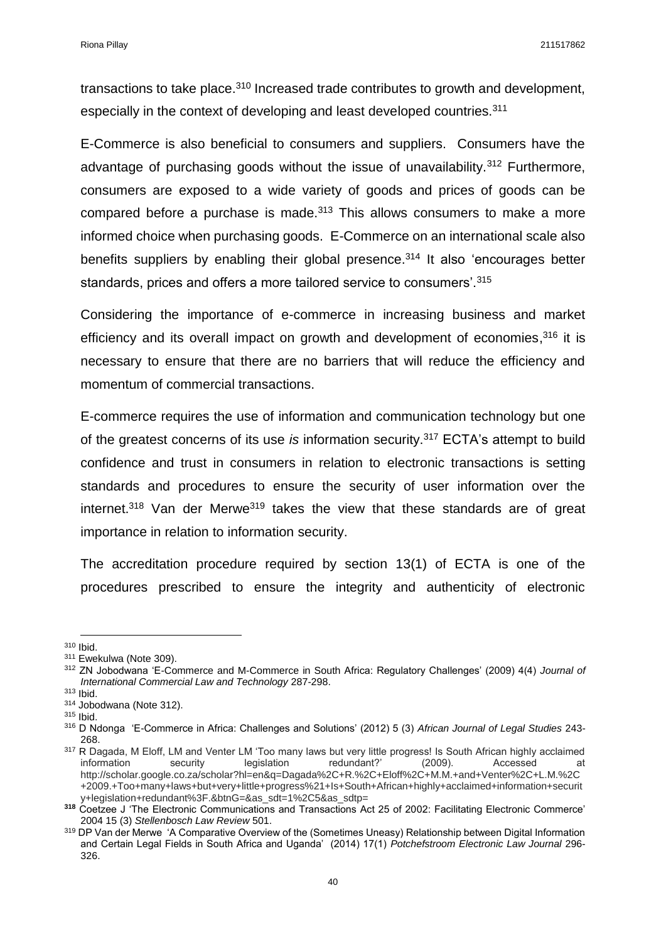transactions to take place.<sup>310</sup> Increased trade contributes to growth and development, especially in the context of developing and least developed countries.<sup>311</sup>

E-Commerce is also beneficial to consumers and suppliers. Consumers have the advantage of purchasing goods without the issue of unavailability.<sup>312</sup> Furthermore, consumers are exposed to a wide variety of goods and prices of goods can be compared before a purchase is made.<sup>313</sup> This allows consumers to make a more informed choice when purchasing goods. E-Commerce on an international scale also benefits suppliers by enabling their global presence.<sup>314</sup> It also 'encourages better standards, prices and offers a more tailored service to consumers'.<sup>315</sup>

Considering the importance of e-commerce in increasing business and market efficiency and its overall impact on growth and development of economies,<sup>316</sup> it is necessary to ensure that there are no barriers that will reduce the efficiency and momentum of commercial transactions.

E-commerce requires the use of information and communication technology but one of the greatest concerns of its use *is* information security.<sup>317</sup> ECTA's attempt to build confidence and trust in consumers in relation to electronic transactions is setting standards and procedures to ensure the security of user information over the internet.<sup>318</sup> Van der Merwe<sup>319</sup> takes the view that these standards are of great importance in relation to information security.

The accreditation procedure required by section 13(1) of ECTA is one of the procedures prescribed to ensure the integrity and authenticity of electronic

**<sup>.</sup>** <sup>310</sup> Ibid.

<sup>311</sup> Ewekulwa (Note 309).

<sup>312</sup> ZN Jobodwana 'E-Commerce and M-Commerce in South Africa: Regulatory Challenges' (2009) 4(4) *Journal of International Commercial Law and Technology* 287-298.

<sup>313</sup> Ibid.

<sup>314</sup> Jobodwana (Note 312).

<sup>315</sup> Ibid.

<sup>316</sup> D Ndonga 'E-Commerce in Africa: Challenges and Solutions' (2012) 5 (3) *African Journal of Legal Studies* 243- 268.

<sup>317</sup> R Dagada, M Eloff, LM and Venter LM 'Too many laws but very little progress! Is South African highly acclaimed information security legislation redundant?' (2009). Accessed at http://scholar.google.co.za/scholar?hl=en&q=Dagada%2C+R.%2C+Eloff%2C+M.M.+and+Venter%2C+L.M.%2C +2009.+Too+many+laws+but+very+little+progress%21+Is+South+African+highly+acclaimed+information+securit y+legislation+redundant%3F.&btnG=&as\_sdt=1%2C5&as\_sdtp=

**<sup>318</sup>** Coetzee J 'The Electronic Communications and Transactions Act 25 of 2002: Facilitating Electronic Commerce' 2004 15 (3) *Stellenbosch Law Review* 501.

<sup>319</sup> DP Van der Merwe 'A Comparative Overview of the (Sometimes Uneasy) Relationship between Digital Information and Certain Legal Fields in South Africa and Uganda' (2014) 17(1) *Potchefstroom Electronic Law Journal* 296- 326.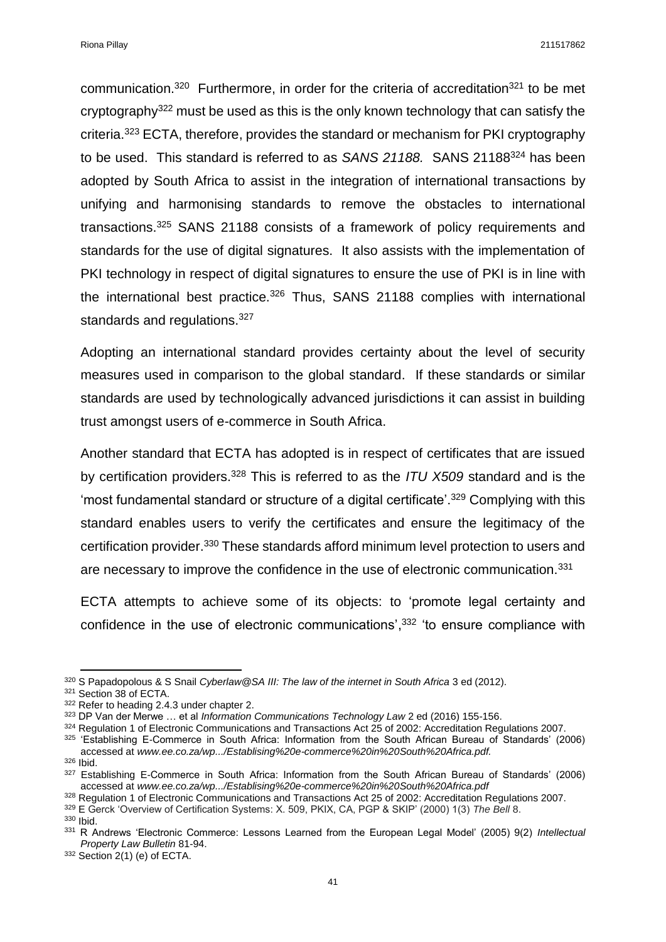Riona Pillay 211517862

communication.<sup>320</sup> Furthermore, in order for the criteria of accreditation<sup>321</sup> to be met cryptography<sup>322</sup> must be used as this is the only known technology that can satisfy the criteria.<sup>323</sup> ECTA, therefore, provides the standard or mechanism for PKI cryptography to be used. This standard is referred to as *SANS 21188.* SANS 21188<sup>324</sup> has been adopted by South Africa to assist in the integration of international transactions by unifying and harmonising standards to remove the obstacles to international transactions.<sup>325</sup> SANS 21188 consists of a framework of policy requirements and standards for the use of digital signatures. It also assists with the implementation of PKI technology in respect of digital signatures to ensure the use of PKI is in line with the international best practice.<sup>326</sup> Thus, SANS 21188 complies with international standards and regulations.<sup>327</sup>

Adopting an international standard provides certainty about the level of security measures used in comparison to the global standard. If these standards or similar standards are used by technologically advanced jurisdictions it can assist in building trust amongst users of e-commerce in South Africa.

Another standard that ECTA has adopted is in respect of certificates that are issued by certification providers.<sup>328</sup> This is referred to as the *ITU X509* standard and is the 'most fundamental standard or structure of a digital certificate'.<sup>329</sup> Complying with this standard enables users to verify the certificates and ensure the legitimacy of the certification provider.<sup>330</sup> These standards afford minimum level protection to users and are necessary to improve the confidence in the use of electronic communication.<sup>331</sup>

ECTA attempts to achieve some of its objects: to 'promote legal certainty and confidence in the use of electronic communications', <sup>332</sup> 'to ensure compliance with

324 Regulation 1 of Electronic Communications and Transactions Act 25 of 2002: Accreditation Regulations 2007.

<sup>325</sup> 'Establishing E-Commerce in South Africa: Information from the South African Bureau of Standards' (2006) accessed at *www.ee.co.za/wp.../Establising%20e-commerce%20in%20South%20Africa.pdf.*

<sup>326</sup> Ibid.

<sup>330</sup> Ibid.

<sup>332</sup> Section 2(1) (e) of ECTA.

 $\overline{a}$ <sup>320</sup> S Papadopolous & S Snail *Cyberlaw@SA III: The law of the internet in South Africa* 3 ed (2012).

<sup>321</sup> Section 38 of ECTA.

<sup>322</sup> Refer to heading 2.4.3 under chapter 2.

<sup>323</sup> DP Van der Merwe … et al *Information Communications Technology Law* 2 ed (2016) 155-156.

<sup>327</sup> Establishing E-Commerce in South Africa: Information from the South African Bureau of Standards' (2006) accessed at *www.ee.co.za/wp.../Establising%20e-commerce%20in%20South%20Africa.pdf*

<sup>328</sup> Regulation 1 of Electronic Communications and Transactions Act 25 of 2002: Accreditation Regulations 2007.

<sup>329</sup> E Gerck 'Overview of Certification Systems: X. 509, PKIX, CA, PGP & SKIP' (2000) 1(3) *The Bell* 8.

<sup>331</sup> R Andrews 'Electronic Commerce: Lessons Learned from the European Legal Model' (2005) 9(2) *Intellectual Property Law Bulletin* 81-94.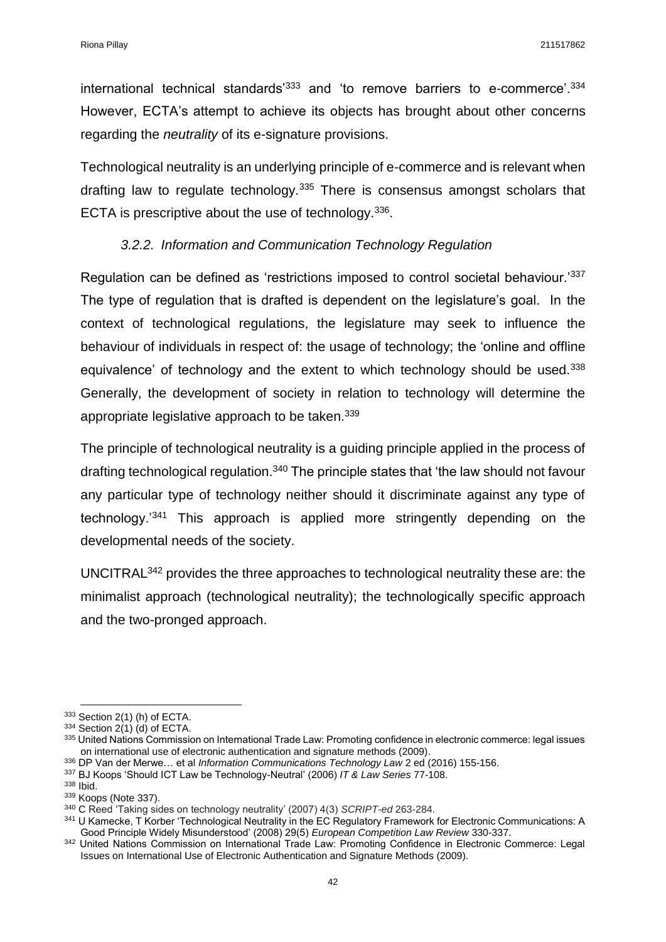international technical standards<sup>'333</sup> and 'to remove barriers to e-commerce'.<sup>334</sup> However, ECTA's attempt to achieve its objects has brought about other concerns regarding the *neutrality* of its e-signature provisions.

Technological neutrality is an underlying principle of e-commerce and is relevant when drafting law to regulate technology.<sup>335</sup> There is consensus amongst scholars that ECTA is prescriptive about the use of technology. 336.

## *3.2.2. Information and Communication Technology Regulation*

Regulation can be defined as 'restrictions imposed to control societal behaviour.'337 The type of regulation that is drafted is dependent on the legislature's goal. In the context of technological regulations, the legislature may seek to influence the behaviour of individuals in respect of: the usage of technology; the 'online and offline equivalence' of technology and the extent to which technology should be used.<sup>338</sup> Generally, the development of society in relation to technology will determine the appropriate legislative approach to be taken.<sup>339</sup>

The principle of technological neutrality is a guiding principle applied in the process of drafting technological regulation.<sup>340</sup> The principle states that 'the law should not favour any particular type of technology neither should it discriminate against any type of technology.'<sup>341</sup> This approach is applied more stringently depending on the developmental needs of the society.

UNCITRAL<sup>342</sup> provides the three approaches to technological neutrality these are: the minimalist approach (technological neutrality); the technologically specific approach and the two-pronged approach.

 $\overline{a}$ 

<sup>333</sup> Section 2(1) (h) of ECTA.

 $334$  Section 2(1) (d) of ECTA.

<sup>335</sup> United Nations Commission on International Trade Law: Promoting confidence in electronic commerce: legal issues on international use of electronic authentication and signature methods (2009).

<sup>336</sup> DP Van der Merwe… et al *Information Communications Technology Law* 2 ed (2016) 155-156.

<sup>337</sup> BJ Koops 'Should ICT Law be Technology-Neutral' (2006) *IT & Law Series* 77-108.

<sup>338</sup> Ibid.

<sup>339</sup> Koops (Note 337).

<sup>340</sup> C Reed 'Taking sides on technology neutrality' (2007) 4(3) *SCRIPT-ed* 263-284.

<sup>341</sup> U Kamecke, T Korber 'Technological Neutrality in the EC Regulatory Framework for Electronic Communications: A Good Principle Widely Misunderstood' (2008) 29(5) *European Competition Law Review* 330-337.

<sup>342</sup> United Nations Commission on International Trade Law: Promoting Confidence in Electronic Commerce: Legal Issues on International Use of Electronic Authentication and Signature Methods (2009).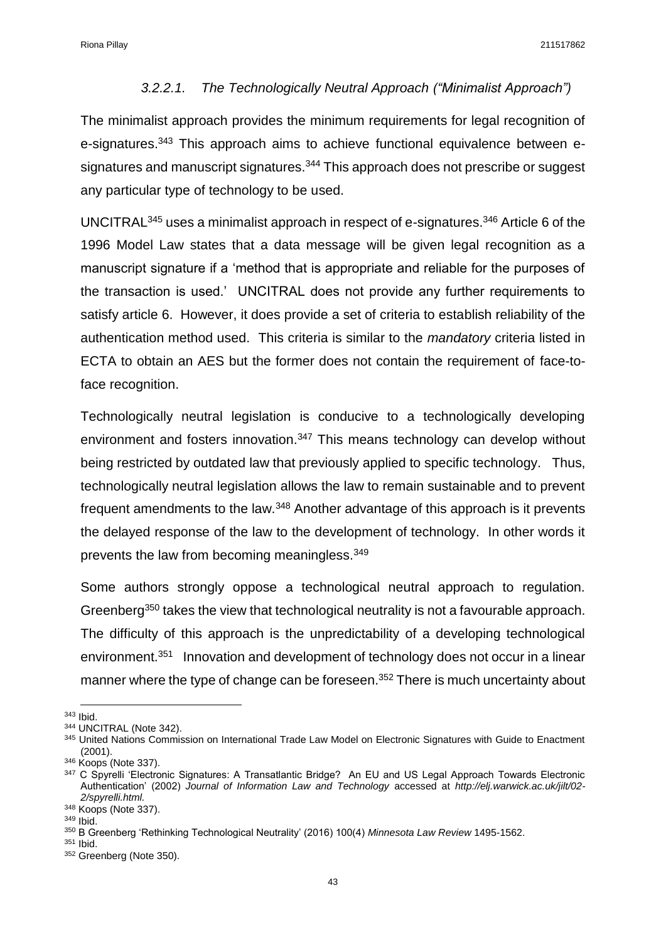#### *3.2.2.1. The Technologically Neutral Approach ("Minimalist Approach")*

The minimalist approach provides the minimum requirements for legal recognition of e-signatures.<sup>343</sup> This approach aims to achieve functional equivalence between esignatures and manuscript signatures.<sup>344</sup> This approach does not prescribe or suggest any particular type of technology to be used.

UNCITRAL<sup>345</sup> uses a minimalist approach in respect of e-signatures.<sup>346</sup> Article 6 of the 1996 Model Law states that a data message will be given legal recognition as a manuscript signature if a 'method that is appropriate and reliable for the purposes of the transaction is used.' UNCITRAL does not provide any further requirements to satisfy article 6. However, it does provide a set of criteria to establish reliability of the authentication method used. This criteria is similar to the *mandatory* criteria listed in ECTA to obtain an AES but the former does not contain the requirement of face-toface recognition.

Technologically neutral legislation is conducive to a technologically developing environment and fosters innovation.<sup>347</sup> This means technology can develop without being restricted by outdated law that previously applied to specific technology. Thus, technologically neutral legislation allows the law to remain sustainable and to prevent frequent amendments to the law.<sup>348</sup> Another advantage of this approach is it prevents the delayed response of the law to the development of technology. In other words it prevents the law from becoming meaningless.<sup>349</sup>

Some authors strongly oppose a technological neutral approach to regulation. Greenberg<sup>350</sup> takes the view that technological neutrality is not a favourable approach. The difficulty of this approach is the unpredictability of a developing technological environment.<sup>351</sup> Innovation and development of technology does not occur in a linear manner where the type of change can be foreseen.<sup>352</sup> There is much uncertainty about

 $\overline{a}$ <sup>343</sup> Ibid.

<sup>344</sup> UNCITRAL (Note 342).

<sup>345</sup> United Nations Commission on International Trade Law Model on Electronic Signatures with Guide to Enactment (2001).

<sup>346</sup> Koops (Note 337).

<sup>347</sup> C Spyrelli 'Electronic Signatures: A Transatlantic Bridge? An EU and US Legal Approach Towards Electronic Authentication' (2002) *Journal of Information Law and Technology* accessed at *http://elj.warwick.ac.uk/jilt/02- 2/spyrelli.html.*

<sup>348</sup> Koops (Note 337).

<sup>349</sup> Ibid.

<sup>350</sup> B Greenberg 'Rethinking Technological Neutrality' (2016) 100(4) *Minnesota Law Review* 1495-1562.

<sup>351</sup> Ibid.

<sup>352</sup> Greenberg (Note 350).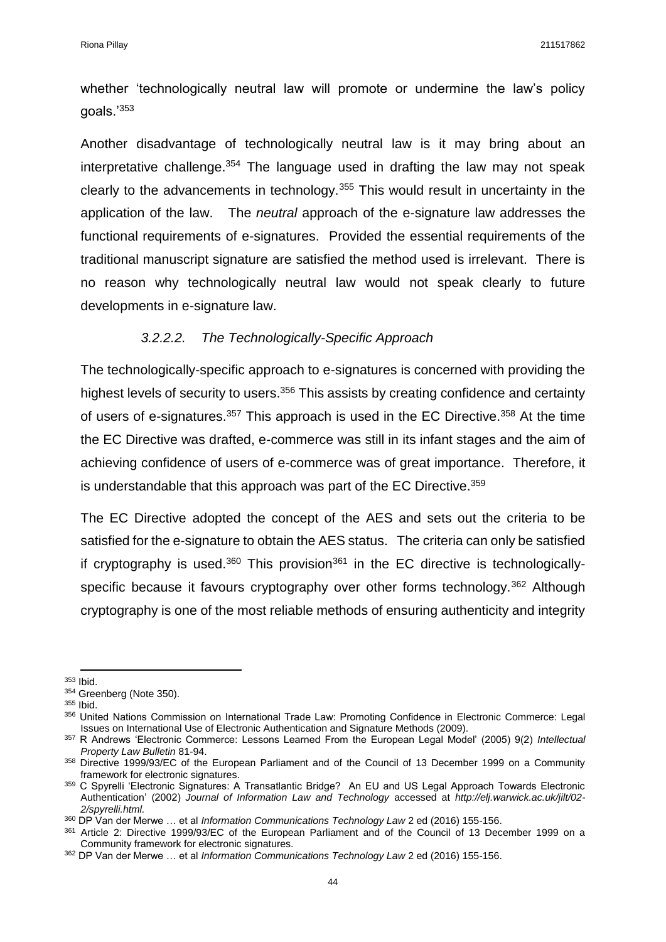whether 'technologically neutral law will promote or undermine the law's policy goals.'<sup>353</sup>

Another disadvantage of technologically neutral law is it may bring about an interpretative challenge.<sup>354</sup> The language used in drafting the law may not speak clearly to the advancements in technology.<sup>355</sup> This would result in uncertainty in the application of the law. The *neutral* approach of the e-signature law addresses the functional requirements of e-signatures. Provided the essential requirements of the traditional manuscript signature are satisfied the method used is irrelevant. There is no reason why technologically neutral law would not speak clearly to future developments in e-signature law.

#### *3.2.2.2. The Technologically-Specific Approach*

The technologically-specific approach to e-signatures is concerned with providing the highest levels of security to users.<sup>356</sup> This assists by creating confidence and certainty of users of e-signatures.<sup>357</sup> This approach is used in the EC Directive.<sup>358</sup> At the time the EC Directive was drafted, e-commerce was still in its infant stages and the aim of achieving confidence of users of e-commerce was of great importance. Therefore, it is understandable that this approach was part of the EC Directive.<sup>359</sup>

The EC Directive adopted the concept of the AES and sets out the criteria to be satisfied for the e-signature to obtain the AES status. The criteria can only be satisfied if cryptography is used.<sup>360</sup> This provision<sup>361</sup> in the EC directive is technologicallyspecific because it favours cryptography over other forms technology.<sup>362</sup> Although cryptography is one of the most reliable methods of ensuring authenticity and integrity

 $\overline{a}$ <sup>353</sup> Ibid.

<sup>354</sup> Greenberg (Note 350).

<sup>355</sup> Ibid.

<sup>356</sup> United Nations Commission on International Trade Law: Promoting Confidence in Electronic Commerce: Legal Issues on International Use of Electronic Authentication and Signature Methods (2009).

<sup>357</sup> R Andrews 'Electronic Commerce: Lessons Learned From the European Legal Model' (2005) 9(2) *Intellectual Property Law Bulletin* 81-94.

<sup>358</sup> Directive 1999/93/EC of the European Parliament and of the Council of 13 December 1999 on a Community framework for electronic signatures.

<sup>359</sup> C Spyrelli 'Electronic Signatures: A Transatlantic Bridge? An EU and US Legal Approach Towards Electronic Authentication' (2002) *Journal of Information Law and Technology* accessed at *http://elj.warwick.ac.uk/jilt/02- 2/spyrelli.html.*

<sup>360</sup> DP Van der Merwe … et al *Information Communications Technology Law* 2 ed (2016) 155-156.

<sup>361</sup> Article 2: Directive 1999/93/EC of the European Parliament and of the Council of 13 December 1999 on a Community framework for electronic signatures.

<sup>362</sup> DP Van der Merwe … et al *Information Communications Technology Law* 2 ed (2016) 155-156.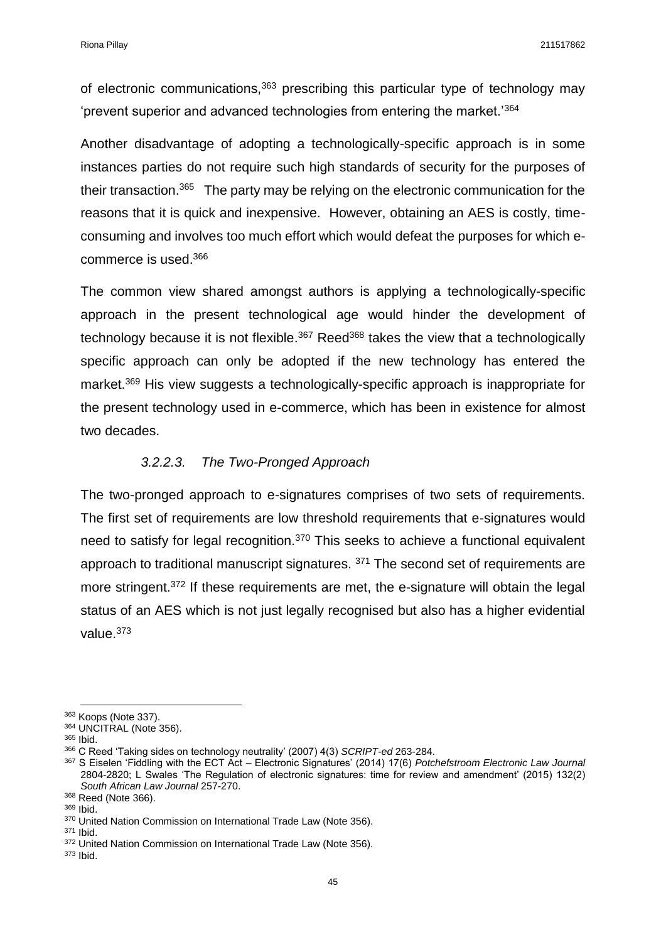of electronic communications,<sup>363</sup> prescribing this particular type of technology may 'prevent superior and advanced technologies from entering the market.'<sup>364</sup>

Another disadvantage of adopting a technologically-specific approach is in some instances parties do not require such high standards of security for the purposes of their transaction.<sup>365</sup> The party may be relying on the electronic communication for the reasons that it is quick and inexpensive. However, obtaining an AES is costly, timeconsuming and involves too much effort which would defeat the purposes for which ecommerce is used.<sup>366</sup>

The common view shared amongst authors is applying a technologically-specific approach in the present technological age would hinder the development of technology because it is not flexible.<sup>367</sup> Reed<sup>368</sup> takes the view that a technologically specific approach can only be adopted if the new technology has entered the market.<sup>369</sup> His view suggests a technologically-specific approach is inappropriate for the present technology used in e-commerce, which has been in existence for almost two decades.

### *3.2.2.3. The Two-Pronged Approach*

The two-pronged approach to e-signatures comprises of two sets of requirements. The first set of requirements are low threshold requirements that e-signatures would need to satisfy for legal recognition.<sup>370</sup> This seeks to achieve a functional equivalent approach to traditional manuscript signatures. <sup>371</sup> The second set of requirements are more stringent.<sup>372</sup> If these requirements are met, the e-signature will obtain the legal status of an AES which is not just legally recognised but also has a higher evidential value.<sup>373</sup>

 $\overline{a}$ 

<sup>363</sup> Koops (Note 337).

<sup>364</sup> UNCITRAL (Note 356).

<sup>365</sup> Ibid.

<sup>366</sup> C Reed 'Taking sides on technology neutrality' (2007) 4(3) *SCRIPT-ed* 263-284.

<sup>367</sup> S Eiselen 'Fiddling with the ECT Act – Electronic Signatures' (2014) 17(6) *Potchefstroom Electronic Law Journal*  2804-2820; L Swales 'The Regulation of electronic signatures: time for review and amendment' (2015) 132(2) *South African Law Journal* 257-270.

<sup>368</sup> Reed (Note 366).

<sup>369</sup> Ibid.

<sup>370</sup> United Nation Commission on International Trade Law (Note 356).

<sup>371</sup> Ibid.

<sup>372</sup> United Nation Commission on International Trade Law (Note 356).

<sup>373</sup> Ibid.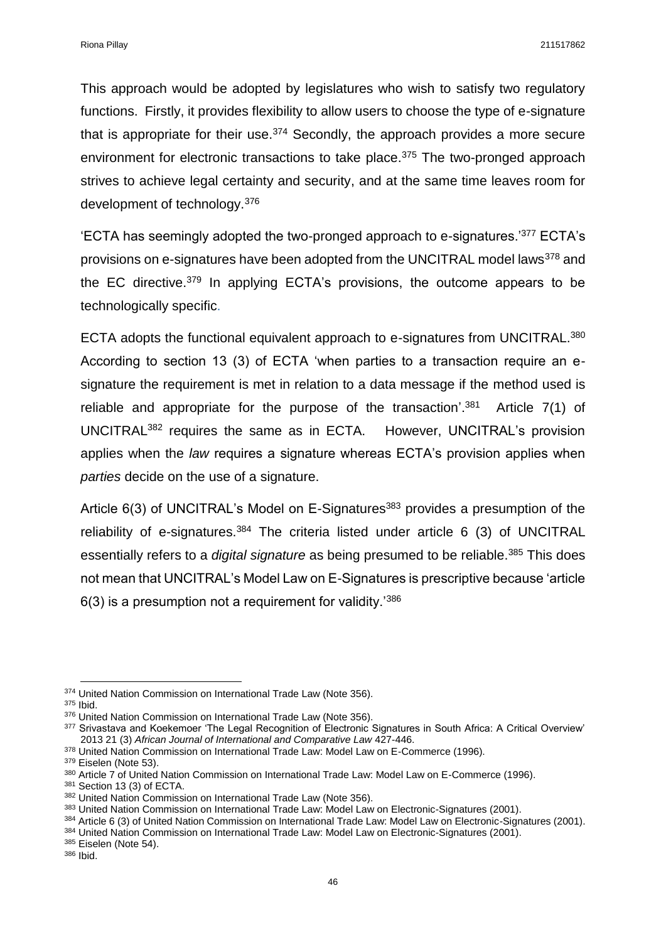This approach would be adopted by legislatures who wish to satisfy two regulatory functions. Firstly, it provides flexibility to allow users to choose the type of e-signature that is appropriate for their use. $374$  Secondly, the approach provides a more secure environment for electronic transactions to take place.<sup>375</sup> The two-pronged approach strives to achieve legal certainty and security, and at the same time leaves room for development of technology.<sup>376</sup>

'ECTA has seemingly adopted the two-pronged approach to e-signatures.'<sup>377</sup> ECTA's provisions on e-signatures have been adopted from the UNCITRAL model laws<sup>378</sup> and the EC directive.<sup>379</sup> In applying ECTA's provisions, the outcome appears to be technologically specific.

ECTA adopts the functional equivalent approach to e-signatures from UNCITRAL.<sup>380</sup> According to section 13 (3) of ECTA 'when parties to a transaction require an esignature the requirement is met in relation to a data message if the method used is reliable and appropriate for the purpose of the transaction<sup>'.381</sup> Article 7(1) of UNCITRAL<sup>382</sup> requires the same as in ECTA. However, UNCITRAL's provision applies when the *law* requires a signature whereas ECTA's provision applies when *parties* decide on the use of a signature.

Article 6(3) of UNCITRAL's Model on E-Signatures<sup>383</sup> provides a presumption of the reliability of e-signatures.<sup>384</sup> The criteria listed under article 6 (3) of UNCITRAL essentially refers to a *digital signature* as being presumed to be reliable.<sup>385</sup> This does not mean that UNCITRAL's Model Law on E-Signatures is prescriptive because 'article  $6(3)$  is a presumption not a requirement for validity.<sup>'386</sup>

**.** 

385 Eiselen (Note 54).

<sup>&</sup>lt;sup>374</sup> United Nation Commission on International Trade Law (Note 356).

<sup>375</sup> Ibid.

<sup>376</sup> United Nation Commission on International Trade Law (Note 356).

<sup>377</sup> Srivastava and Koekemoer 'The Legal Recognition of Electronic Signatures in South Africa: A Critical Overview' 2013 21 (3) *African Journal of International and Comparative Law* 427-446.

<sup>378</sup> United Nation Commission on International Trade Law: Model Law on E-Commerce (1996).

<sup>379</sup> Eiselen (Note 53).

<sup>380</sup> Article 7 of United Nation Commission on International Trade Law: Model Law on E-Commerce (1996).

<sup>381</sup> Section 13 (3) of ECTA.

<sup>382</sup> United Nation Commission on International Trade Law (Note 356).

<sup>383</sup> United Nation Commission on International Trade Law: Model Law on Electronic-Signatures (2001).

<sup>384</sup> Article 6 (3) of United Nation Commission on International Trade Law: Model Law on Electronic-Signatures (2001).

<sup>384</sup> United Nation Commission on International Trade Law: Model Law on Electronic-Signatures (2001).

<sup>386</sup> Ibid.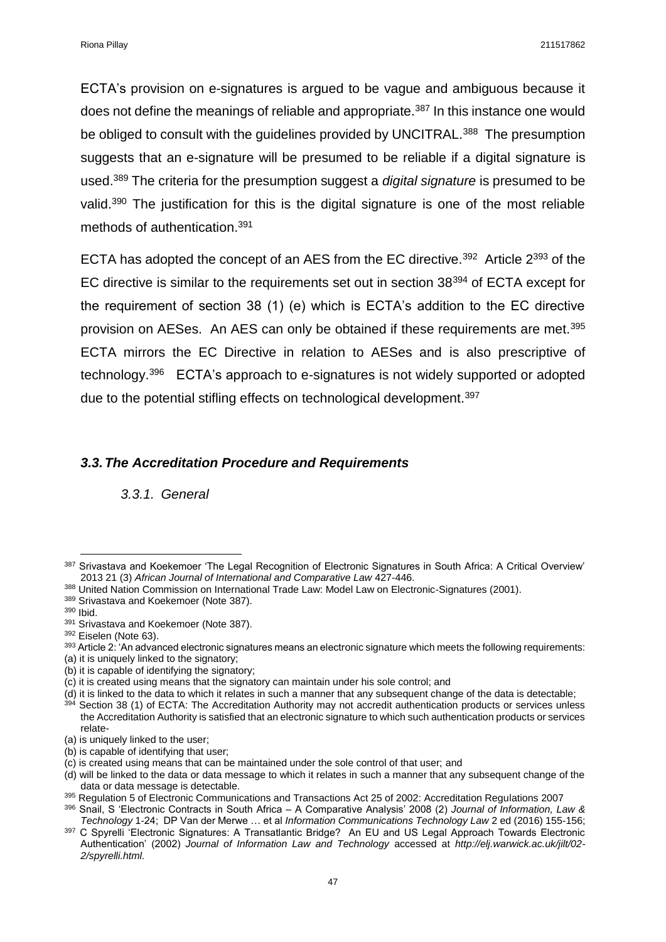ECTA's provision on e-signatures is argued to be vague and ambiguous because it does not define the meanings of reliable and appropriate.<sup>387</sup> In this instance one would be obliged to consult with the guidelines provided by UNCITRAL.<sup>388</sup> The presumption suggests that an e-signature will be presumed to be reliable if a digital signature is used. <sup>389</sup> The criteria for the presumption suggest a *digital signature* is presumed to be valid.<sup>390</sup> The justification for this is the digital signature is one of the most reliable methods of authentication. 391

ECTA has adopted the concept of an AES from the EC directive.<sup>392</sup> Article  $2^{393}$  of the EC directive is similar to the requirements set out in section 38<sup>394</sup> of ECTA except for the requirement of section 38 (1) (e) which is ECTA's addition to the EC directive provision on AESes. An AES can only be obtained if these requirements are met.<sup>395</sup> ECTA mirrors the EC Directive in relation to AESes and is also prescriptive of technology.<sup>396</sup> ECTA's approach to e-signatures is not widely supported or adopted due to the potential stifling effects on technological development.<sup>397</sup>

#### *3.3.The Accreditation Procedure and Requirements*

*3.3.1. General*

**.** 

<sup>387</sup> Srivastava and Koekemoer 'The Legal Recognition of Electronic Signatures in South Africa: A Critical Overview' 2013 21 (3) *African Journal of International and Comparative Law* 427-446.

<sup>388</sup> United Nation Commission on International Trade Law: Model Law on Electronic-Signatures (2001).

<sup>389</sup> Srivastava and Koekemoer (Note 387).

<sup>390</sup> Ibid.

<sup>391</sup> Srivastava and Koekemoer (Note 387).

<sup>392</sup> Eiselen (Note 63).

 $393$  Article 2: 'An advanced electronic signatures means an electronic signature which meets the following requirements:

<sup>(</sup>a) it is uniquely linked to the signatory;

<sup>(</sup>b) it is capable of identifying the signatory;

<sup>(</sup>c) it is created using means that the signatory can maintain under his sole control; and

<sup>(</sup>d) it is linked to the data to which it relates in such a manner that any subsequent change of the data is detectable; Section 38 (1) of ECTA: The Accreditation Authority may not accredit authentication products or services unless the Accreditation Authority is satisfied that an electronic signature to which such authentication products or services relate-

<sup>(</sup>a) is uniquely linked to the user;

<sup>(</sup>b) is capable of identifying that user;

<sup>(</sup>c) is created using means that can be maintained under the sole control of that user; and

<sup>(</sup>d) will be linked to the data or data message to which it relates in such a manner that any subsequent change of the data or data message is detectable.

<sup>395</sup> Regulation 5 of Electronic Communications and Transactions Act 25 of 2002: Accreditation Regulations 2007

<sup>396</sup> Snail, S 'Electronic Contracts in South Africa – A Comparative Analysis' 2008 (2) *Journal of Information, Law & Technology* 1-24; DP Van der Merwe … et al *Information Communications Technology Law* 2 ed (2016) 155-156;

<sup>&</sup>lt;sup>397</sup> C Spyrelli 'Electronic Signatures: A Transatlantic Bridge? An EU and US Legal Approach Towards Electronic Authentication' (2002) *Journal of Information Law and Technology* accessed at *http://elj.warwick.ac.uk/jilt/02- 2/spyrelli.html.*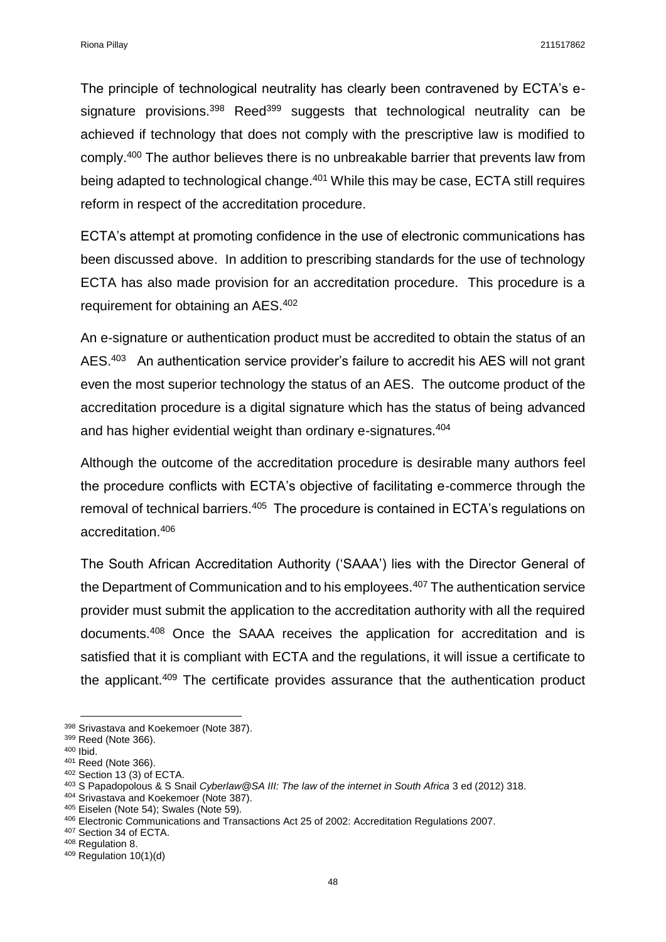The principle of technological neutrality has clearly been contravened by ECTA's esignature provisions.<sup>398</sup> Reed<sup>399</sup> suggests that technological neutrality can be achieved if technology that does not comply with the prescriptive law is modified to comply.<sup>400</sup> The author believes there is no unbreakable barrier that prevents law from being adapted to technological change.<sup>401</sup> While this may be case, ECTA still requires reform in respect of the accreditation procedure.

ECTA's attempt at promoting confidence in the use of electronic communications has been discussed above. In addition to prescribing standards for the use of technology ECTA has also made provision for an accreditation procedure. This procedure is a requirement for obtaining an AES.<sup>402</sup>

An e-signature or authentication product must be accredited to obtain the status of an AES.<sup>403</sup> An authentication service provider's failure to accredit his AES will not grant even the most superior technology the status of an AES. The outcome product of the accreditation procedure is a digital signature which has the status of being advanced and has higher evidential weight than ordinary e-signatures.<sup>404</sup>

Although the outcome of the accreditation procedure is desirable many authors feel the procedure conflicts with ECTA's objective of facilitating e-commerce through the removal of technical barriers.<sup>405</sup> The procedure is contained in ECTA's regulations on accreditation.<sup>406</sup>

The South African Accreditation Authority ('SAAA') lies with the Director General of the Department of Communication and to his employees.<sup>407</sup> The authentication service provider must submit the application to the accreditation authority with all the required documents.<sup>408</sup> Once the SAAA receives the application for accreditation and is satisfied that it is compliant with ECTA and the regulations, it will issue a certificate to the applicant.<sup>409</sup> The certificate provides assurance that the authentication product

**.** 

<sup>398</sup> Srivastava and Koekemoer (Note 387).

<sup>399</sup> Reed (Note 366).

<sup>400</sup> Ibid.

<sup>401</sup> Reed (Note 366).

<sup>402</sup> Section 13 (3) of ECTA.

<sup>403</sup> S Papadopolous & S Snail *Cyberlaw@SA III: The law of the internet in South Africa* 3 ed (2012) 318.

<sup>404</sup> Srivastava and Koekemoer (Note 387).

<sup>405</sup> Eiselen (Note 54); Swales (Note 59).

<sup>406</sup> Electronic Communications and Transactions Act 25 of 2002: Accreditation Regulations 2007.

<sup>407</sup> Section 34 of ECTA.

<sup>408</sup> Regulation 8.

<sup>409</sup> Regulation 10(1)(d)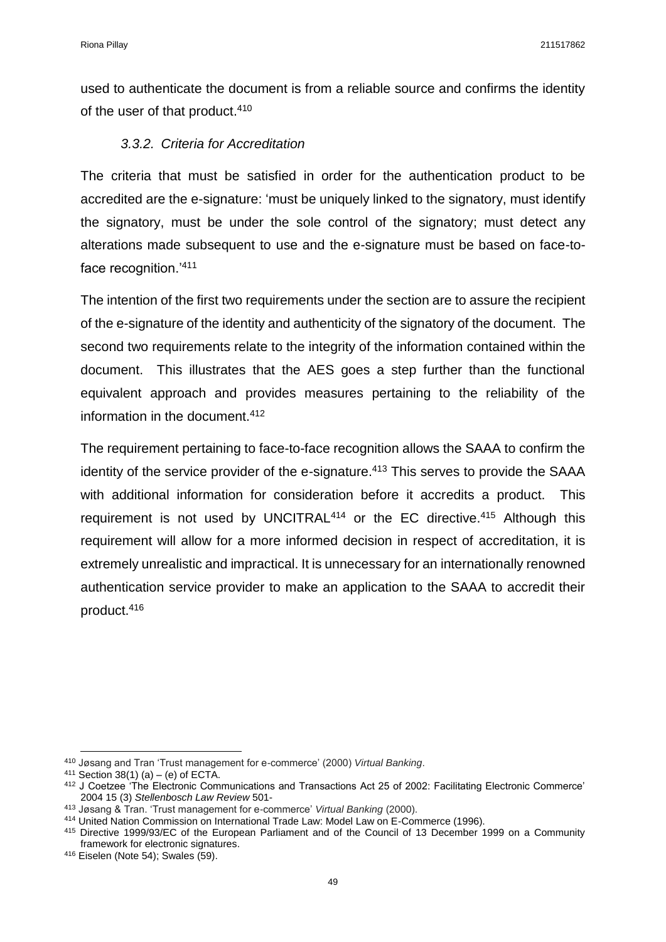used to authenticate the document is from a reliable source and confirms the identity of the user of that product. 410

#### *3.3.2. Criteria for Accreditation*

The criteria that must be satisfied in order for the authentication product to be accredited are the e-signature: 'must be uniquely linked to the signatory, must identify the signatory, must be under the sole control of the signatory; must detect any alterations made subsequent to use and the e-signature must be based on face-toface recognition.'<sup>411</sup>

The intention of the first two requirements under the section are to assure the recipient of the e-signature of the identity and authenticity of the signatory of the document. The second two requirements relate to the integrity of the information contained within the document. This illustrates that the AES goes a step further than the functional equivalent approach and provides measures pertaining to the reliability of the information in the document.<sup>412</sup>

The requirement pertaining to face-to-face recognition allows the SAAA to confirm the identity of the service provider of the e-signature.<sup>413</sup> This serves to provide the SAAA with additional information for consideration before it accredits a product. This requirement is not used by UNCITRAL<sup>414</sup> or the EC directive.<sup>415</sup> Although this requirement will allow for a more informed decision in respect of accreditation, it is extremely unrealistic and impractical. It is unnecessary for an internationally renowned authentication service provider to make an application to the SAAA to accredit their product. 416

<sup>413</sup> Jøsang & Tran. 'Trust management for e-commerce' *Virtual Banking* (2000).

**<sup>.</sup>** <sup>410</sup> Jøsang and Tran 'Trust management for e-commerce' (2000) *Virtual Banking*.

<sup>411</sup> Section 38(1) (a) – (e) of ECTA.

<sup>412</sup> J Coetzee 'The Electronic Communications and Transactions Act 25 of 2002: Facilitating Electronic Commerce' 2004 15 (3) *Stellenbosch Law Review* 501-

<sup>414</sup> United Nation Commission on International Trade Law: Model Law on E-Commerce (1996).

<sup>415</sup> Directive 1999/93/EC of the European Parliament and of the Council of 13 December 1999 on a Community framework for electronic signatures.

<sup>416</sup> Eiselen (Note 54); Swales (59).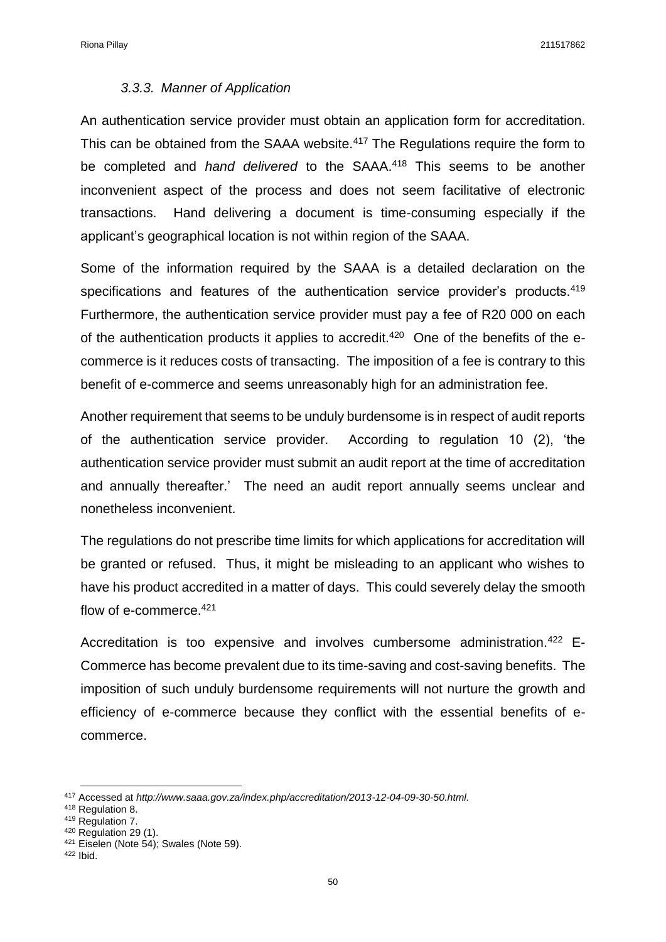#### *3.3.3. Manner of Application*

An authentication service provider must obtain an application form for accreditation. This can be obtained from the SAAA website.<sup>417</sup> The Regulations require the form to be completed and *hand delivered* to the SAAA.<sup>418</sup> This seems to be another inconvenient aspect of the process and does not seem facilitative of electronic transactions. Hand delivering a document is time-consuming especially if the applicant's geographical location is not within region of the SAAA.

Some of the information required by the SAAA is a detailed declaration on the specifications and features of the authentication service provider's products.<sup>419</sup> Furthermore, the authentication service provider must pay a fee of R20 000 on each of the authentication products it applies to accredit.<sup>420</sup> One of the benefits of the ecommerce is it reduces costs of transacting. The imposition of a fee is contrary to this benefit of e-commerce and seems unreasonably high for an administration fee.

Another requirement that seems to be unduly burdensome is in respect of audit reports of the authentication service provider. According to regulation 10 (2), 'the authentication service provider must submit an audit report at the time of accreditation and annually thereafter.' The need an audit report annually seems unclear and nonetheless inconvenient.

The regulations do not prescribe time limits for which applications for accreditation will be granted or refused. Thus, it might be misleading to an applicant who wishes to have his product accredited in a matter of days. This could severely delay the smooth flow of e-commerce.<sup>421</sup>

Accreditation is too expensive and involves cumbersome administration.<sup>422</sup> E-Commerce has become prevalent due to its time-saving and cost-saving benefits. The imposition of such unduly burdensome requirements will not nurture the growth and efficiency of e-commerce because they conflict with the essential benefits of ecommerce.

 $\overline{a}$ 

<sup>417</sup> Accessed at *http://www.saaa.gov.za/index.php/accreditation/2013-12-04-09-30-50.html.*

<sup>418</sup> Regulation 8.

<sup>419</sup> Regulation 7.

 $420$  Regulation 29 (1).

<sup>421</sup> Eiselen (Note 54); Swales (Note 59).

<sup>422</sup> Ibid.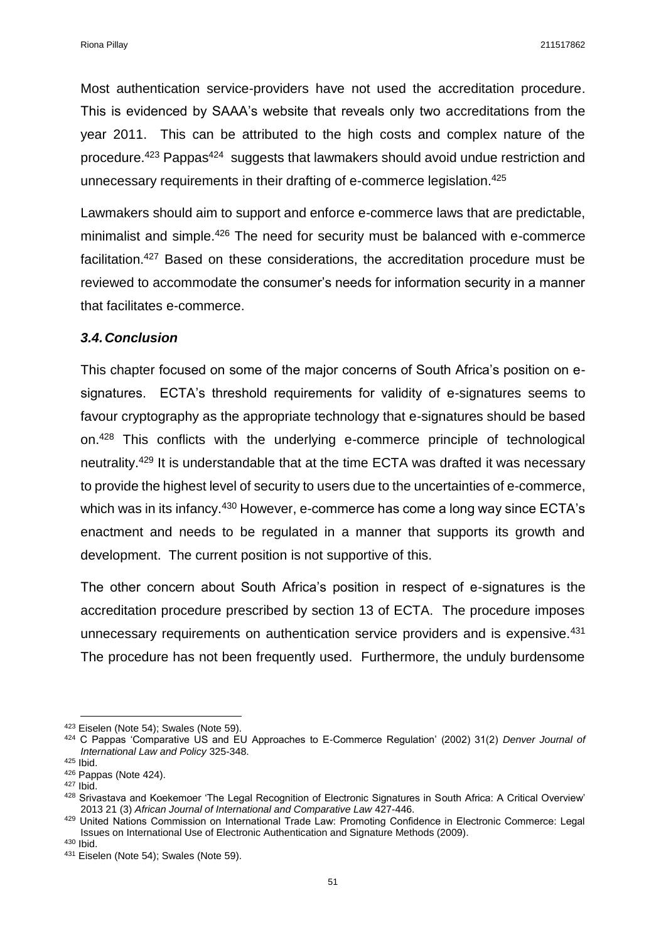Most authentication service-providers have not used the accreditation procedure. This is evidenced by SAAA's website that reveals only two accreditations from the year 2011. This can be attributed to the high costs and complex nature of the procedure.<sup>423</sup> Pappas<sup>424</sup> suggests that lawmakers should avoid undue restriction and unnecessary requirements in their drafting of e-commerce legislation.<sup>425</sup>

Lawmakers should aim to support and enforce e-commerce laws that are predictable, minimalist and simple.<sup>426</sup> The need for security must be balanced with e-commerce facilitation.<sup>427</sup> Based on these considerations, the accreditation procedure must be reviewed to accommodate the consumer's needs for information security in a manner that facilitates e-commerce.

#### *3.4.Conclusion*

This chapter focused on some of the major concerns of South Africa's position on esignatures. ECTA's threshold requirements for validity of e-signatures seems to favour cryptography as the appropriate technology that e-signatures should be based on.<sup>428</sup> This conflicts with the underlying e-commerce principle of technological neutrality.<sup>429</sup> It is understandable that at the time ECTA was drafted it was necessary to provide the highest level of security to users due to the uncertainties of e-commerce, which was in its infancy.<sup>430</sup> However, e-commerce has come a long way since ECTA's enactment and needs to be regulated in a manner that supports its growth and development. The current position is not supportive of this.

The other concern about South Africa's position in respect of e-signatures is the accreditation procedure prescribed by section 13 of ECTA. The procedure imposes unnecessary requirements on authentication service providers and is expensive.<sup>431</sup> The procedure has not been frequently used. Furthermore, the unduly burdensome

**<sup>.</sup>** 423 Eiselen (Note 54); Swales (Note 59).

<sup>424</sup> C Pappas 'Comparative US and EU Approaches to E-Commerce Regulation' (2002) 31(2) *Denver Journal of International Law and Policy* 325-348.

<sup>425</sup> Ibid.

<sup>426</sup> Pappas (Note 424).

 $427$  Ibid.

<sup>428</sup> Srivastava and Koekemoer 'The Legal Recognition of Electronic Signatures in South Africa: A Critical Overview' 2013 21 (3) *African Journal of International and Comparative Law* 427-446.

<sup>429</sup> United Nations Commission on International Trade Law: Promoting Confidence in Electronic Commerce: Legal Issues on International Use of Electronic Authentication and Signature Methods (2009).

<sup>430</sup> Ibid.

<sup>431</sup> Eiselen (Note 54); Swales (Note 59).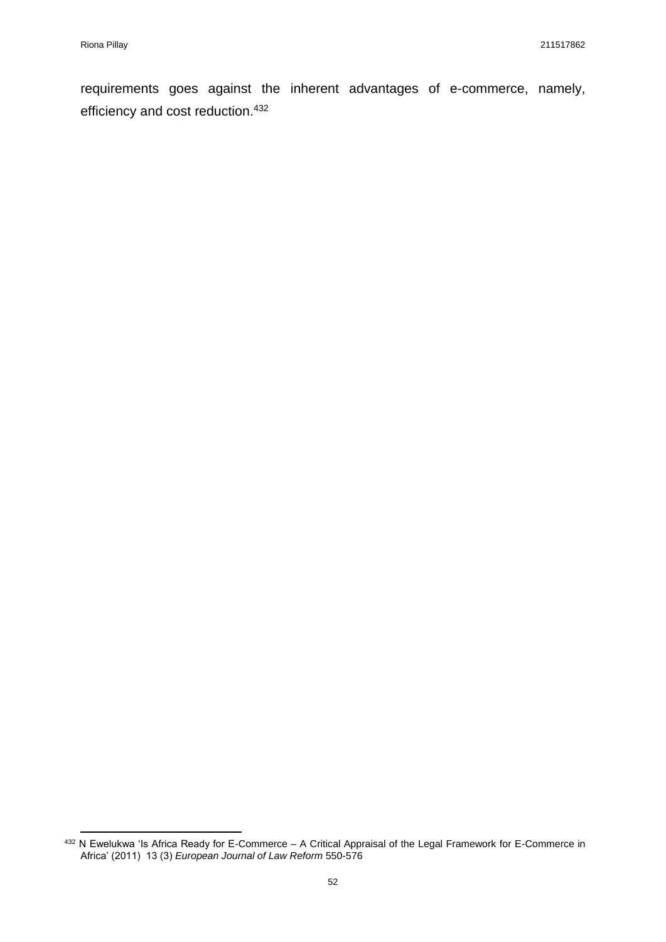**.** 

requirements goes against the inherent advantages of e-commerce, namely, efficiency and cost reduction.<sup>432</sup>

<sup>&</sup>lt;sup>432</sup> N Ewelukwa 'Is Africa Ready for E-Commerce – A Critical Appraisal of the Legal Framework for E-Commerce in Africa' (2011) 13 (3) *European Journal of Law Reform* 550-576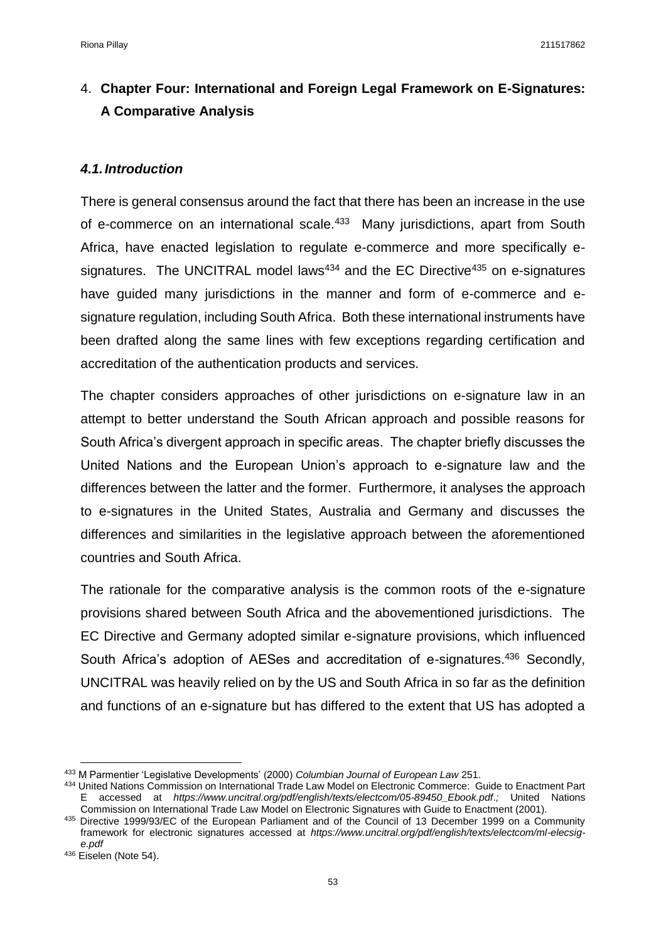# 4. **Chapter Four: International and Foreign Legal Framework on E-Signatures: A Comparative Analysis**

### *4.1.Introduction*

There is general consensus around the fact that there has been an increase in the use of e-commerce on an international scale.<sup>433</sup> Many jurisdictions, apart from South Africa, have enacted legislation to regulate e-commerce and more specifically esignatures. The UNCITRAL model laws<sup>434</sup> and the EC Directive<sup>435</sup> on e-signatures have guided many jurisdictions in the manner and form of e-commerce and esignature regulation, including South Africa. Both these international instruments have been drafted along the same lines with few exceptions regarding certification and accreditation of the authentication products and services.

The chapter considers approaches of other jurisdictions on e-signature law in an attempt to better understand the South African approach and possible reasons for South Africa's divergent approach in specific areas. The chapter briefly discusses the United Nations and the European Union's approach to e-signature law and the differences between the latter and the former. Furthermore, it analyses the approach to e-signatures in the United States, Australia and Germany and discusses the differences and similarities in the legislative approach between the aforementioned countries and South Africa.

The rationale for the comparative analysis is the common roots of the e-signature provisions shared between South Africa and the abovementioned jurisdictions. The EC Directive and Germany adopted similar e-signature provisions, which influenced South Africa's adoption of AESes and accreditation of e-signatures.<sup>436</sup> Secondly, UNCITRAL was heavily relied on by the US and South Africa in so far as the definition and functions of an e-signature but has differed to the extent that US has adopted a

 $\overline{a}$ 

<sup>433</sup> M Parmentier 'Legislative Developments' (2000) *Columbian Journal of European Law* 251.

<sup>434</sup> United Nations Commission on International Trade Law Model on Electronic Commerce: Guide to Enactment Part E accessed at *https://www.uncitral.org/pdf/english/texts/electcom/05-89450\_Ebook.pdf*.*;* United Nations Commission on International Trade Law Model on Electronic Signatures with Guide to Enactment (2001).

<sup>435</sup> Directive 1999/93/EC of the European Parliament and of the Council of 13 December 1999 on a Community framework for electronic signatures accessed at *https://www.uncitral.org/pdf/english/texts/electcom/ml-elecsige.pdf*

<sup>436</sup> Eiselen (Note 54).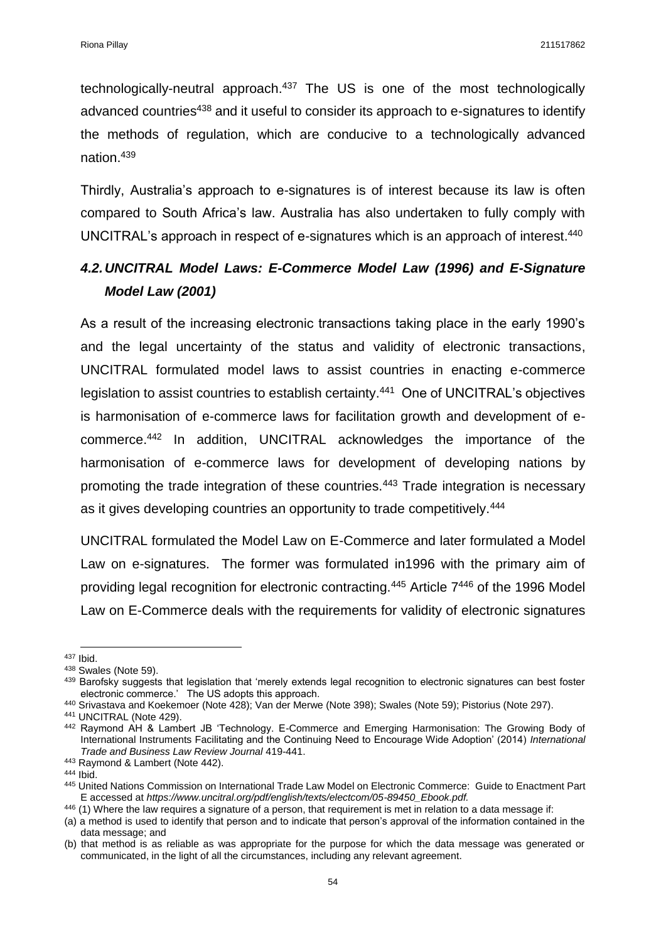technologically-neutral approach.<sup>437</sup> The US is one of the most technologically advanced countries<sup>438</sup> and it useful to consider its approach to e-signatures to identify the methods of regulation, which are conducive to a technologically advanced nation.<sup>439</sup>

Thirdly, Australia's approach to e-signatures is of interest because its law is often compared to South Africa's law. Australia has also undertaken to fully comply with UNCITRAL's approach in respect of e-signatures which is an approach of interest. 440

# *4.2.UNCITRAL Model Laws: E-Commerce Model Law (1996) and E-Signature Model Law (2001)*

As a result of the increasing electronic transactions taking place in the early 1990's and the legal uncertainty of the status and validity of electronic transactions, UNCITRAL formulated model laws to assist countries in enacting e-commerce legislation to assist countries to establish certainty.<sup>441</sup> One of UNCITRAL's objectives is harmonisation of e-commerce laws for facilitation growth and development of ecommerce.<sup>442</sup> In addition, UNCITRAL acknowledges the importance of the harmonisation of e-commerce laws for development of developing nations by promoting the trade integration of these countries.<sup>443</sup> Trade integration is necessary as it gives developing countries an opportunity to trade competitively.<sup>444</sup>

UNCITRAL formulated the Model Law on E-Commerce and later formulated a Model Law on e-signatures. The former was formulated in1996 with the primary aim of providing legal recognition for electronic contracting.<sup>445</sup> Article 7<sup>446</sup> of the 1996 Model Law on E-Commerce deals with the requirements for validity of electronic signatures

<sup>441</sup> UNCITRAL (Note 429).

 $\overline{a}$ <sup>437</sup> Ibid.

<sup>438</sup> Swales (Note 59).

<sup>&</sup>lt;sup>439</sup> Barofsky suggests that legislation that 'merely extends legal recognition to electronic signatures can best foster electronic commerce.' The US adopts this approach.

<sup>440</sup> Srivastava and Koekemoer (Note 428); Van der Merwe (Note 398); Swales (Note 59); Pistorius (Note 297).

<sup>442</sup> Raymond AH & Lambert JB 'Technology. E-Commerce and Emerging Harmonisation: The Growing Body of International Instruments Facilitating and the Continuing Need to Encourage Wide Adoption' (2014) *International Trade and Business Law Review Journal* 419-441.

<sup>443</sup> Raymond & Lambert (Note 442).

<sup>444</sup> Ibid.

<sup>445</sup> United Nations Commission on International Trade Law Model on Electronic Commerce: Guide to Enactment Part E accessed at *https://www.uncitral.org/pdf/english/texts/electcom/05-89450\_Ebook.pdf.*

<sup>446 (1)</sup> Where the law requires a signature of a person, that requirement is met in relation to a data message if:

<sup>(</sup>a) a method is used to identify that person and to indicate that person's approval of the information contained in the data message; and

<sup>(</sup>b) that method is as reliable as was appropriate for the purpose for which the data message was generated or communicated, in the light of all the circumstances, including any relevant agreement.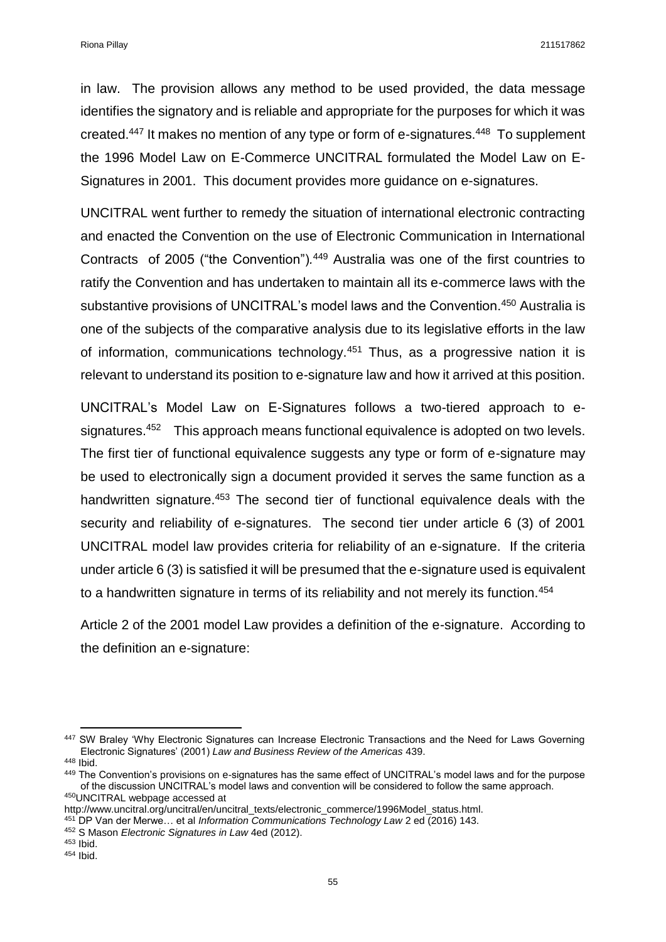in law. The provision allows any method to be used provided, the data message identifies the signatory and is reliable and appropriate for the purposes for which it was created.<sup>447</sup> It makes no mention of any type or form of e-signatures.<sup>448</sup> To supplement the 1996 Model Law on E-Commerce UNCITRAL formulated the Model Law on E-Signatures in 2001. This document provides more guidance on e-signatures.

UNCITRAL went further to remedy the situation of international electronic contracting and enacted the Convention on the use of Electronic Communication in International Contracts of 2005 ("the Convention")*.* <sup>449</sup> Australia was one of the first countries to ratify the Convention and has undertaken to maintain all its e-commerce laws with the substantive provisions of UNCITRAL's model laws and the Convention.<sup>450</sup> Australia is one of the subjects of the comparative analysis due to its legislative efforts in the law of information, communications technology.<sup>451</sup> Thus, as a progressive nation it is relevant to understand its position to e-signature law and how it arrived at this position.

UNCITRAL's Model Law on E-Signatures follows a two-tiered approach to esignatures.<sup>452</sup> This approach means functional equivalence is adopted on two levels. The first tier of functional equivalence suggests any type or form of e-signature may be used to electronically sign a document provided it serves the same function as a handwritten signature.<sup>453</sup> The second tier of functional equivalence deals with the security and reliability of e-signatures. The second tier under article 6 (3) of 2001 UNCITRAL model law provides criteria for reliability of an e-signature. If the criteria under article 6 (3) is satisfied it will be presumed that the e-signature used is equivalent to a handwritten signature in terms of its reliability and not merely its function.<sup>454</sup>

Article 2 of the 2001 model Law provides a definition of the e-signature. According to the definition an e-signature:

 $\overline{a}$ 447 SW Braley 'Why Electronic Signatures can Increase Electronic Transactions and the Need for Laws Governing Electronic Signatures' (2001) *Law and Business Review of the Americas* 439.

<sup>448</sup> Ibid.

<sup>449</sup> The Convention's provisions on e-signatures has the same effect of UNCITRAL's model laws and for the purpose of the discussion UNCITRAL's model laws and convention will be considered to follow the same approach. <sup>450</sup>UNCITRAL webpage accessed at

http://www.uncitral.org/uncitral/en/uncitral\_texts/electronic\_commerce/1996Model\_status.html.

<sup>451</sup> DP Van der Merwe… et al *Information Communications Technology Law* 2 ed (2016) 143.

<sup>452</sup> S Mason *Electronic Signatures in Law* 4ed (2012).

<sup>453</sup> Ibid.

 $454$  Ibid.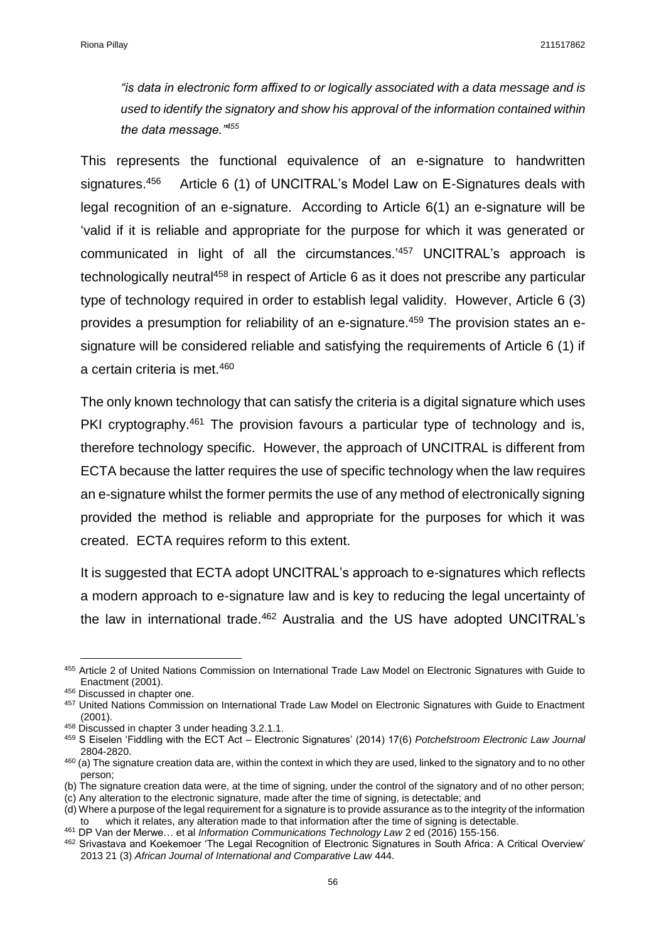*"is data in electronic form affixed to or logically associated with a data message and is used to identify the signatory and show his approval of the information contained within the data message."<sup>455</sup>*

This represents the functional equivalence of an e-signature to handwritten signatures.<sup>456</sup> Article 6 (1) of UNCITRAL's Model Law on E-Signatures deals with legal recognition of an e-signature. According to Article 6(1) an e-signature will be 'valid if it is reliable and appropriate for the purpose for which it was generated or communicated in light of all the circumstances.'<sup>457</sup> UNCITRAL's approach is technologically neutral<sup>458</sup> in respect of Article 6 as it does not prescribe any particular type of technology required in order to establish legal validity. However, Article 6 (3) provides a presumption for reliability of an e-signature.<sup>459</sup> The provision states an esignature will be considered reliable and satisfying the requirements of Article 6 (1) if a certain criteria is met.<sup>460</sup>

The only known technology that can satisfy the criteria is a digital signature which uses PKI cryptography.<sup>461</sup> The provision favours a particular type of technology and is, therefore technology specific. However, the approach of UNCITRAL is different from ECTA because the latter requires the use of specific technology when the law requires an e-signature whilst the former permits the use of any method of electronically signing provided the method is reliable and appropriate for the purposes for which it was created. ECTA requires reform to this extent.

It is suggested that ECTA adopt UNCITRAL's approach to e-signatures which reflects a modern approach to e-signature law and is key to reducing the legal uncertainty of the law in international trade.<sup>462</sup> Australia and the US have adopted UNCITRAL's

**.** 

(c) Any alteration to the electronic signature, made after the time of signing, is detectable; and

<sup>455</sup> Article 2 of United Nations Commission on International Trade Law Model on Electronic Signatures with Guide to Enactment (2001).

<sup>456</sup> Discussed in chapter one.

<sup>457</sup> United Nations Commission on International Trade Law Model on Electronic Signatures with Guide to Enactment (2001).

<sup>458</sup> Discussed in chapter 3 under heading 3.2.1.1.

<sup>459</sup> S Eiselen 'Fiddling with the ECT Act – Electronic Signatures' (2014) 17(6) *Potchefstroom Electronic Law Journal*  2804-2820.

<sup>460 (</sup>a) The signature creation data are, within the context in which they are used, linked to the signatory and to no other person;

<sup>(</sup>b) The signature creation data were, at the time of signing, under the control of the signatory and of no other person;

<sup>(</sup>d) Where a purpose of the legal requirement for a signature is to provide assurance as to the integrity of the information to which it relates, any alteration made to that information after the time of signing is detectable.

<sup>461</sup> DP Van der Merwe… et al *Information Communications Technology Law* 2 ed (2016) 155-156.

<sup>462</sup> Srivastava and Koekemoer 'The Legal Recognition of Electronic Signatures in South Africa: A Critical Overview' 2013 21 (3) *African Journal of International and Comparative Law* 444.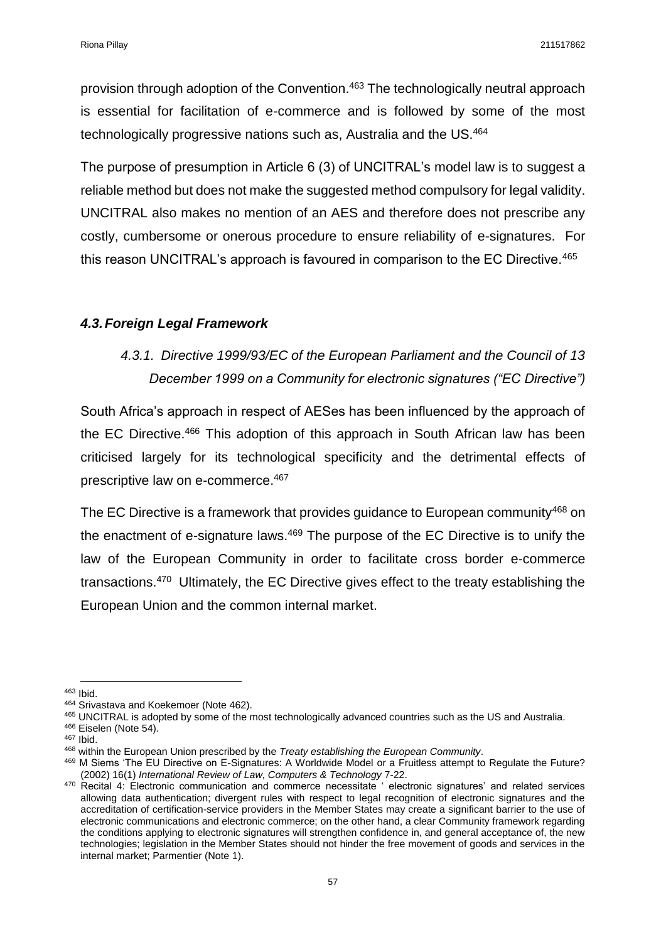provision through adoption of the Convention.<sup>463</sup> The technologically neutral approach is essential for facilitation of e-commerce and is followed by some of the most technologically progressive nations such as, Australia and the US.<sup>464</sup>

The purpose of presumption in Article 6 (3) of UNCITRAL's model law is to suggest a reliable method but does not make the suggested method compulsory for legal validity. UNCITRAL also makes no mention of an AES and therefore does not prescribe any costly, cumbersome or onerous procedure to ensure reliability of e-signatures. For this reason UNCITRAL's approach is favoured in comparison to the EC Directive.<sup>465</sup>

## *4.3.Foreign Legal Framework*

# *4.3.1. Directive 1999/93/EC of the European Parliament and the Council of 13 December 1999 on a Community for electronic signatures ("EC Directive")*

South Africa's approach in respect of AESes has been influenced by the approach of the EC Directive.<sup>466</sup> This adoption of this approach in South African law has been criticised largely for its technological specificity and the detrimental effects of prescriptive law on e-commerce.<sup>467</sup>

The EC Directive is a framework that provides guidance to European community<sup>468</sup> on the enactment of e-signature laws. $469$  The purpose of the EC Directive is to unify the law of the European Community in order to facilitate cross border e-commerce transactions.<sup>470</sup> Ultimately, the EC Directive gives effect to the treaty establishing the European Union and the common internal market.

**<sup>.</sup>** <sup>463</sup> Ibid.

<sup>464</sup> Srivastava and Koekemoer (Note 462).

<sup>465</sup> UNCITRAL is adopted by some of the most technologically advanced countries such as the US and Australia.

<sup>&</sup>lt;sup>466</sup> Eiselen (Note 54).

<sup>467</sup> Ibid.

<sup>468</sup> within the European Union prescribed by the *Treaty establishing the European Community*.

<sup>469</sup> M Siems 'The EU Directive on E-Signatures: A Worldwide Model or a Fruitless attempt to Regulate the Future? (2002) 16(1) *International Review of Law, Computers & Technology* 7-22.

 $470$  Recital 4: Electronic communication and commerce necessitate ' electronic signatures' and related services allowing data authentication; divergent rules with respect to legal recognition of electronic signatures and the accreditation of certification-service providers in the Member States may create a significant barrier to the use of electronic communications and electronic commerce; on the other hand, a clear Community framework regarding the conditions applying to electronic signatures will strengthen confidence in, and general acceptance of, the new technologies; legislation in the Member States should not hinder the free movement of goods and services in the internal market; Parmentier (Note 1).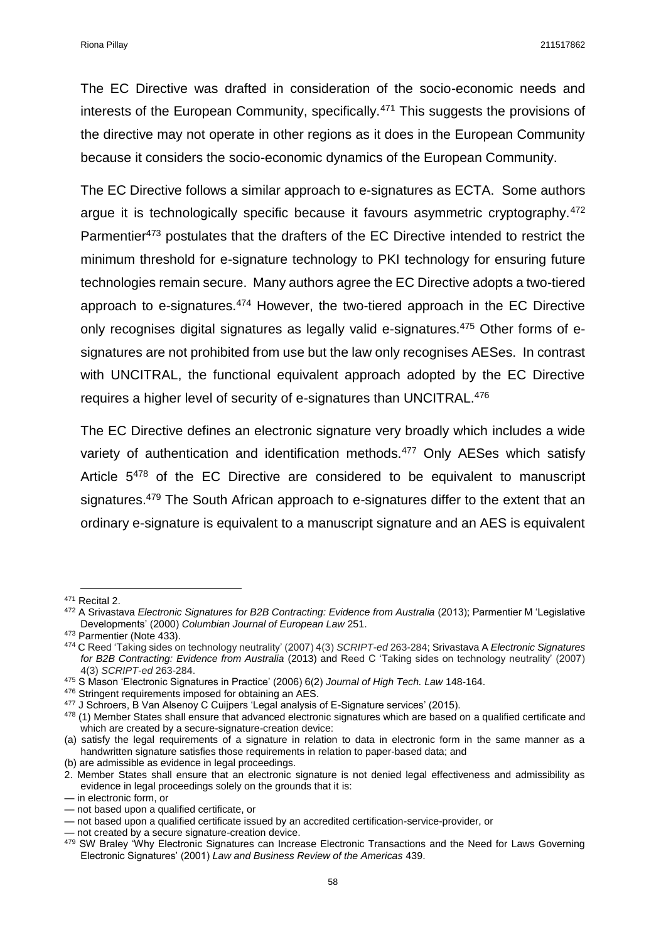The EC Directive was drafted in consideration of the socio-economic needs and interests of the European Community, specifically.<sup>471</sup> This suggests the provisions of the directive may not operate in other regions as it does in the European Community because it considers the socio-economic dynamics of the European Community.

The EC Directive follows a similar approach to e-signatures as ECTA. Some authors argue it is technologically specific because it favours asymmetric cryptography.<sup>472</sup> Parmentier<sup>473</sup> postulates that the drafters of the EC Directive intended to restrict the minimum threshold for e-signature technology to PKI technology for ensuring future technologies remain secure. Many authors agree the EC Directive adopts a two-tiered approach to e-signatures.<sup>474</sup> However, the two-tiered approach in the EC Directive only recognises digital signatures as legally valid e-signatures.<sup>475</sup> Other forms of esignatures are not prohibited from use but the law only recognises AESes. In contrast with UNCITRAL, the functional equivalent approach adopted by the EC Directive requires a higher level of security of e-signatures than UNCITRAL.<sup>476</sup>

The EC Directive defines an electronic signature very broadly which includes a wide variety of authentication and identification methods.<sup>477</sup> Only AESes which satisfy Article 5<sup>478</sup> of the EC Directive are considered to be equivalent to manuscript signatures.<sup>479</sup> The South African approach to e-signatures differ to the extent that an ordinary e-signature is equivalent to a manuscript signature and an AES is equivalent

1

<sup>471</sup> Recital 2.

<sup>472</sup> A Srivastava *Electronic Signatures for B2B Contracting: Evidence from Australia* (2013); Parmentier M 'Legislative Developments' (2000) *Columbian Journal of European Law* 251.

<sup>473</sup> Parmentier (Note 433).

<sup>474</sup> C Reed 'Taking sides on technology neutrality' (2007) 4(3) *SCRIPT-ed* 263-284; Srivastava A *Electronic Signatures for B2B Contracting: Evidence from Australia* (2013) and Reed C 'Taking sides on technology neutrality' (2007) 4(3) *SCRIPT-ed* 263-284.

<sup>475</sup> S Mason 'Electronic Signatures in Practice' (2006) 6(2) *Journal of High Tech. Law* 148-164.

<sup>476</sup> Stringent requirements imposed for obtaining an AES.

<sup>477</sup> J Schroers, B Van Alsenoy C Cuijpers 'Legal analysis of E-Signature services' (2015).

 $478$  (1) Member States shall ensure that advanced electronic signatures which are based on a qualified certificate and which are created by a secure-signature-creation device:

<sup>(</sup>a) satisfy the legal requirements of a signature in relation to data in electronic form in the same manner as a handwritten signature satisfies those requirements in relation to paper-based data; and (b) are admissible as evidence in legal proceedings.

<sup>2.</sup> Member States shall ensure that an electronic signature is not denied legal effectiveness and admissibility as

evidence in legal proceedings solely on the grounds that it is:

<sup>—</sup> in electronic form, or

<sup>—</sup> not based upon a qualified certificate, or

<sup>—</sup> not based upon a qualified certificate issued by an accredited certification-service-provider, or

<sup>—</sup> not created by a secure signature-creation device.

<sup>479</sup> SW Braley 'Why Electronic Signatures can Increase Electronic Transactions and the Need for Laws Governing Electronic Signatures' (2001) *Law and Business Review of the Americas* 439.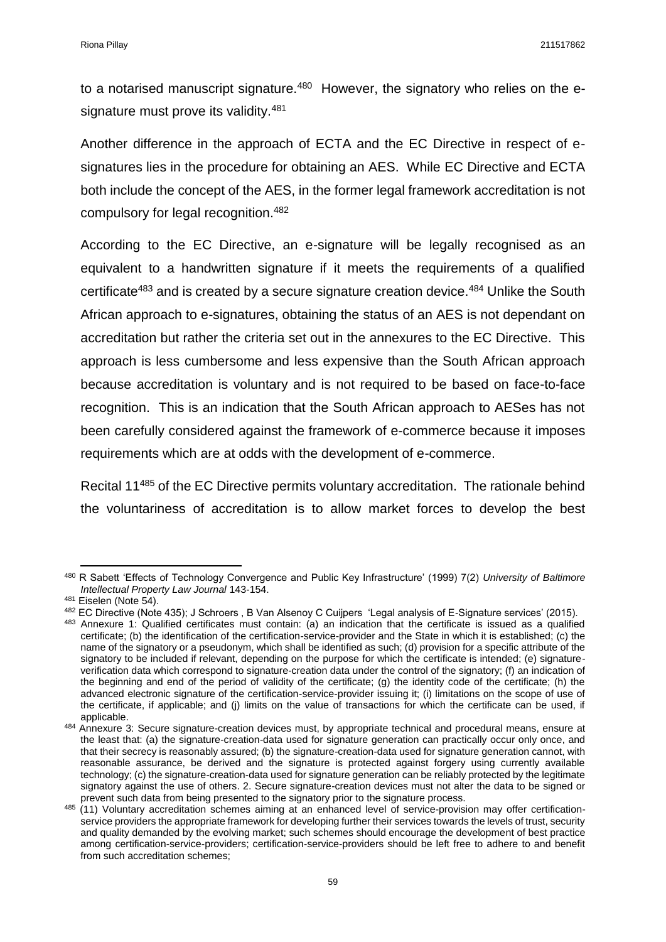to a notarised manuscript signature.<sup>480</sup> However, the signatory who relies on the esignature must prove its validity.<sup>481</sup>

Another difference in the approach of ECTA and the EC Directive in respect of esignatures lies in the procedure for obtaining an AES. While EC Directive and ECTA both include the concept of the AES, in the former legal framework accreditation is not compulsory for legal recognition.<sup>482</sup>

According to the EC Directive, an e-signature will be legally recognised as an equivalent to a handwritten signature if it meets the requirements of a qualified certificate<sup>483</sup> and is created by a secure signature creation device.<sup>484</sup> Unlike the South African approach to e-signatures, obtaining the status of an AES is not dependant on accreditation but rather the criteria set out in the annexures to the EC Directive. This approach is less cumbersome and less expensive than the South African approach because accreditation is voluntary and is not required to be based on face-to-face recognition. This is an indication that the South African approach to AESes has not been carefully considered against the framework of e-commerce because it imposes requirements which are at odds with the development of e-commerce.

Recital 11<sup>485</sup> of the EC Directive permits voluntary accreditation. The rationale behind the voluntariness of accreditation is to allow market forces to develop the best

1

<sup>480</sup> R Sabett 'Effects of Technology Convergence and Public Key Infrastructure' (1999) 7(2) *University of Baltimore Intellectual Property Law Journal* 143-154.

<sup>481</sup> Eiselen (Note 54).

<sup>482</sup> EC Directive (Note 435); J Schroers , B Van Alsenoy C Cuijpers 'Legal analysis of E-Signature services' (2015).

<sup>483</sup> Annexure 1: Qualified certificates must contain: (a) an indication that the certificate is issued as a qualified certificate; (b) the identification of the certification-service-provider and the State in which it is established; (c) the name of the signatory or a pseudonym, which shall be identified as such; (d) provision for a specific attribute of the signatory to be included if relevant, depending on the purpose for which the certificate is intended; (e) signatureverification data which correspond to signature-creation data under the control of the signatory; (f) an indication of the beginning and end of the period of validity of the certificate; (g) the identity code of the certificate; (h) the advanced electronic signature of the certification-service-provider issuing it; (i) limitations on the scope of use of the certificate, if applicable; and (j) limits on the value of transactions for which the certificate can be used, if applicable.

<sup>484</sup> Annexure 3: Secure signature-creation devices must, by appropriate technical and procedural means, ensure at the least that: (a) the signature-creation-data used for signature generation can practically occur only once, and that their secrecy is reasonably assured; (b) the signature-creation-data used for signature generation cannot, with reasonable assurance, be derived and the signature is protected against forgery using currently available technology; (c) the signature-creation-data used for signature generation can be reliably protected by the legitimate signatory against the use of others. 2. Secure signature-creation devices must not alter the data to be signed or prevent such data from being presented to the signatory prior to the signature process.

<sup>485 (11)</sup> Voluntary accreditation schemes aiming at an enhanced level of service-provision may offer certificationservice providers the appropriate framework for developing further their services towards the levels of trust, security and quality demanded by the evolving market; such schemes should encourage the development of best practice among certification-service-providers; certification-service-providers should be left free to adhere to and benefit from such accreditation schemes;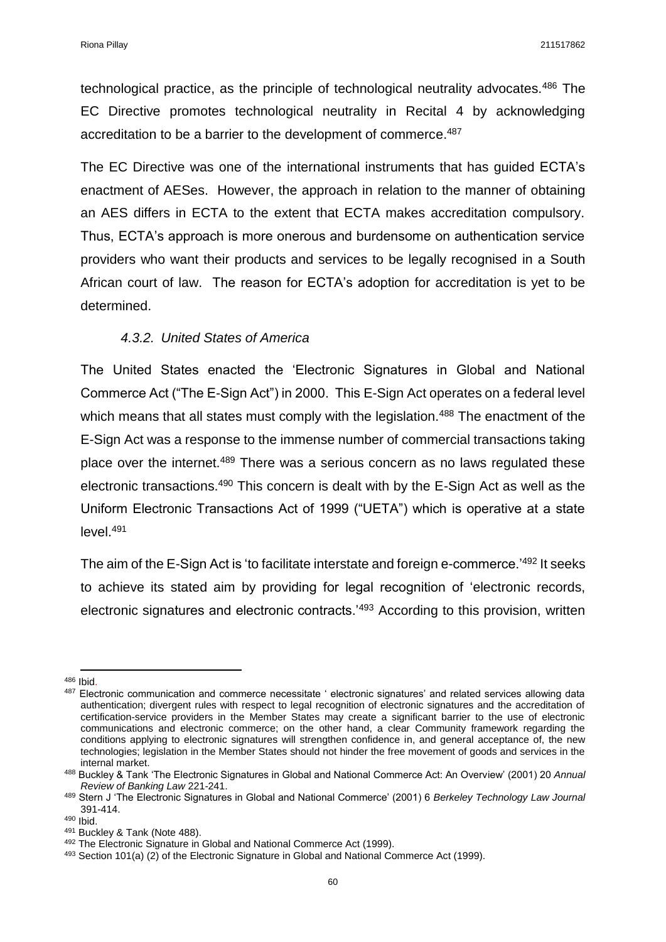technological practice, as the principle of technological neutrality advocates.<sup>486</sup> The EC Directive promotes technological neutrality in Recital 4 by acknowledging accreditation to be a barrier to the development of commerce.<sup>487</sup>

The EC Directive was one of the international instruments that has guided ECTA's enactment of AESes. However, the approach in relation to the manner of obtaining an AES differs in ECTA to the extent that ECTA makes accreditation compulsory. Thus, ECTA's approach is more onerous and burdensome on authentication service providers who want their products and services to be legally recognised in a South African court of law. The reason for ECTA's adoption for accreditation is yet to be determined.

### *4.3.2. United States of America*

The United States enacted the 'Electronic Signatures in Global and National Commerce Act ("The E-Sign Act") in 2000. This E-Sign Act operates on a federal level which means that all states must comply with the legislation.<sup>488</sup> The enactment of the E-Sign Act was a response to the immense number of commercial transactions taking place over the internet.<sup>489</sup> There was a serious concern as no laws regulated these electronic transactions.<sup>490</sup> This concern is dealt with by the E-Sign Act as well as the Uniform Electronic Transactions Act of 1999 ("UETA") which is operative at a state level.<sup>491</sup>

The aim of the E-Sign Act is 'to facilitate interstate and foreign e-commerce.<sup>'492</sup> It seeks to achieve its stated aim by providing for legal recognition of 'electronic records, electronic signatures and electronic contracts.'<sup>493</sup> According to this provision, written

 $\overline{a}$ <sup>486</sup> Ibid.

<sup>487</sup> Electronic communication and commerce necessitate ' electronic signatures' and related services allowing data authentication; divergent rules with respect to legal recognition of electronic signatures and the accreditation of certification-service providers in the Member States may create a significant barrier to the use of electronic communications and electronic commerce; on the other hand, a clear Community framework regarding the conditions applying to electronic signatures will strengthen confidence in, and general acceptance of, the new technologies; legislation in the Member States should not hinder the free movement of goods and services in the internal market.

<sup>488</sup> Buckley & Tank 'The Electronic Signatures in Global and National Commerce Act: An Overview' (2001) 20 *Annual Review of Banking Law* 221-241.

<sup>489</sup> Stern J 'The Electronic Signatures in Global and National Commerce' (2001) 6 *Berkeley Technology Law Journal*  391-414.

<sup>490</sup> Ibid.

<sup>491</sup> Buckley & Tank (Note 488).

<sup>492</sup> The Electronic Signature in Global and National Commerce Act (1999).

 $493$  Section 101(a) (2) of the Electronic Signature in Global and National Commerce Act (1999).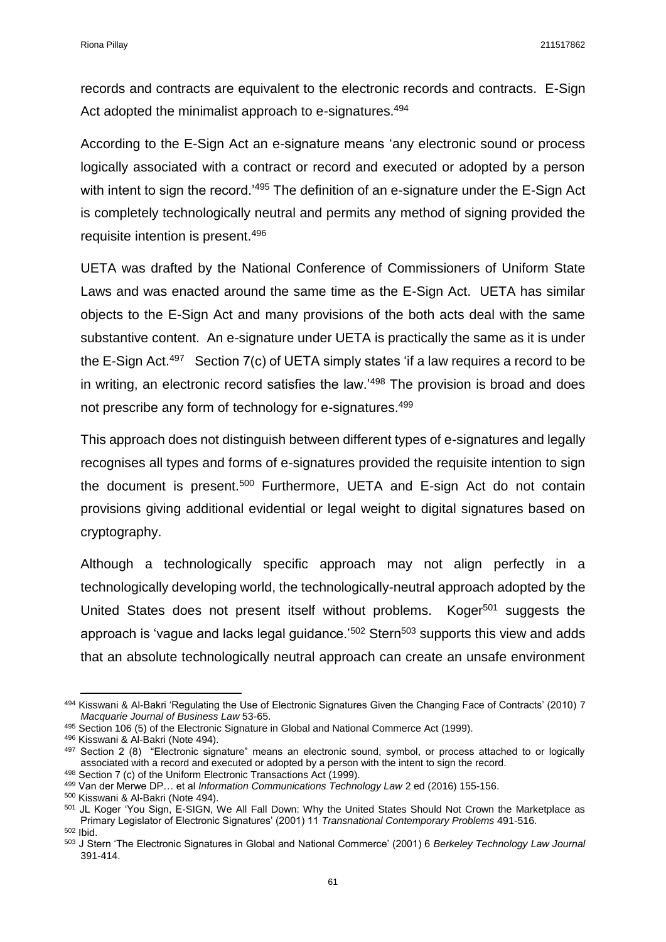records and contracts are equivalent to the electronic records and contracts. E-Sign Act adopted the minimalist approach to e-signatures.<sup>494</sup>

According to the E-Sign Act an e-signature means 'any electronic sound or process logically associated with a contract or record and executed or adopted by a person with intent to sign the record.<sup>'495</sup> The definition of an e-signature under the E-Sign Act is completely technologically neutral and permits any method of signing provided the requisite intention is present.<sup>496</sup>

UETA was drafted by the National Conference of Commissioners of Uniform State Laws and was enacted around the same time as the E-Sign Act. UETA has similar objects to the E-Sign Act and many provisions of the both acts deal with the same substantive content. An e-signature under UETA is practically the same as it is under the E-Sign Act.<sup>497</sup> Section  $7(c)$  of UETA simply states 'if a law requires a record to be in writing, an electronic record satisfies the law.<sup>'498</sup> The provision is broad and does not prescribe any form of technology for e-signatures.<sup>499</sup>

This approach does not distinguish between different types of e-signatures and legally recognises all types and forms of e-signatures provided the requisite intention to sign the document is present.<sup>500</sup> Furthermore, UETA and E-sign Act do not contain provisions giving additional evidential or legal weight to digital signatures based on cryptography.

Although a technologically specific approach may not align perfectly in a technologically developing world, the technologically-neutral approach adopted by the United States does not present itself without problems. Koger<sup>501</sup> suggests the approach is 'vague and lacks legal guidance.<sup>'502</sup> Stern<sup>503</sup> supports this view and adds that an absolute technologically neutral approach can create an unsafe environment

**.** 

<sup>494</sup> Kisswani & Al-Bakri 'Regulating the Use of Electronic Signatures Given the Changing Face of Contracts' (2010) 7 *Macquarie Journal of Business Law* 53-65.

<sup>495</sup> Section 106 (5) of the Electronic Signature in Global and National Commerce Act (1999).

<sup>496</sup> Kisswani & Al-Bakri (Note 494).

<sup>497</sup> Section 2 (8) "Electronic signature" means an electronic sound, symbol, or process attached to or logically associated with a record and executed or adopted by a person with the intent to sign the record.

<sup>498</sup> Section 7 (c) of the Uniform Electronic Transactions Act (1999). <sup>499</sup> Van der Merwe DP… et al *Information Communications Technology Law* 2 ed (2016) 155-156.

<sup>500</sup> Kisswani & Al-Bakri (Note 494).

<sup>501</sup> JL Koger 'You Sign, E-SIGN, We All Fall Down: Why the United States Should Not Crown the Marketplace as Primary Legislator of Electronic Signatures' (2001) 11 *Transnational Contemporary Problems* 491-516. <sup>502</sup> Ibid.

<sup>503</sup> J Stern 'The Electronic Signatures in Global and National Commerce' (2001) 6 *Berkeley Technology Law Journal*  391-414.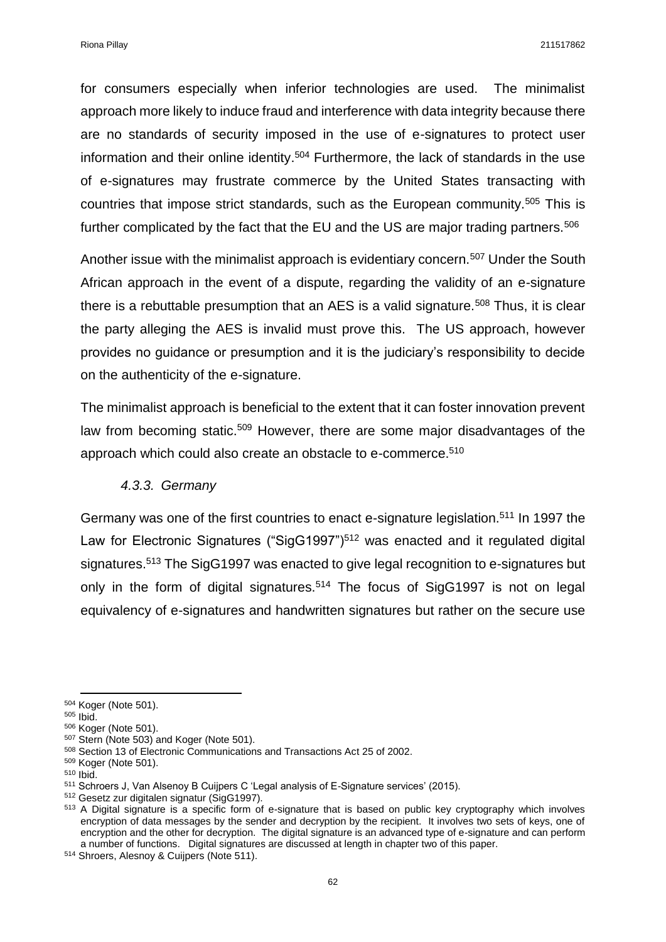for consumers especially when inferior technologies are used. The minimalist approach more likely to induce fraud and interference with data integrity because there are no standards of security imposed in the use of e-signatures to protect user information and their online identity. <sup>504</sup> Furthermore, the lack of standards in the use of e-signatures may frustrate commerce by the United States transacting with countries that impose strict standards, such as the European community.<sup>505</sup> This is further complicated by the fact that the EU and the US are major trading partners.<sup>506</sup>

Another issue with the minimalist approach is evidentiary concern.<sup>507</sup> Under the South African approach in the event of a dispute, regarding the validity of an e-signature there is a rebuttable presumption that an AES is a valid signature.<sup>508</sup> Thus, it is clear the party alleging the AES is invalid must prove this. The US approach, however provides no guidance or presumption and it is the judiciary's responsibility to decide on the authenticity of the e-signature.

The minimalist approach is beneficial to the extent that it can foster innovation prevent law from becoming static.<sup>509</sup> However, there are some major disadvantages of the approach which could also create an obstacle to e-commerce.<sup>510</sup>

#### *4.3.3. Germany*

Germany was one of the first countries to enact e-signature legislation.<sup>511</sup> In 1997 the Law for Electronic Signatures ("SigG1997")<sup>512</sup> was enacted and it regulated digital signatures.<sup>513</sup> The SigG1997 was enacted to give legal recognition to e-signatures but only in the form of digital signatures.<sup>514</sup> The focus of SigG1997 is not on legal equivalency of e-signatures and handwritten signatures but rather on the secure use

**.** 

<sup>504</sup> Koger (Note 501).

<sup>505</sup> Ibid.

<sup>506</sup> Koger (Note 501).

<sup>&</sup>lt;sup>507</sup> Stern (Note 503) and Koger (Note 501).

<sup>508</sup> Section 13 of Electronic Communications and Transactions Act 25 of 2002.

<sup>509</sup> Koger (Note 501).

<sup>510</sup> Ibid.

<sup>511</sup> Schroers J, Van Alsenoy B Cuijpers C 'Legal analysis of E-Signature services' (2015).

<sup>512</sup> Gesetz zur digitalen signatur (SigG1997).

<sup>513</sup> A Digital signature is a specific form of e-signature that is based on public key cryptography which involves encryption of data messages by the sender and decryption by the recipient. It involves two sets of keys, one of encryption and the other for decryption. The digital signature is an advanced type of e-signature and can perform a number of functions. Digital signatures are discussed at length in chapter two of this paper.

<sup>514</sup> Shroers, Alesnoy & Cuijpers (Note 511).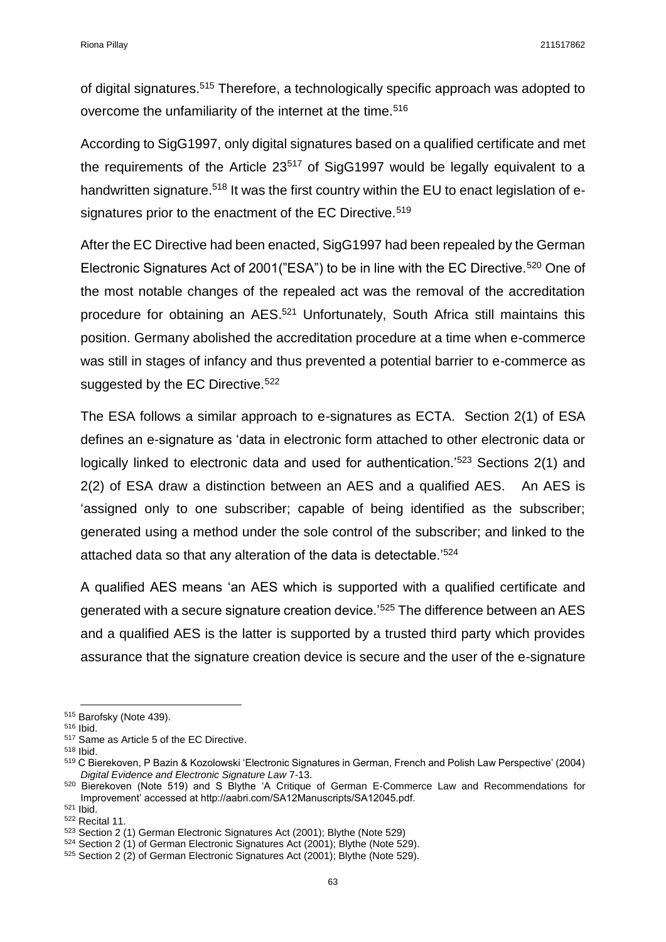of digital signatures.<sup>515</sup> Therefore, a technologically specific approach was adopted to overcome the unfamiliarity of the internet at the time.<sup>516</sup>

According to SigG1997, only digital signatures based on a qualified certificate and met the requirements of the Article  $23^{517}$  of SigG1997 would be legally equivalent to a handwritten signature.<sup>518</sup> It was the first country within the EU to enact legislation of esignatures prior to the enactment of the EC Directive.<sup>519</sup>

After the EC Directive had been enacted, SigG1997 had been repealed by the German Electronic Signatures Act of 2001("ESA") to be in line with the EC Directive.<sup>520</sup> One of the most notable changes of the repealed act was the removal of the accreditation procedure for obtaining an AES.<sup>521</sup> Unfortunately, South Africa still maintains this position. Germany abolished the accreditation procedure at a time when e-commerce was still in stages of infancy and thus prevented a potential barrier to e-commerce as suggested by the EC Directive.<sup>522</sup>

The ESA follows a similar approach to e-signatures as ECTA. Section 2(1) of ESA defines an e-signature as 'data in electronic form attached to other electronic data or logically linked to electronic data and used for authentication.<sup>'523</sup> Sections 2(1) and 2(2) of ESA draw a distinction between an AES and a qualified AES. An AES is 'assigned only to one subscriber; capable of being identified as the subscriber; generated using a method under the sole control of the subscriber; and linked to the attached data so that any alteration of the data is detectable.<sup>'524</sup>

A qualified AES means 'an AES which is supported with a qualified certificate and generated with a secure signature creation device.'<sup>525</sup> The difference between an AES and a qualified AES is the latter is supported by a trusted third party which provides assurance that the signature creation device is secure and the user of the e-signature

 $\overline{a}$ 

<sup>515</sup> Barofsky (Note 439).

<sup>516</sup> Ibid.

<sup>517</sup> Same as Article 5 of the EC Directive.

<sup>518</sup> Ibid.

<sup>519</sup> C Bierekoven, P Bazin & Kozolowski 'Electronic Signatures in German, French and Polish Law Perspective' (2004) *Digital Evidence and Electronic Signature Law* 7-13.

<sup>520</sup> Bierekoven (Note 519) and S Blythe 'A Critique of German E-Commerce Law and Recommendations for Improvement' accessed at http://aabri.com/SA12Manuscripts/SA12045.pdf.

<sup>521</sup> Ibid.

<sup>522</sup> Recital 11.

<sup>523</sup> Section 2 (1) German Electronic Signatures Act (2001); Blythe (Note 529)

<sup>524</sup> Section 2 (1) of German Electronic Signatures Act (2001); Blythe (Note 529).

<sup>525</sup> Section 2 (2) of German Electronic Signatures Act (2001); Blythe (Note 529).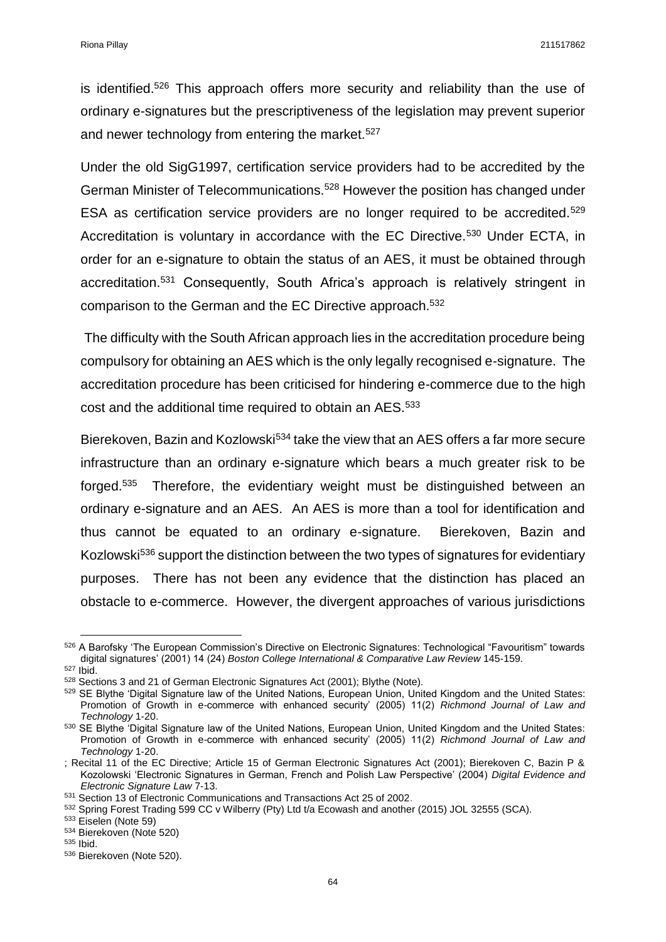is identified.<sup>526</sup> This approach offers more security and reliability than the use of ordinary e-signatures but the prescriptiveness of the legislation may prevent superior and newer technology from entering the market.<sup>527</sup>

Under the old SigG1997, certification service providers had to be accredited by the German Minister of Telecommunications.<sup>528</sup> However the position has changed under ESA as certification service providers are no longer required to be accredited.<sup>529</sup> Accreditation is voluntary in accordance with the EC Directive.<sup>530</sup> Under ECTA, in order for an e-signature to obtain the status of an AES, it must be obtained through accreditation.<sup>531</sup> Consequently, South Africa's approach is relatively stringent in comparison to the German and the EC Directive approach. 532

The difficulty with the South African approach lies in the accreditation procedure being compulsory for obtaining an AES which is the only legally recognised e-signature. The accreditation procedure has been criticised for hindering e-commerce due to the high cost and the additional time required to obtain an AES.<sup>533</sup>

Bierekoven, Bazin and Kozlowski<sup>534</sup> take the view that an AES offers a far more secure infrastructure than an ordinary e-signature which bears a much greater risk to be forged. $535$  Therefore, the evidentiary weight must be distinguished between an ordinary e-signature and an AES. An AES is more than a tool for identification and thus cannot be equated to an ordinary e-signature. Bierekoven, Bazin and Kozlowski<sup>536</sup> support the distinction between the two types of signatures for evidentiary purposes. There has not been any evidence that the distinction has placed an obstacle to e-commerce. However, the divergent approaches of various jurisdictions

<sup>527</sup> Ibid.

**.** 

<sup>526</sup> A Barofsky 'The European Commission's Directive on Electronic Signatures: Technological "Favouritism" towards digital signatures' (2001) 14 (24) *Boston College International & Comparative Law Review* 145-159.

<sup>528</sup> Sections 3 and 21 of German Electronic Signatures Act (2001); Blythe (Note).

<sup>529</sup> SE Blythe 'Digital Signature law of the United Nations, European Union, United Kingdom and the United States: Promotion of Growth in e-commerce with enhanced security' (2005) 11(2) *Richmond Journal of Law and Technology* 1-20.

<sup>530</sup> SE Blythe 'Digital Signature law of the United Nations, European Union, United Kingdom and the United States: Promotion of Growth in e-commerce with enhanced security' (2005) 11(2) *Richmond Journal of Law and Technology* 1-20.

<sup>;</sup> Recital 11 of the EC Directive; Article 15 of German Electronic Signatures Act (2001); Bierekoven C, Bazin P & Kozolowski 'Electronic Signatures in German, French and Polish Law Perspective' (2004) *Digital Evidence and Electronic Signature Law* 7-13.

<sup>531</sup> Section 13 of Electronic Communications and Transactions Act 25 of 2002.

<sup>532</sup> Spring Forest Trading 599 CC v Wilberry (Pty) Ltd t/a Ecowash and another (2015) JOL 32555 (SCA).

<sup>533</sup> Eiselen (Note 59)

<sup>534</sup> Bierekoven (Note 520)

<sup>535</sup> Ibid.

<sup>536</sup> Bierekoven (Note 520).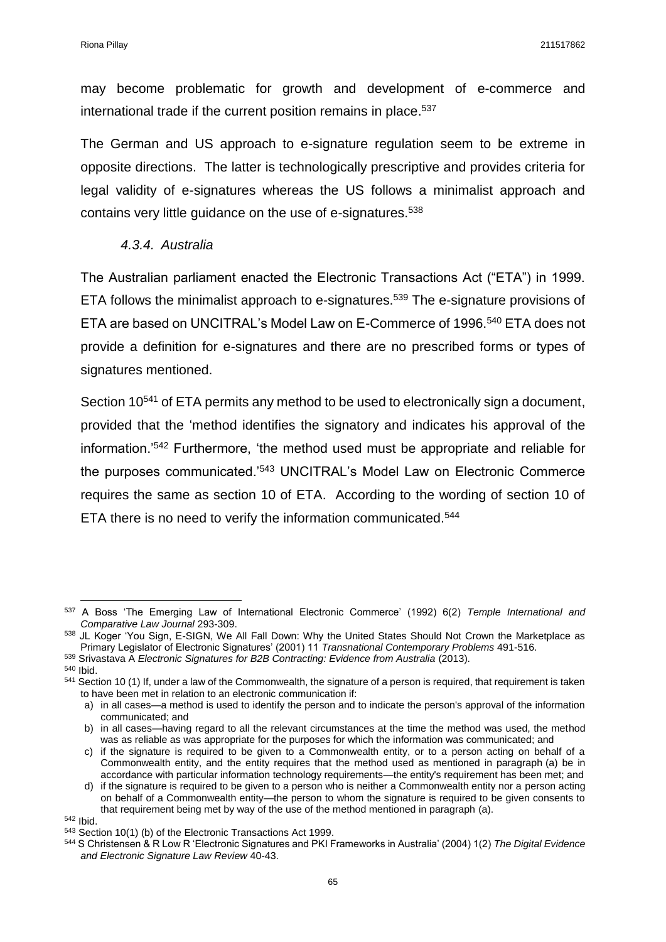may become problematic for growth and development of e-commerce and international trade if the current position remains in place.<sup>537</sup>

The German and US approach to e-signature regulation seem to be extreme in opposite directions. The latter is technologically prescriptive and provides criteria for legal validity of e-signatures whereas the US follows a minimalist approach and contains very little guidance on the use of e-signatures.<sup>538</sup>

## *4.3.4. Australia*

The Australian parliament enacted the Electronic Transactions Act ("ETA") in 1999. ETA follows the minimalist approach to e-signatures.<sup>539</sup> The e-signature provisions of ETA are based on UNCITRAL's Model Law on E-Commerce of 1996.<sup>540</sup> ETA does not provide a definition for e-signatures and there are no prescribed forms or types of signatures mentioned.

Section 10<sup>541</sup> of ETA permits any method to be used to electronically sign a document, provided that the 'method identifies the signatory and indicates his approval of the information.'<sup>542</sup> Furthermore, 'the method used must be appropriate and reliable for the purposes communicated.'<sup>543</sup> UNCITRAL's Model Law on Electronic Commerce requires the same as section 10 of ETA. According to the wording of section 10 of ETA there is no need to verify the information communicated.<sup>544</sup>

**.** 

<sup>537</sup> A Boss 'The Emerging Law of International Electronic Commerce' (1992) 6(2) *Temple International and Comparative Law Journal* 293-309.

<sup>538</sup> JL Koger 'You Sign, E-SIGN, We All Fall Down: Why the United States Should Not Crown the Marketplace as Primary Legislator of Electronic Signatures' (2001) 11 *Transnational Contemporary Problems* 491-516.

<sup>539</sup> Srivastava A *Electronic Signatures for B2B Contracting: Evidence from Australia* (2013).

<sup>540</sup> Ibid.

 $541$  Section 10 (1) If, under a law of the Commonwealth, the signature of a person is required, that requirement is taken to have been met in relation to an electronic communication if:

a) in all cases—a method is used to identify the person and to indicate the person's approval of the information communicated; and

b) in all cases—having regard to all the relevant circumstances at the time the method was used, the method was as reliable as was appropriate for the purposes for which the information was communicated; and

c) if the signature is required to be given to a Commonwealth entity, or to a person acting on behalf of a Commonwealth entity, and the entity requires that the method used as mentioned in paragraph (a) be in accordance with particular information technology requirements—the entity's requirement has been met; and

d) if the signature is required to be given to a person who is neither a Commonwealth entity nor a person acting on behalf of a Commonwealth entity—the person to whom the signature is required to be given consents to that requirement being met by way of the use of the method mentioned in paragraph (a).

<sup>542</sup> Ibid.

<sup>543</sup> Section 10(1) (b) of the Electronic Transactions Act 1999.

<sup>544</sup> S Christensen & R Low R 'Electronic Signatures and PKI Frameworks in Australia' (2004) 1(2) *The Digital Evidence and Electronic Signature Law Review* 40-43.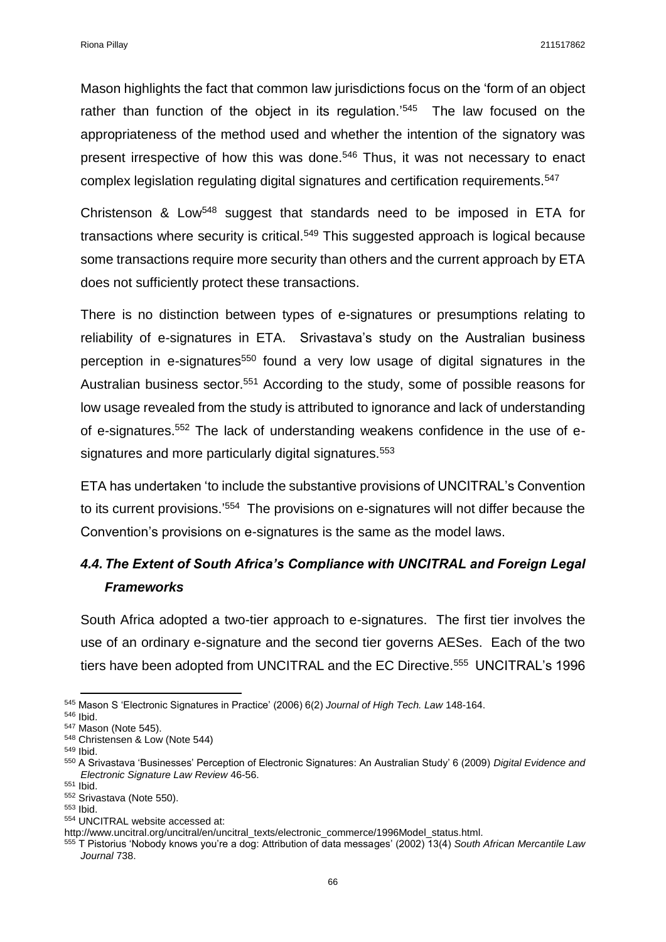Mason highlights the fact that common law jurisdictions focus on the 'form of an object rather than function of the object in its regulation.<sup>'545</sup> The law focused on the appropriateness of the method used and whether the intention of the signatory was present irrespective of how this was done.<sup>546</sup> Thus, it was not necessary to enact complex legislation regulating digital signatures and certification requirements.<sup>547</sup>

Christenson & Low<sup>548</sup> suggest that standards need to be imposed in ETA for transactions where security is critical.<sup>549</sup> This suggested approach is logical because some transactions require more security than others and the current approach by ETA does not sufficiently protect these transactions.

There is no distinction between types of e-signatures or presumptions relating to reliability of e-signatures in ETA. Srivastava's study on the Australian business perception in e-signatures<sup>550</sup> found a very low usage of digital signatures in the Australian business sector.<sup>551</sup> According to the study, some of possible reasons for low usage revealed from the study is attributed to ignorance and lack of understanding of e-signatures.<sup>552</sup> The lack of understanding weakens confidence in the use of esignatures and more particularly digital signatures.<sup>553</sup>

ETA has undertaken 'to include the substantive provisions of UNCITRAL's Convention to its current provisions.'<sup>554</sup> The provisions on e-signatures will not differ because the Convention's provisions on e-signatures is the same as the model laws.

# *4.4.The Extent of South Africa's Compliance with UNCITRAL and Foreign Legal Frameworks*

South Africa adopted a two-tier approach to e-signatures. The first tier involves the use of an ordinary e-signature and the second tier governs AESes. Each of the two tiers have been adopted from UNCITRAL and the EC Directive.<sup>555</sup> UNCITRAL's 1996

**<sup>.</sup>** <sup>545</sup> Mason S 'Electronic Signatures in Practice' (2006) 6(2) *Journal of High Tech. Law* 148-164.

<sup>546</sup> Ibid.

<sup>547</sup> Mason (Note 545).

<sup>548</sup> Christensen & Low (Note 544)

<sup>549</sup> Ibid.

<sup>550</sup> A Srivastava 'Businesses' Perception of Electronic Signatures: An Australian Study' 6 (2009) *Digital Evidence and Electronic Signature Law Review* 46-56.

<sup>551</sup> Ibid.

<sup>552</sup> Srivastava (Note 550).

<sup>553</sup> Ibid.

<sup>554</sup> UNCITRAL website accessed at:

http://www.uncitral.org/uncitral/en/uncitral\_texts/electronic\_commerce/1996Model\_status.html.

<sup>555</sup> T Pistorius 'Nobody knows you're a dog: Attribution of data messages' (2002) 13(4) *South African Mercantile Law Journal* 738.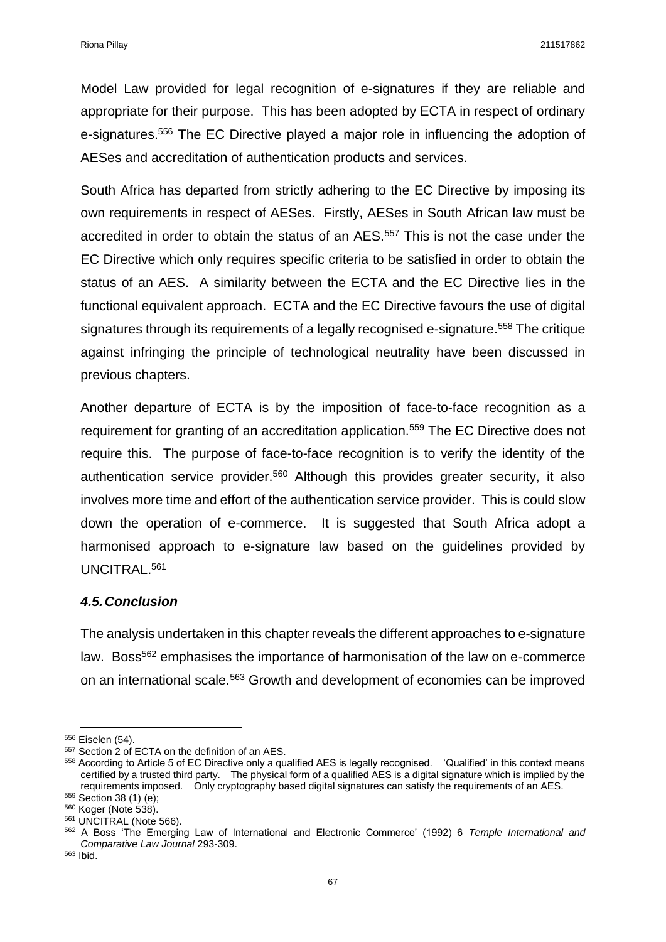Model Law provided for legal recognition of e-signatures if they are reliable and appropriate for their purpose. This has been adopted by ECTA in respect of ordinary e-signatures.<sup>556</sup> The EC Directive played a major role in influencing the adoption of AESes and accreditation of authentication products and services.

South Africa has departed from strictly adhering to the EC Directive by imposing its own requirements in respect of AESes. Firstly, AESes in South African law must be accredited in order to obtain the status of an AES.<sup>557</sup> This is not the case under the EC Directive which only requires specific criteria to be satisfied in order to obtain the status of an AES. A similarity between the ECTA and the EC Directive lies in the functional equivalent approach. ECTA and the EC Directive favours the use of digital signatures through its requirements of a legally recognised e-signature.<sup>558</sup> The critique against infringing the principle of technological neutrality have been discussed in previous chapters.

Another departure of ECTA is by the imposition of face-to-face recognition as a requirement for granting of an accreditation application.<sup>559</sup> The EC Directive does not require this. The purpose of face-to-face recognition is to verify the identity of the authentication service provider.<sup>560</sup> Although this provides greater security, it also involves more time and effort of the authentication service provider. This is could slow down the operation of e-commerce. It is suggested that South Africa adopt a harmonised approach to e-signature law based on the guidelines provided by UNCITRAL.<sup>561</sup>

### *4.5.Conclusion*

The analysis undertaken in this chapter reveals the different approaches to e-signature law. Boss<sup>562</sup> emphasises the importance of harmonisation of the law on e-commerce on an international scale.<sup>563</sup> Growth and development of economies can be improved

 $\overline{a}$ <sup>556</sup> Eiselen (54).

<sup>557</sup> Section 2 of ECTA on the definition of an AES.

<sup>&</sup>lt;sup>558</sup> According to Article 5 of EC Directive only a qualified AES is legally recognised. 'Qualified' in this context means certified by a trusted third party. The physical form of a qualified AES is a digital signature which is implied by the requirements imposed. Only cryptography based digital signatures can satisfy the requirements of an AES.

<sup>559</sup> Section 38 (1) (e);

<sup>560</sup> Koger (Note 538).

<sup>561</sup> UNCITRAL (Note 566).

<sup>562</sup> A Boss 'The Emerging Law of International and Electronic Commerce' (1992) 6 *Temple International and Comparative Law Journal* 293-309.

<sup>563</sup> Ibid.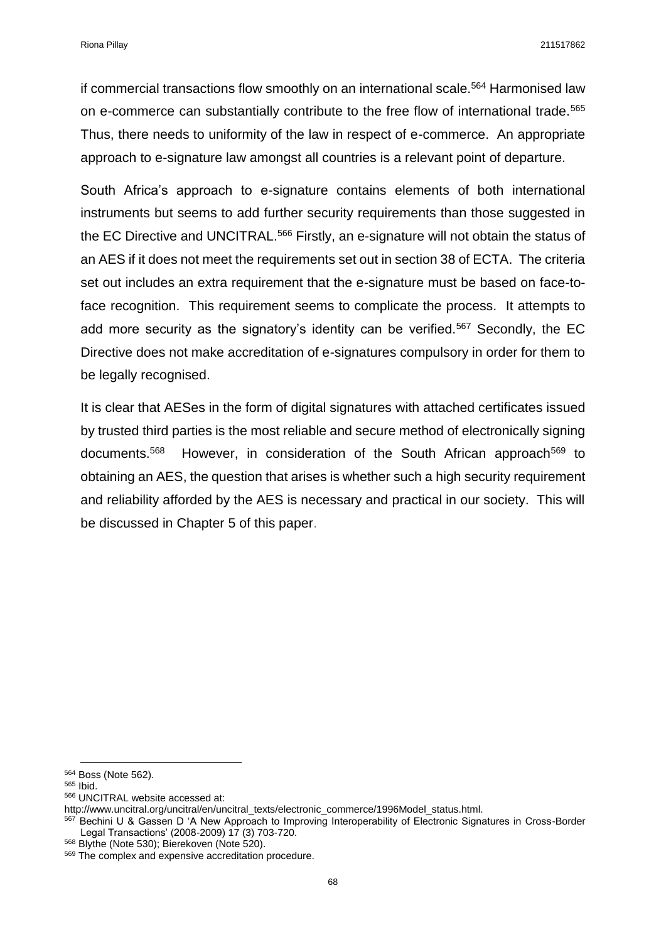if commercial transactions flow smoothly on an international scale.<sup>564</sup> Harmonised law on e-commerce can substantially contribute to the free flow of international trade.<sup>565</sup> Thus, there needs to uniformity of the law in respect of e-commerce. An appropriate approach to e-signature law amongst all countries is a relevant point of departure.

South Africa's approach to e-signature contains elements of both international instruments but seems to add further security requirements than those suggested in the EC Directive and UNCITRAL.<sup>566</sup> Firstly, an e-signature will not obtain the status of an AES if it does not meet the requirements set out in section 38 of ECTA. The criteria set out includes an extra requirement that the e-signature must be based on face-toface recognition. This requirement seems to complicate the process. It attempts to add more security as the signatory's identity can be verified.<sup>567</sup> Secondly, the EC Directive does not make accreditation of e-signatures compulsory in order for them to be legally recognised.

It is clear that AESes in the form of digital signatures with attached certificates issued by trusted third parties is the most reliable and secure method of electronically signing documents.<sup>568</sup> However, in consideration of the South African approach<sup>569</sup> to obtaining an AES, the question that arises is whether such a high security requirement and reliability afforded by the AES is necessary and practical in our society. This will be discussed in Chapter 5 of this paper.

 $\overline{a}$ 

<sup>564</sup> Boss (Note 562).

<sup>565</sup> Ibid.

<sup>566</sup> UNCITRAL website accessed at:

http://www.uncitral.org/uncitral/en/uncitral\_texts/electronic\_commerce/1996Model\_status.html.

<sup>&</sup>lt;sup>567</sup> Bechini U & Gassen D 'A New Approach to Improving Interoperability of Electronic Signatures in Cross-Border Legal Transactions' (2008-2009) 17 (3) 703-720.

<sup>568</sup> Blythe (Note 530); Bierekoven (Note 520).

<sup>569</sup> The complex and expensive accreditation procedure.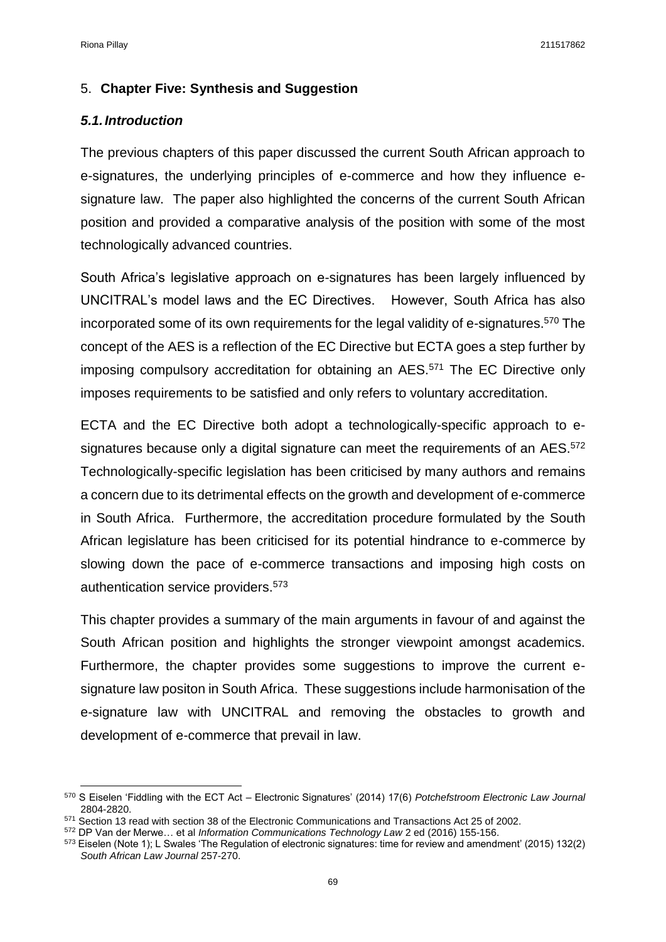### 5. **Chapter Five: Synthesis and Suggestion**

#### *5.1.Introduction*

The previous chapters of this paper discussed the current South African approach to e-signatures, the underlying principles of e-commerce and how they influence esignature law. The paper also highlighted the concerns of the current South African position and provided a comparative analysis of the position with some of the most technologically advanced countries.

South Africa's legislative approach on e-signatures has been largely influenced by UNCITRAL's model laws and the EC Directives. However, South Africa has also incorporated some of its own requirements for the legal validity of e-signatures.<sup>570</sup> The concept of the AES is a reflection of the EC Directive but ECTA goes a step further by imposing compulsory accreditation for obtaining an AES.<sup>571</sup> The EC Directive only imposes requirements to be satisfied and only refers to voluntary accreditation.

ECTA and the EC Directive both adopt a technologically-specific approach to esignatures because only a digital signature can meet the requirements of an AES.<sup>572</sup> Technologically-specific legislation has been criticised by many authors and remains a concern due to its detrimental effects on the growth and development of e-commerce in South Africa. Furthermore, the accreditation procedure formulated by the South African legislature has been criticised for its potential hindrance to e-commerce by slowing down the pace of e-commerce transactions and imposing high costs on authentication service providers.<sup>573</sup>

This chapter provides a summary of the main arguments in favour of and against the South African position and highlights the stronger viewpoint amongst academics. Furthermore, the chapter provides some suggestions to improve the current esignature law positon in South Africa. These suggestions include harmonisation of the e-signature law with UNCITRAL and removing the obstacles to growth and development of e-commerce that prevail in law.

 $\overline{a}$ <sup>570</sup> S Eiselen 'Fiddling with the ECT Act – Electronic Signatures' (2014) 17(6) *Potchefstroom Electronic Law Journal*  2804-2820.

<sup>571</sup> Section 13 read with section 38 of the Electronic Communications and Transactions Act 25 of 2002.

<sup>572</sup> DP Van der Merwe… et al *Information Communications Technology Law* 2 ed (2016) 155-156.

<sup>573</sup> Eiselen (Note 1); L Swales 'The Regulation of electronic signatures: time for review and amendment' (2015) 132(2) *South African Law Journal* 257-270.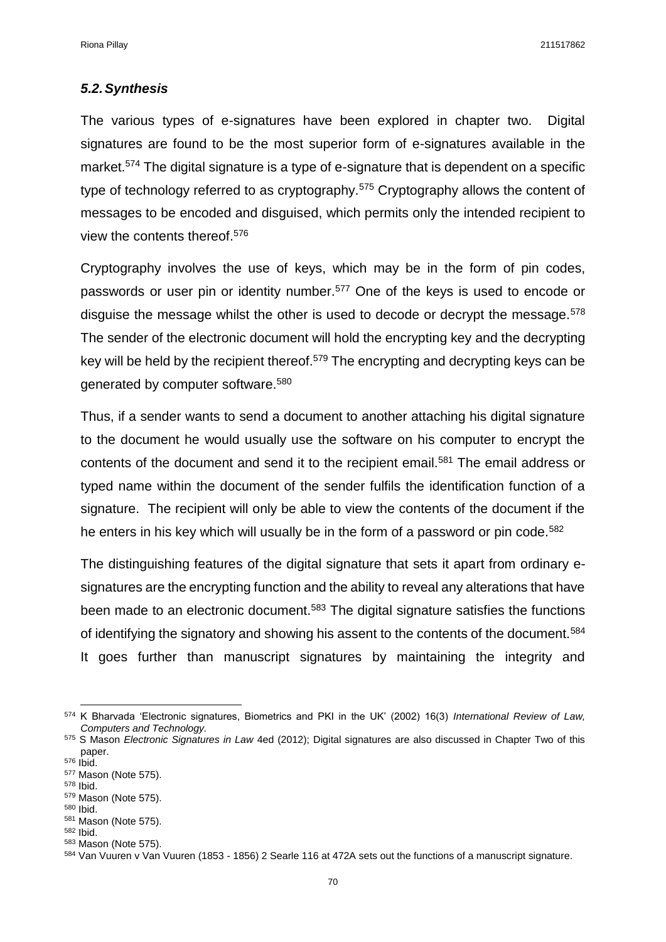#### *5.2.Synthesis*

The various types of e-signatures have been explored in chapter two. Digital signatures are found to be the most superior form of e-signatures available in the market.<sup>574</sup> The digital signature is a type of e-signature that is dependent on a specific type of technology referred to as cryptography.<sup>575</sup> Cryptography allows the content of messages to be encoded and disguised, which permits only the intended recipient to view the contents thereof.<sup>576</sup>

Cryptography involves the use of keys, which may be in the form of pin codes, passwords or user pin or identity number.<sup>577</sup> One of the keys is used to encode or disquise the message whilst the other is used to decode or decrypt the message.<sup>578</sup> The sender of the electronic document will hold the encrypting key and the decrypting key will be held by the recipient thereof.<sup>579</sup> The encrypting and decrypting keys can be generated by computer software.<sup>580</sup>

Thus, if a sender wants to send a document to another attaching his digital signature to the document he would usually use the software on his computer to encrypt the contents of the document and send it to the recipient email.<sup>581</sup> The email address or typed name within the document of the sender fulfils the identification function of a signature. The recipient will only be able to view the contents of the document if the he enters in his key which will usually be in the form of a password or pin code.<sup>582</sup>

The distinguishing features of the digital signature that sets it apart from ordinary esignatures are the encrypting function and the ability to reveal any alterations that have been made to an electronic document.<sup>583</sup> The digital signature satisfies the functions of identifying the signatory and showing his assent to the contents of the document.<sup>584</sup> It goes further than manuscript signatures by maintaining the integrity and

 $\overline{a}$ 

<sup>574</sup> K Bharvada 'Electronic signatures, Biometrics and PKI in the UK' (2002) 16(3) *International Review of Law, Computers and Technology.*

<sup>575</sup> S Mason *Electronic Signatures in Law* 4ed (2012); Digital signatures are also discussed in Chapter Two of this paper. <sup>576</sup> Ibid.

<sup>577</sup> Mason (Note 575).

<sup>578</sup> Ibid. <sup>579</sup> Mason (Note 575).

<sup>580</sup> Ibid.

<sup>581</sup> Mason (Note 575). <sup>582</sup> Ibid.

<sup>583</sup> Mason (Note 575).

<sup>584</sup> Van Vuuren v Van Vuuren (1853 - 1856) 2 Searle 116 at 472A sets out the functions of a manuscript signature.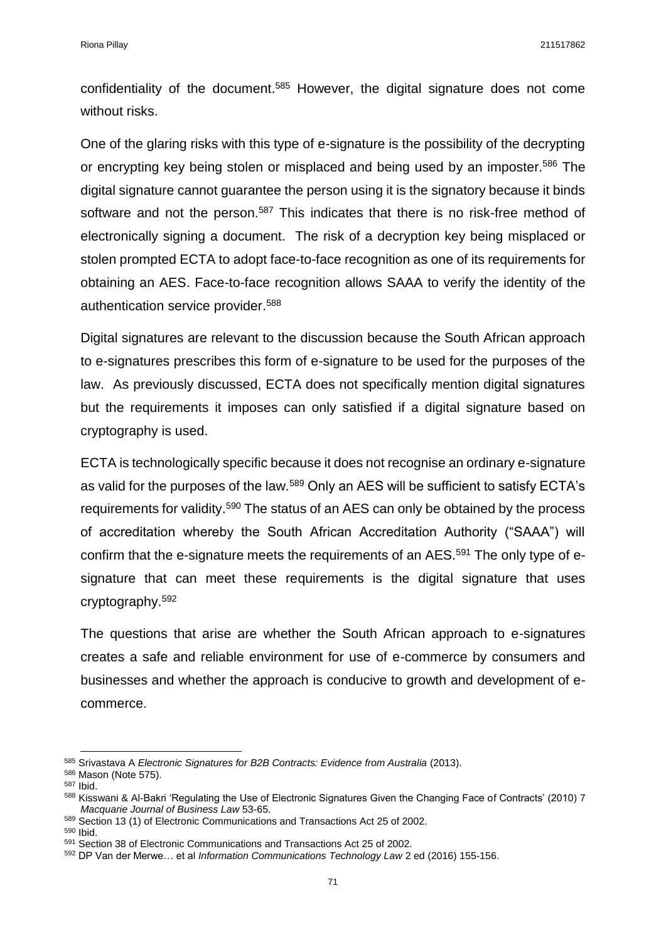confidentiality of the document.<sup>585</sup> However, the digital signature does not come without risks.

One of the glaring risks with this type of e-signature is the possibility of the decrypting or encrypting key being stolen or misplaced and being used by an imposter.<sup>586</sup> The digital signature cannot guarantee the person using it is the signatory because it binds software and not the person.<sup>587</sup> This indicates that there is no risk-free method of electronically signing a document. The risk of a decryption key being misplaced or stolen prompted ECTA to adopt face-to-face recognition as one of its requirements for obtaining an AES. Face-to-face recognition allows SAAA to verify the identity of the authentication service provider. 588

Digital signatures are relevant to the discussion because the South African approach to e-signatures prescribes this form of e-signature to be used for the purposes of the law. As previously discussed, ECTA does not specifically mention digital signatures but the requirements it imposes can only satisfied if a digital signature based on cryptography is used.

ECTA is technologically specific because it does not recognise an ordinary e-signature as valid for the purposes of the law.<sup>589</sup> Only an AES will be sufficient to satisfy ECTA's requirements for validity.<sup>590</sup> The status of an AES can only be obtained by the process of accreditation whereby the South African Accreditation Authority ("SAAA") will confirm that the e-signature meets the requirements of an AES.<sup>591</sup> The only type of esignature that can meet these requirements is the digital signature that uses cryptography.<sup>592</sup>

The questions that arise are whether the South African approach to e-signatures creates a safe and reliable environment for use of e-commerce by consumers and businesses and whether the approach is conducive to growth and development of ecommerce.

**.** 

<sup>590</sup> Ibid.

<sup>585</sup> Srivastava A *Electronic Signatures for B2B Contracts: Evidence from Australia* (2013).

<sup>586</sup> Mason (Note 575).

<sup>587</sup> Ibid.

<sup>&</sup>lt;sup>588</sup> Kisswani & Al-Bakri 'Regulating the Use of Electronic Signatures Given the Changing Face of Contracts' (2010) 7 *Macquarie Journal of Business Law* 53-65.

<sup>589</sup> Section 13 (1) of Electronic Communications and Transactions Act 25 of 2002.

<sup>591</sup> Section 38 of Electronic Communications and Transactions Act 25 of 2002.

<sup>592</sup> DP Van der Merwe… et al *Information Communications Technology Law* 2 ed (2016) 155-156.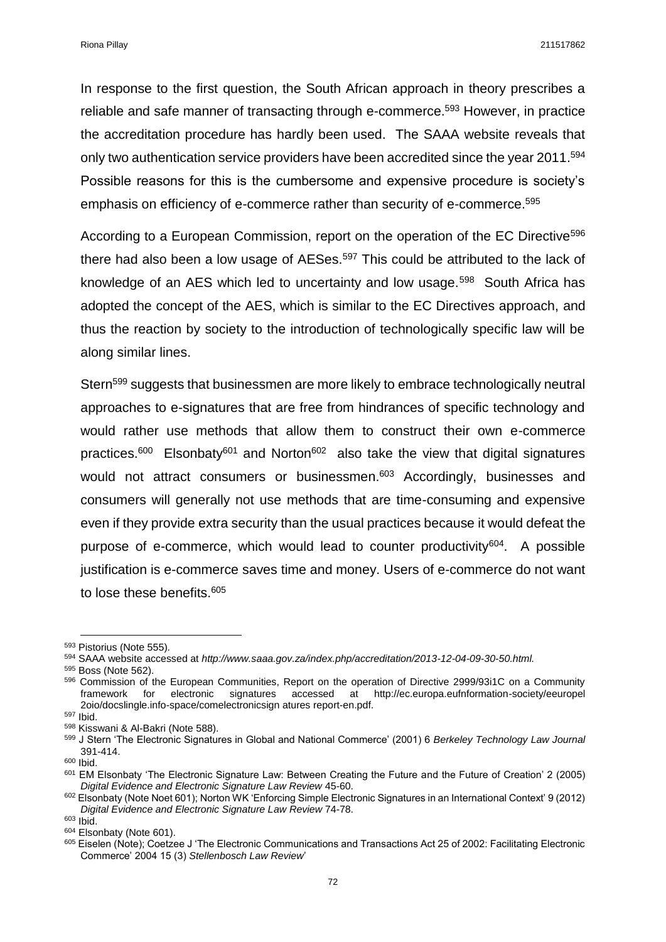Riona Pillay 211517862

In response to the first question, the South African approach in theory prescribes a reliable and safe manner of transacting through e-commerce.<sup>593</sup> However, in practice the accreditation procedure has hardly been used. The SAAA website reveals that only two authentication service providers have been accredited since the year 2011. 594 Possible reasons for this is the cumbersome and expensive procedure is society's emphasis on efficiency of e-commerce rather than security of e-commerce.<sup>595</sup>

According to a European Commission, report on the operation of the EC Directive<sup>596</sup> there had also been a low usage of AESes.<sup>597</sup> This could be attributed to the lack of knowledge of an AES which led to uncertainty and low usage.<sup>598</sup> South Africa has adopted the concept of the AES, which is similar to the EC Directives approach, and thus the reaction by society to the introduction of technologically specific law will be along similar lines.

Stern<sup>599</sup> suggests that businessmen are more likely to embrace technologically neutral approaches to e-signatures that are free from hindrances of specific technology and would rather use methods that allow them to construct their own e-commerce practices.<sup>600</sup> Elsonbaty<sup>601</sup> and Norton<sup>602</sup> also take the view that digital signatures would not attract consumers or businessmen.<sup>603</sup> Accordingly, businesses and consumers will generally not use methods that are time-consuming and expensive even if they provide extra security than the usual practices because it would defeat the purpose of e-commerce, which would lead to counter productivity<sup>604</sup>. A possible justification is e-commerce saves time and money. Users of e-commerce do not want to lose these benefits.<sup>605</sup>

**.** 

<sup>600</sup> Ibid.

<sup>593</sup> Pistorius (Note 555).

<sup>594</sup> SAAA website accessed at *http://www.saaa.gov.za/index.php/accreditation/2013-12-04-09-30-50.html.*

<sup>595</sup> Boss (Note 562).

<sup>596</sup> Commission of the European Communities, Report on the operation of Directive 2999/93i1C on a Community framework for electronic signatures accessed at http://ec.europa.eufnformation-society/eeuropel 2oio/docslingle.info-space/comelectronicsign atures report-en.pdf.

<sup>597</sup> Ibid.

<sup>598</sup> Kisswani & Al-Bakri (Note 588).

<sup>599</sup> J Stern 'The Electronic Signatures in Global and National Commerce' (2001) 6 *Berkeley Technology Law Journal*  391-414.

<sup>601</sup> EM Elsonbaty 'The Electronic Signature Law: Between Creating the Future and the Future of Creation' 2 (2005) *Digital Evidence and Electronic Signature Law Review* 45-60.

 $602$  Elsonbaty (Note Noet 601); Norton WK 'Enforcing Simple Electronic Signatures in an International Context' 9 (2012) *Digital Evidence and Electronic Signature Law Review* 74-78.

<sup>603</sup> Ibid.

<sup>&</sup>lt;sup>604</sup> Elsonbaty (Note 601).

<sup>605</sup> Eiselen (Note); Coetzee J 'The Electronic Communications and Transactions Act 25 of 2002: Facilitating Electronic Commerce' 2004 15 (3) *Stellenbosch Law Review*'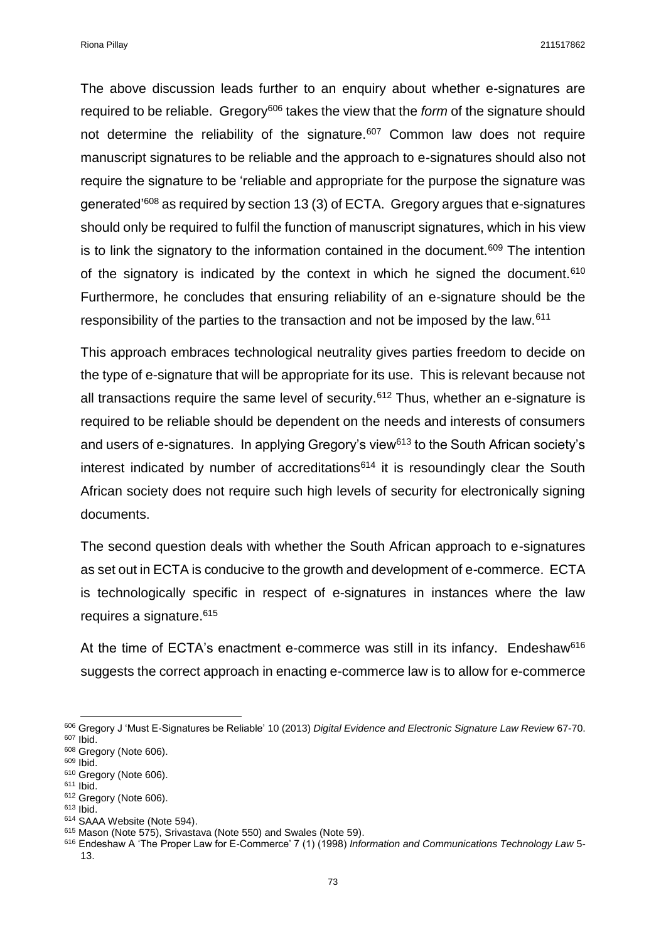Riona Pillay 211517862

The above discussion leads further to an enquiry about whether e-signatures are required to be reliable. Gregory<sup>606</sup> takes the view that the *form* of the signature should not determine the reliability of the signature.<sup>607</sup> Common law does not require manuscript signatures to be reliable and the approach to e-signatures should also not require the signature to be 'reliable and appropriate for the purpose the signature was generated'<sup>608</sup> as required by section 13 (3) of ECTA. Gregory argues that e-signatures should only be required to fulfil the function of manuscript signatures, which in his view is to link the signatory to the information contained in the document.<sup>609</sup> The intention of the signatory is indicated by the context in which he signed the document.<sup>610</sup> Furthermore, he concludes that ensuring reliability of an e-signature should be the responsibility of the parties to the transaction and not be imposed by the law.<sup>611</sup>

This approach embraces technological neutrality gives parties freedom to decide on the type of e-signature that will be appropriate for its use. This is relevant because not all transactions require the same level of security.<sup>612</sup> Thus, whether an e-signature is required to be reliable should be dependent on the needs and interests of consumers and users of e-signatures. In applying Gregory's view<sup>613</sup> to the South African society's interest indicated by number of accreditations $614$  it is resoundingly clear the South African society does not require such high levels of security for electronically signing documents.

The second question deals with whether the South African approach to e-signatures as set out in ECTA is conducive to the growth and development of e-commerce. ECTA is technologically specific in respect of e-signatures in instances where the law requires a signature.<sup>615</sup>

At the time of ECTA's enactment e-commerce was still in its infancy. Endeshaw<sup>616</sup> suggests the correct approach in enacting e-commerce law is to allow for e-commerce

**.** 

<sup>606</sup> Gregory J 'Must E-Signatures be Reliable' 10 (2013) *Digital Evidence and Electronic Signature Law Review* 67-70. <sup>607</sup> Ibid.

<sup>&</sup>lt;sup>608</sup> Gregory (Note 606).

<sup>609</sup> Ibid.

<sup>610</sup> Gregory (Note 606). <sup>611</sup> Ibid.

<sup>&</sup>lt;sup>612</sup> Gregory (Note 606).

<sup>613</sup> Ibid.

<sup>614</sup> SAAA Website (Note 594).

<sup>615</sup> Mason (Note 575), Srivastava (Note 550) and Swales (Note 59).

<sup>616</sup> Endeshaw A 'The Proper Law for E-Commerce' 7 (1) (1998) *Information and Communications Technology Law* 5- 13.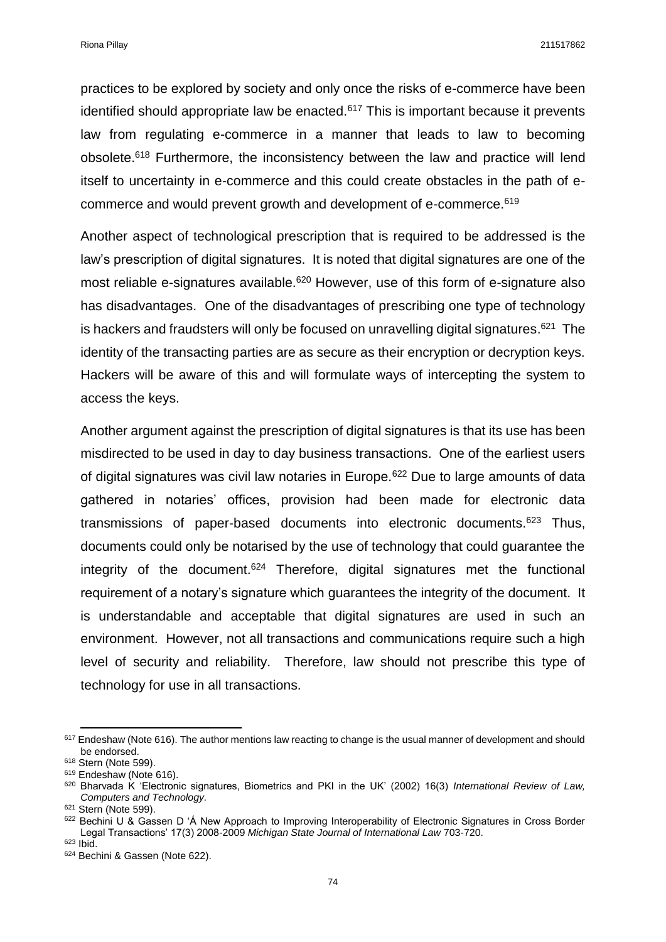Riona Pillay 211517862

practices to be explored by society and only once the risks of e-commerce have been identified should appropriate law be enacted. $617$  This is important because it prevents law from regulating e-commerce in a manner that leads to law to becoming obsolete.<sup>618</sup> Furthermore, the inconsistency between the law and practice will lend itself to uncertainty in e-commerce and this could create obstacles in the path of ecommerce and would prevent growth and development of e-commerce.<sup>619</sup>

Another aspect of technological prescription that is required to be addressed is the law's prescription of digital signatures. It is noted that digital signatures are one of the most reliable e-signatures available.<sup>620</sup> However, use of this form of e-signature also has disadvantages. One of the disadvantages of prescribing one type of technology is hackers and fraudsters will only be focused on unravelling digital signatures.<sup>621</sup> The identity of the transacting parties are as secure as their encryption or decryption keys. Hackers will be aware of this and will formulate ways of intercepting the system to access the keys.

Another argument against the prescription of digital signatures is that its use has been misdirected to be used in day to day business transactions. One of the earliest users of digital signatures was civil law notaries in Europe.<sup>622</sup> Due to large amounts of data gathered in notaries' offices, provision had been made for electronic data transmissions of paper-based documents into electronic documents. $623$  Thus, documents could only be notarised by the use of technology that could guarantee the integrity of the document.<sup>624</sup> Therefore, digital signatures met the functional requirement of a notary's signature which guarantees the integrity of the document. It is understandable and acceptable that digital signatures are used in such an environment. However, not all transactions and communications require such a high level of security and reliability. Therefore, law should not prescribe this type of technology for use in all transactions.

 $\overline{a}$ 

 $617$  Endeshaw (Note 616). The author mentions law reacting to change is the usual manner of development and should be endorsed.

<sup>618</sup> Stern (Note 599).

<sup>&</sup>lt;sup>619</sup> Endeshaw (Note 616).

<sup>620</sup> Bharvada K 'Electronic signatures, Biometrics and PKI in the UK' (2002) 16(3) *International Review of Law, Computers and Technology.*

<sup>621</sup> Stern (Note 599).

<sup>&</sup>lt;sup>622</sup> Bechini U & Gassen D 'Á New Approach to Improving Interoperability of Electronic Signatures in Cross Border Legal Transactions' 17(3) 2008-2009 *Michigan State Journal of International Law* 703-720.

<sup>623</sup> Ibid.

<sup>624</sup> Bechini & Gassen (Note 622).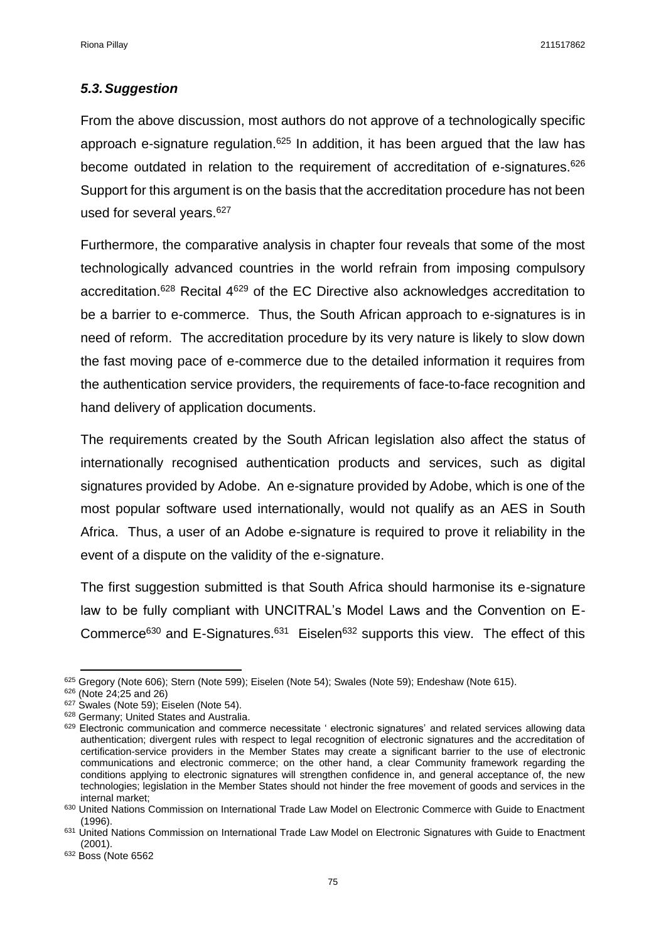#### *5.3.Suggestion*

From the above discussion, most authors do not approve of a technologically specific approach e-signature regulation.<sup>625</sup> In addition, it has been argued that the law has become outdated in relation to the requirement of accreditation of e-signatures.<sup>626</sup> Support for this argument is on the basis that the accreditation procedure has not been used for several years.<sup>627</sup>

Furthermore, the comparative analysis in chapter four reveals that some of the most technologically advanced countries in the world refrain from imposing compulsory accreditation.<sup>628</sup> Recital 4<sup>629</sup> of the EC Directive also acknowledges accreditation to be a barrier to e-commerce. Thus, the South African approach to e-signatures is in need of reform. The accreditation procedure by its very nature is likely to slow down the fast moving pace of e-commerce due to the detailed information it requires from the authentication service providers, the requirements of face-to-face recognition and hand delivery of application documents.

The requirements created by the South African legislation also affect the status of internationally recognised authentication products and services, such as digital signatures provided by Adobe. An e-signature provided by Adobe, which is one of the most popular software used internationally, would not qualify as an AES in South Africa. Thus, a user of an Adobe e-signature is required to prove it reliability in the event of a dispute on the validity of the e-signature.

The first suggestion submitted is that South Africa should harmonise its e-signature law to be fully compliant with UNCITRAL's Model Laws and the Convention on E-Commerce<sup>630</sup> and E-Signatures.<sup>631</sup> Eiselen<sup>632</sup> supports this view. The effect of this

 $\overline{a}$ <sup>625</sup> Gregory (Note 606); Stern (Note 599); Eiselen (Note 54); Swales (Note 59); Endeshaw (Note 615).

<sup>626</sup> (Note 24;25 and 26)

 $627$  Swales (Note 59); Eiselen (Note 54).

<sup>628</sup> Germany; United States and Australia.

<sup>&</sup>lt;sup>629</sup> Electronic communication and commerce necessitate ' electronic signatures' and related services allowing data authentication; divergent rules with respect to legal recognition of electronic signatures and the accreditation of certification-service providers in the Member States may create a significant barrier to the use of electronic communications and electronic commerce; on the other hand, a clear Community framework regarding the conditions applying to electronic signatures will strengthen confidence in, and general acceptance of, the new technologies; legislation in the Member States should not hinder the free movement of goods and services in the internal market;

<sup>630</sup> United Nations Commission on International Trade Law Model on Electronic Commerce with Guide to Enactment (1996).

<sup>631</sup> United Nations Commission on International Trade Law Model on Electronic Signatures with Guide to Enactment (2001).

<sup>&</sup>lt;sup>632</sup> Boss (Note 6562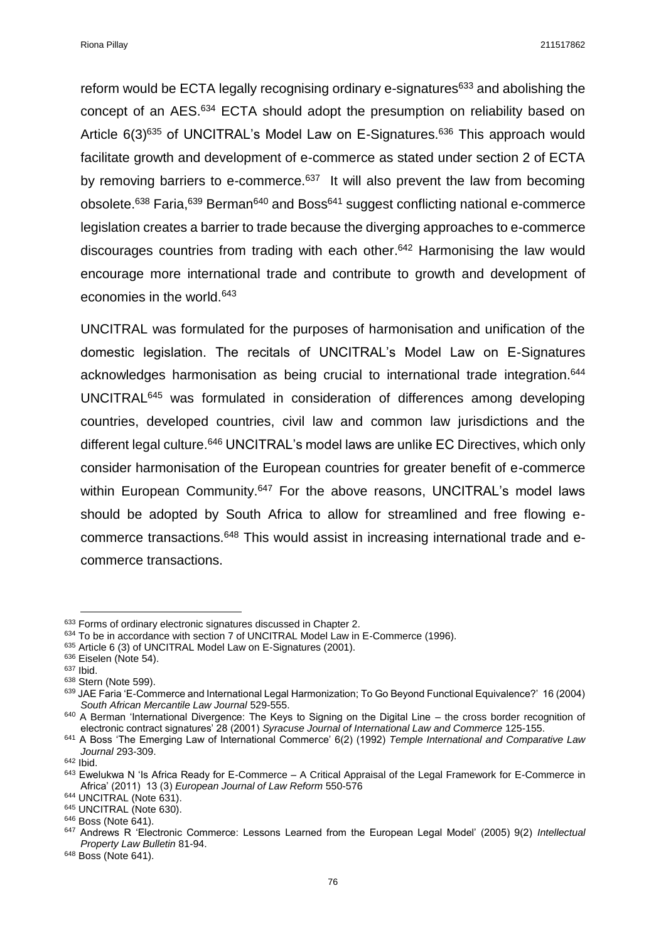Riona Pillay 211517862

reform would be ECTA legally recognising ordinary e-signatures $633$  and abolishing the concept of an AES.<sup>634</sup> ECTA should adopt the presumption on reliability based on Article 6(3)<sup>635</sup> of UNCITRAL's Model Law on E-Signatures.<sup>636</sup> This approach would facilitate growth and development of e-commerce as stated under section 2 of ECTA by removing barriers to e-commerce. $637$  It will also prevent the law from becoming obsolete.<sup>638</sup> Faria,<sup>639</sup> Berman<sup>640</sup> and Boss<sup>641</sup> suggest conflicting national e-commerce legislation creates a barrier to trade because the diverging approaches to e-commerce discourages countries from trading with each other. <sup>642</sup> Harmonising the law would encourage more international trade and contribute to growth and development of economies in the world.<sup>643</sup>

UNCITRAL was formulated for the purposes of harmonisation and unification of the domestic legislation. The recitals of UNCITRAL's Model Law on E-Signatures acknowledges harmonisation as being crucial to international trade integration.<sup>644</sup> UNCITRAL<sup>645</sup> was formulated in consideration of differences among developing countries, developed countries, civil law and common law jurisdictions and the different legal culture.<sup>646</sup> UNCITRAL's model laws are unlike EC Directives, which only consider harmonisation of the European countries for greater benefit of e-commerce within European Community.<sup>647</sup> For the above reasons, UNCITRAL's model laws should be adopted by South Africa to allow for streamlined and free flowing ecommerce transactions.<sup>648</sup> This would assist in increasing international trade and ecommerce transactions.

**<sup>.</sup>** 633 Forms of ordinary electronic signatures discussed in Chapter 2.

<sup>634</sup> To be in accordance with section 7 of UNCITRAL Model Law in E-Commerce (1996).

<sup>635</sup> Article 6 (3) of UNCITRAL Model Law on E-Signatures (2001).

<sup>636</sup> Eiselen (Note 54).

<sup>637</sup> Ibid.

<sup>638</sup> Stern (Note 599).

<sup>639</sup> JAE Faria 'E-Commerce and International Legal Harmonization; To Go Beyond Functional Equivalence?' 16 (2004) *South African Mercantile Law Journal* 529-555.

<sup>&</sup>lt;sup>640</sup> A Berman 'International Divergence: The Keys to Signing on the Digital Line – the cross border recognition of electronic contract signatures' 28 (2001) *Syracuse Journal of International Law and Commerce* 125-155.

<sup>641</sup> A Boss 'The Emerging Law of International Commerce' 6(2) (1992) *Temple International and Comparative Law Journal* 293-309.

<sup>642</sup> Ibid.

<sup>643</sup> Ewelukwa N 'Is Africa Ready for E-Commerce - A Critical Appraisal of the Legal Framework for E-Commerce in Africa' (2011) 13 (3) *European Journal of Law Reform* 550-576

<sup>644</sup> UNCITRAL (Note 631).

<sup>645</sup> UNCITRAL (Note 630).

<sup>646</sup> Boss (Note 641).

<sup>647</sup> Andrews R 'Electronic Commerce: Lessons Learned from the European Legal Model' (2005) 9(2) *Intellectual Property Law Bulletin* 81-94.

<sup>648</sup> Boss (Note 641).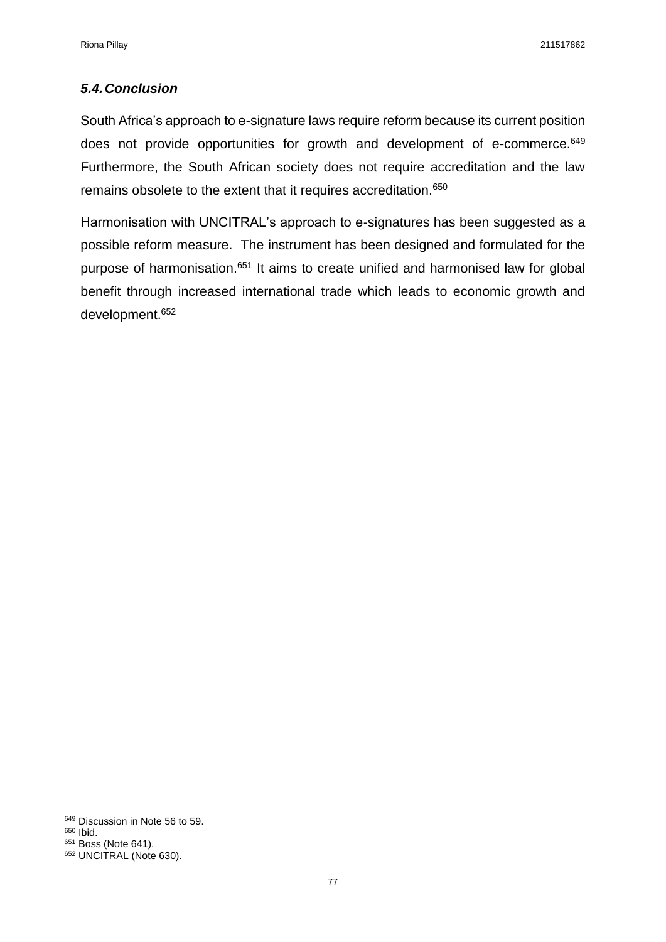## *5.4.Conclusion*

South Africa's approach to e-signature laws require reform because its current position does not provide opportunities for growth and development of e-commerce.<sup>649</sup> Furthermore, the South African society does not require accreditation and the law remains obsolete to the extent that it requires accreditation.<sup>650</sup>

Harmonisation with UNCITRAL's approach to e-signatures has been suggested as a possible reform measure. The instrument has been designed and formulated for the purpose of harmonisation.<sup>651</sup> It aims to create unified and harmonised law for global benefit through increased international trade which leads to economic growth and development. 652

**.** 

<sup>649</sup> Discussion in Note 56 to 59.

<sup>650</sup> Ibid.

<sup>651</sup> Boss (Note 641).

<sup>&</sup>lt;sup>652</sup> UNCITRAL (Note 630).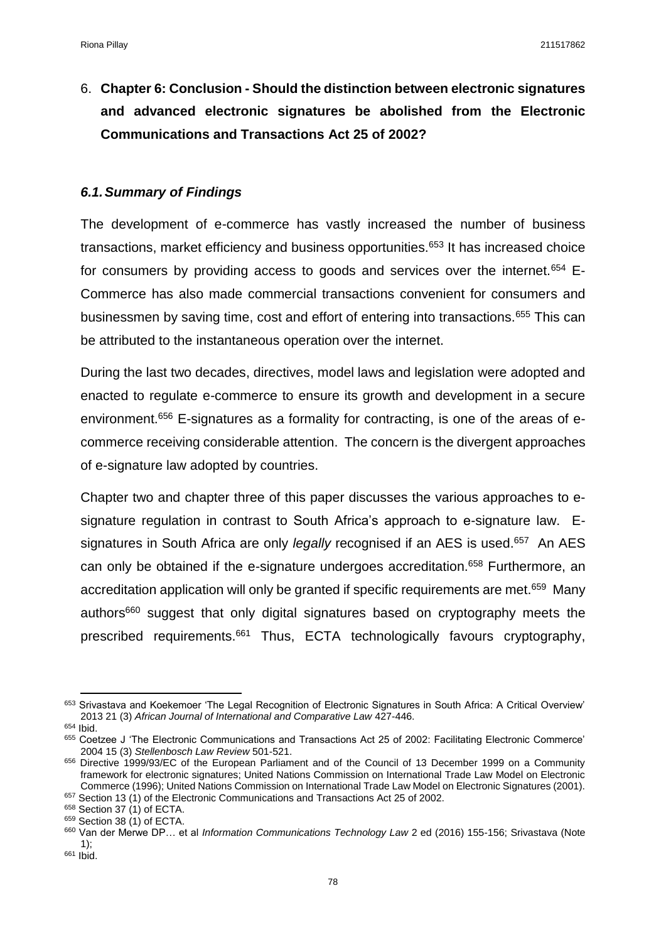6. **Chapter 6: Conclusion - Should the distinction between electronic signatures and advanced electronic signatures be abolished from the Electronic Communications and Transactions Act 25 of 2002?** 

#### *6.1.Summary of Findings*

The development of e-commerce has vastly increased the number of business transactions, market efficiency and business opportunities.<sup>653</sup> It has increased choice for consumers by providing access to goods and services over the internet.<sup>654</sup> E-Commerce has also made commercial transactions convenient for consumers and businessmen by saving time, cost and effort of entering into transactions.<sup>655</sup> This can be attributed to the instantaneous operation over the internet.

During the last two decades, directives, model laws and legislation were adopted and enacted to regulate e-commerce to ensure its growth and development in a secure environment.<sup>656</sup> E-signatures as a formality for contracting, is one of the areas of ecommerce receiving considerable attention. The concern is the divergent approaches of e-signature law adopted by countries.

Chapter two and chapter three of this paper discusses the various approaches to esignature regulation in contrast to South Africa's approach to e-signature law. Esignatures in South Africa are only *legally* recognised if an AES is used.<sup>657</sup> An AES can only be obtained if the e-signature undergoes accreditation.<sup>658</sup> Furthermore, an accreditation application will only be granted if specific requirements are met.<sup>659</sup> Many authors<sup>660</sup> suggest that only digital signatures based on cryptography meets the prescribed requirements.<sup>661</sup> Thus, ECTA technologically favours cryptography,

**<sup>.</sup>** <sup>653</sup> Srivastava and Koekemoer 'The Legal Recognition of Electronic Signatures in South Africa: A Critical Overview' 2013 21 (3) *African Journal of International and Comparative Law* 427-446.

<sup>654</sup> Ibid.

<sup>655</sup> Coetzee J 'The Electronic Communications and Transactions Act 25 of 2002: Facilitating Electronic Commerce' 2004 15 (3) *Stellenbosch Law Review* 501-521.

<sup>656</sup> Directive 1999/93/EC of the European Parliament and of the Council of 13 December 1999 on a Community framework for electronic signatures; United Nations Commission on International Trade Law Model on Electronic Commerce (1996); United Nations Commission on International Trade Law Model on Electronic Signatures (2001).

 $657$  Section 13 (1) of the Electronic Communications and Transactions Act 25 of 2002.

<sup>658</sup> Section 37 (1) of ECTA.

<sup>659</sup> Section 38 (1) of ECTA.

<sup>660</sup> Van der Merwe DP… et al *Information Communications Technology Law* 2 ed (2016) 155-156; Srivastava (Note 1);

<sup>661</sup> Ibid.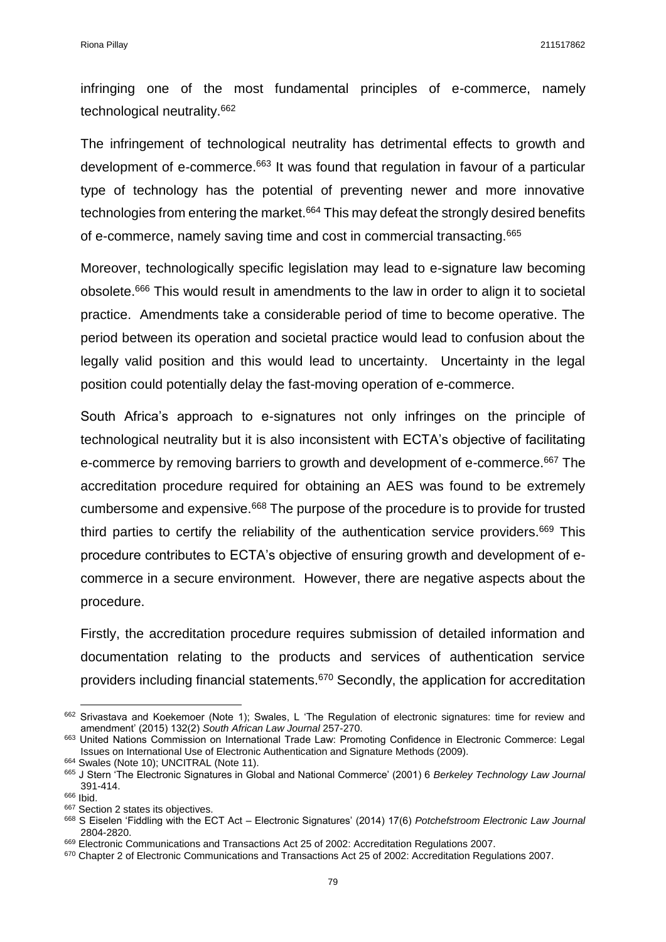infringing one of the most fundamental principles of e-commerce, namely technological neutrality.<sup>662</sup>

The infringement of technological neutrality has detrimental effects to growth and development of e-commerce.<sup>663</sup> It was found that regulation in favour of a particular type of technology has the potential of preventing newer and more innovative technologies from entering the market.<sup>664</sup> This may defeat the strongly desired benefits of e-commerce, namely saving time and cost in commercial transacting.<sup>665</sup>

Moreover, technologically specific legislation may lead to e-signature law becoming obsolete.<sup>666</sup> This would result in amendments to the law in order to align it to societal practice. Amendments take a considerable period of time to become operative. The period between its operation and societal practice would lead to confusion about the legally valid position and this would lead to uncertainty. Uncertainty in the legal position could potentially delay the fast-moving operation of e-commerce.

South Africa's approach to e-signatures not only infringes on the principle of technological neutrality but it is also inconsistent with ECTA's objective of facilitating e-commerce by removing barriers to growth and development of e-commerce.<sup>667</sup> The accreditation procedure required for obtaining an AES was found to be extremely cumbersome and expensive.<sup>668</sup> The purpose of the procedure is to provide for trusted third parties to certify the reliability of the authentication service providers.<sup>669</sup> This procedure contributes to ECTA's objective of ensuring growth and development of ecommerce in a secure environment. However, there are negative aspects about the procedure.

Firstly, the accreditation procedure requires submission of detailed information and documentation relating to the products and services of authentication service providers including financial statements.<sup>670</sup> Secondly, the application for accreditation

 $\overline{a}$ 

<sup>662</sup> Srivastava and Koekemoer (Note 1); Swales, L 'The Regulation of electronic signatures: time for review and amendment' (2015) 132(2) *South African Law Journal* 257-270.

<sup>663</sup> United Nations Commission on International Trade Law: Promoting Confidence in Electronic Commerce: Legal Issues on International Use of Electronic Authentication and Signature Methods (2009). 664 Swales (Note 10); UNCITRAL (Note 11).

<sup>665</sup> J Stern 'The Electronic Signatures in Global and National Commerce' (2001) 6 *Berkeley Technology Law Journal*  391-414.

<sup>666</sup> Ibid.

<sup>667</sup> Section 2 states its objectives.

<sup>668</sup> S Eiselen 'Fiddling with the ECT Act – Electronic Signatures' (2014) 17(6) *Potchefstroom Electronic Law Journal*  2804-2820.

<sup>669</sup> Electronic Communications and Transactions Act 25 of 2002: Accreditation Regulations 2007.

<sup>670</sup> Chapter 2 of Electronic Communications and Transactions Act 25 of 2002: Accreditation Regulations 2007.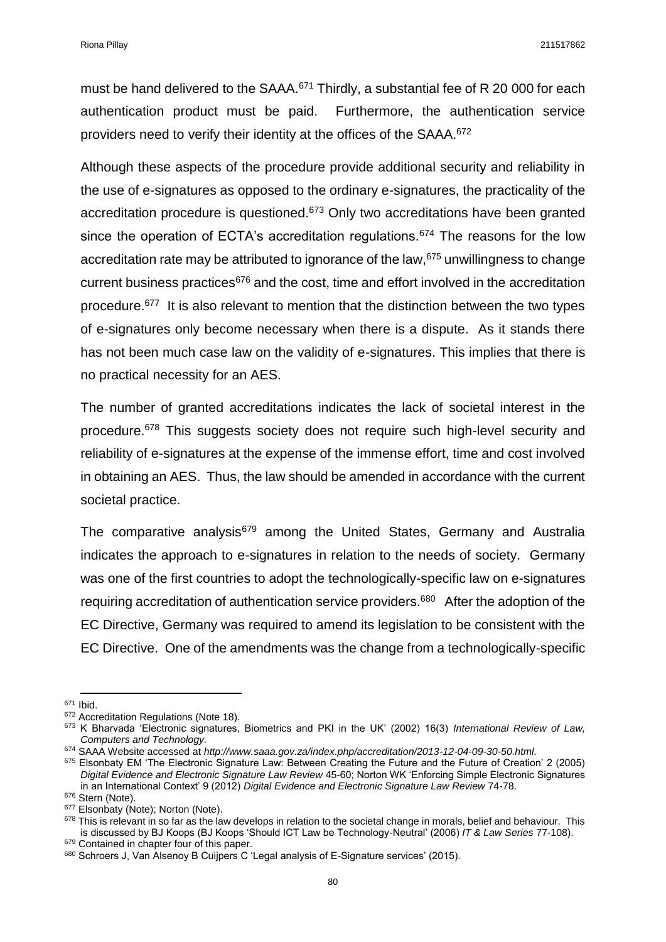must be hand delivered to the SAAA.<sup>671</sup> Thirdly, a substantial fee of R 20 000 for each authentication product must be paid. Furthermore, the authentication service providers need to verify their identity at the offices of the SAAA.<sup>672</sup>

Although these aspects of the procedure provide additional security and reliability in the use of e-signatures as opposed to the ordinary e-signatures, the practicality of the accreditation procedure is questioned.<sup>673</sup> Only two accreditations have been granted since the operation of ECTA's accreditation regulations.<sup>674</sup> The reasons for the low accreditation rate may be attributed to ignorance of the law, <sup>675</sup> unwillingness to change current business practices<sup>676</sup> and the cost, time and effort involved in the accreditation procedure.<sup>677</sup> It is also relevant to mention that the distinction between the two types of e-signatures only become necessary when there is a dispute. As it stands there has not been much case law on the validity of e-signatures. This implies that there is no practical necessity for an AES.

The number of granted accreditations indicates the lack of societal interest in the procedure.<sup>678</sup> This suggests society does not require such high-level security and reliability of e-signatures at the expense of the immense effort, time and cost involved in obtaining an AES. Thus, the law should be amended in accordance with the current societal practice.

The comparative analysis<sup>679</sup> among the United States, Germany and Australia indicates the approach to e-signatures in relation to the needs of society. Germany was one of the first countries to adopt the technologically-specific law on e-signatures requiring accreditation of authentication service providers.<sup>680</sup> After the adoption of the EC Directive, Germany was required to amend its legislation to be consistent with the EC Directive. One of the amendments was the change from a technologically-specific

**<sup>.</sup>** <sup>671</sup> Ibid.

<sup>&</sup>lt;sup>672</sup> Accreditation Regulations (Note 18).

<sup>673</sup> K Bharvada 'Electronic signatures, Biometrics and PKI in the UK' (2002) 16(3) *International Review of Law, Computers and Technology.*

<sup>674</sup> SAAA Website accessed at *http://www.saaa.gov.za/index.php/accreditation/2013-12-04-09-30-50.html.*

 $675$  Elsonbaty EM 'The Electronic Signature Law: Between Creating the Future and the Future of Creation' 2 (2005) *Digital Evidence and Electronic Signature Law Review* 45-60; Norton WK 'Enforcing Simple Electronic Signatures in an International Context' 9 (2012) *Digital Evidence and Electronic Signature Law Review* 74-78.

<sup>676</sup> Stern (Note).

<sup>&</sup>lt;sup>677</sup> Elsonbaty (Note); Norton (Note).

<sup>678</sup> This is relevant in so far as the law develops in relation to the societal change in morals, belief and behaviour. This is discussed by BJ Koops (BJ Koops 'Should ICT Law be Technology-Neutral' (2006) *IT & Law Series* 77-108).

<sup>&</sup>lt;sup>679</sup> Contained in chapter four of this paper.

<sup>680</sup> Schroers J, Van Alsenoy B Cuijpers C 'Legal analysis of E-Signature services' (2015).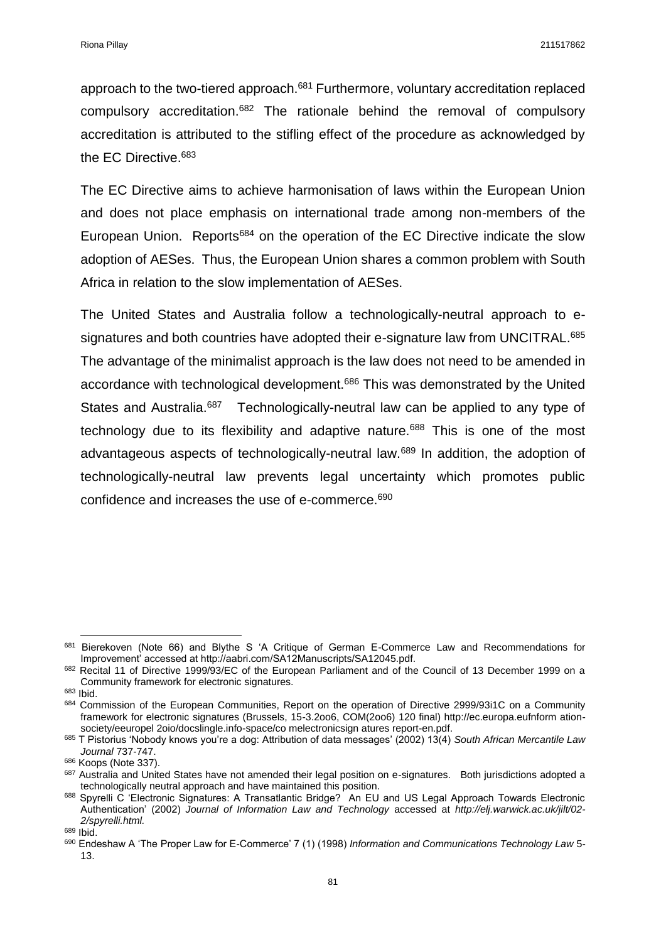approach to the two-tiered approach.<sup>681</sup> Furthermore, voluntary accreditation replaced compulsory accreditation.<sup>682</sup> The rationale behind the removal of compulsory accreditation is attributed to the stifling effect of the procedure as acknowledged by the EC Directive.<sup>683</sup>

The EC Directive aims to achieve harmonisation of laws within the European Union and does not place emphasis on international trade among non-members of the European Union. Reports<sup>684</sup> on the operation of the EC Directive indicate the slow adoption of AESes. Thus, the European Union shares a common problem with South Africa in relation to the slow implementation of AESes.

The United States and Australia follow a technologically-neutral approach to esignatures and both countries have adopted their e-signature law from UNCITRAL.<sup>685</sup> The advantage of the minimalist approach is the law does not need to be amended in accordance with technological development.<sup>686</sup> This was demonstrated by the United States and Australia.<sup>687</sup> Technologically-neutral law can be applied to any type of technology due to its flexibility and adaptive nature.<sup>688</sup> This is one of the most advantageous aspects of technologically-neutral law.<sup>689</sup> In addition, the adoption of technologically-neutral law prevents legal uncertainty which promotes public confidence and increases the use of e-commerce.<sup>690</sup>

**.** 

<sup>681</sup> Bierekoven (Note 66) and Blythe S 'A Critique of German E-Commerce Law and Recommendations for Improvement' accessed at http://aabri.com/SA12Manuscripts/SA12045.pdf.

<sup>&</sup>lt;sup>682</sup> Recital 11 of Directive 1999/93/EC of the European Parliament and of the Council of 13 December 1999 on a Community framework for electronic signatures.

<sup>683</sup> Ibid.

<sup>684</sup> Commission of the European Communities, Report on the operation of Directive 2999/93i1C on a Community framework for electronic signatures (Brussels, 15-3.2oo6, COM(2oo6) 120 final) http://ec.europa.eufnform ationsociety/eeuropel 2oio/docslingle.info-space/co melectronicsign atures report-en.pdf.

<sup>685</sup> T Pistorius 'Nobody knows you're a dog: Attribution of data messages' (2002) 13(4) *South African Mercantile Law Journal* 737-747.

<sup>686</sup> Koops (Note 337).

<sup>687</sup> Australia and United States have not amended their legal position on e-signatures. Both jurisdictions adopted a technologically neutral approach and have maintained this position.

<sup>688</sup> Spyrelli C 'Electronic Signatures: A Transatlantic Bridge? An EU and US Legal Approach Towards Electronic Authentication' (2002) *Journal of Information Law and Technology* accessed at *http://elj.warwick.ac.uk/jilt/02- 2/spyrelli.html.*

<sup>689</sup> Ibid.

<sup>690</sup> Endeshaw A 'The Proper Law for E-Commerce' 7 (1) (1998) *Information and Communications Technology Law* 5- 13.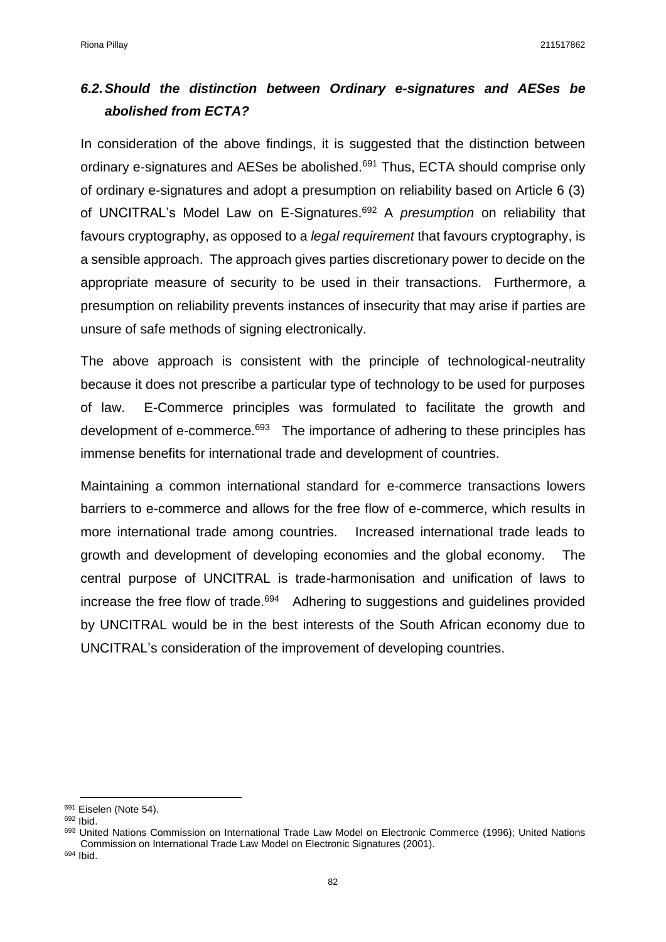# *6.2.Should the distinction between Ordinary e-signatures and AESes be abolished from ECTA?*

In consideration of the above findings, it is suggested that the distinction between ordinary e-signatures and AESes be abolished.<sup>691</sup> Thus, ECTA should comprise only of ordinary e-signatures and adopt a presumption on reliability based on Article 6 (3) of UNCITRAL's Model Law on E-Signatures.<sup>692</sup> A *presumption* on reliability that favours cryptography, as opposed to a *legal requirement* that favours cryptography, is a sensible approach. The approach gives parties discretionary power to decide on the appropriate measure of security to be used in their transactions. Furthermore, a presumption on reliability prevents instances of insecurity that may arise if parties are unsure of safe methods of signing electronically.

The above approach is consistent with the principle of technological-neutrality because it does not prescribe a particular type of technology to be used for purposes of law. E-Commerce principles was formulated to facilitate the growth and development of e-commerce.<sup>693</sup> The importance of adhering to these principles has immense benefits for international trade and development of countries.

Maintaining a common international standard for e-commerce transactions lowers barriers to e-commerce and allows for the free flow of e-commerce, which results in more international trade among countries. Increased international trade leads to growth and development of developing economies and the global economy. The central purpose of UNCITRAL is trade-harmonisation and unification of laws to increase the free flow of trade.<sup>694</sup> Adhering to suggestions and guidelines provided by UNCITRAL would be in the best interests of the South African economy due to UNCITRAL's consideration of the improvement of developing countries.

1

<sup>&</sup>lt;sup>691</sup> Eiselen (Note 54).

<sup>692</sup> Ibid.

<sup>&</sup>lt;sup>693</sup> United Nations Commission on International Trade Law Model on Electronic Commerce (1996); United Nations Commission on International Trade Law Model on Electronic Signatures (2001).

<sup>694</sup> Ibid.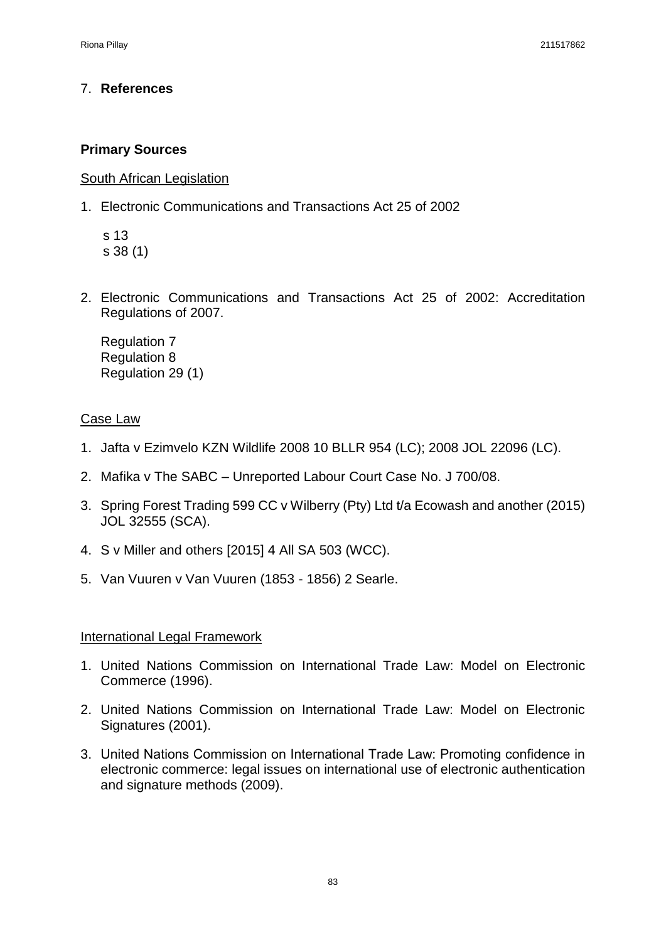# 7. **References**

# **Primary Sources**

South African Legislation

1. Electronic Communications and Transactions Act 25 of 2002

 s 13 s 38 (1)

2. Electronic Communications and Transactions Act 25 of 2002: Accreditation Regulations of 2007.

Regulation 7 Regulation 8 Regulation 29 (1)

## Case Law

- 1. Jafta v Ezimvelo KZN Wildlife 2008 10 BLLR 954 (LC); 2008 JOL 22096 (LC).
- 2. Mafika v The SABC Unreported Labour Court Case No. J 700/08.
- 3. Spring Forest Trading 599 CC v Wilberry (Pty) Ltd t/a Ecowash and another (2015) JOL 32555 (SCA).
- 4. S v Miller and others [2015] 4 All SA 503 (WCC).
- 5. Van Vuuren v Van Vuuren (1853 1856) 2 Searle.

## International Legal Framework

- 1. United Nations Commission on International Trade Law: Model on Electronic Commerce (1996).
- 2. United Nations Commission on International Trade Law: Model on Electronic Signatures (2001).
- 3. United Nations Commission on International Trade Law: Promoting confidence in electronic commerce: legal issues on international use of electronic authentication and signature methods (2009).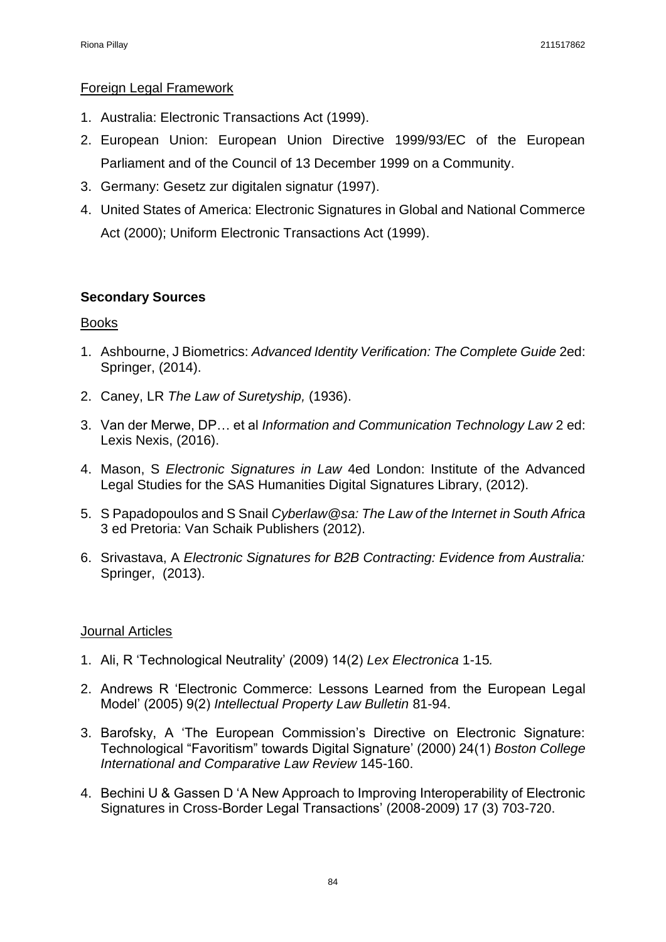#### Foreign Legal Framework

- 1. Australia: Electronic Transactions Act (1999).
- 2. European Union: European Union Directive 1999/93/EC of the European Parliament and of the Council of 13 December 1999 on a Community.
- 3. Germany: Gesetz zur digitalen signatur (1997).
- 4. United States of America: Electronic Signatures in Global and National Commerce Act (2000); Uniform Electronic Transactions Act (1999).

## **Secondary Sources**

#### **Books**

- 1. Ashbourne, J Biometrics: *Advanced Identity Verification: The Complete Guide* 2ed: Springer, (2014).
- 2. Caney, LR *The Law of Suretyship,* (1936).
- 3. Van der Merwe, DP… et al *Information and Communication Technology Law* 2 ed: Lexis Nexis, (2016).
- 4. Mason, S *Electronic Signatures in Law* 4ed London: Institute of the Advanced Legal Studies for the SAS Humanities Digital Signatures Library, (2012).
- 5. S Papadopoulos and S Snail *Cyberlaw@sa: The Law of the Internet in South Africa* 3 ed Pretoria: Van Schaik Publishers (2012).
- 6. Srivastava, A *Electronic Signatures for B2B Contracting: Evidence from Australia:* Springer, (2013).

#### Journal Articles

- 1. Ali, R 'Technological Neutrality' (2009) 14(2) *Lex Electronica* 1-15*.*
- 2. Andrews R 'Electronic Commerce: Lessons Learned from the European Legal Model' (2005) 9(2) *Intellectual Property Law Bulletin* 81-94.
- 3. Barofsky, A 'The European Commission's Directive on Electronic Signature: Technological "Favoritism" towards Digital Signature' (2000) 24(1) *Boston College International and Comparative Law Review* 145-160.
- 4. Bechini U & Gassen D 'A New Approach to Improving Interoperability of Electronic Signatures in Cross-Border Legal Transactions' (2008-2009) 17 (3) 703-720.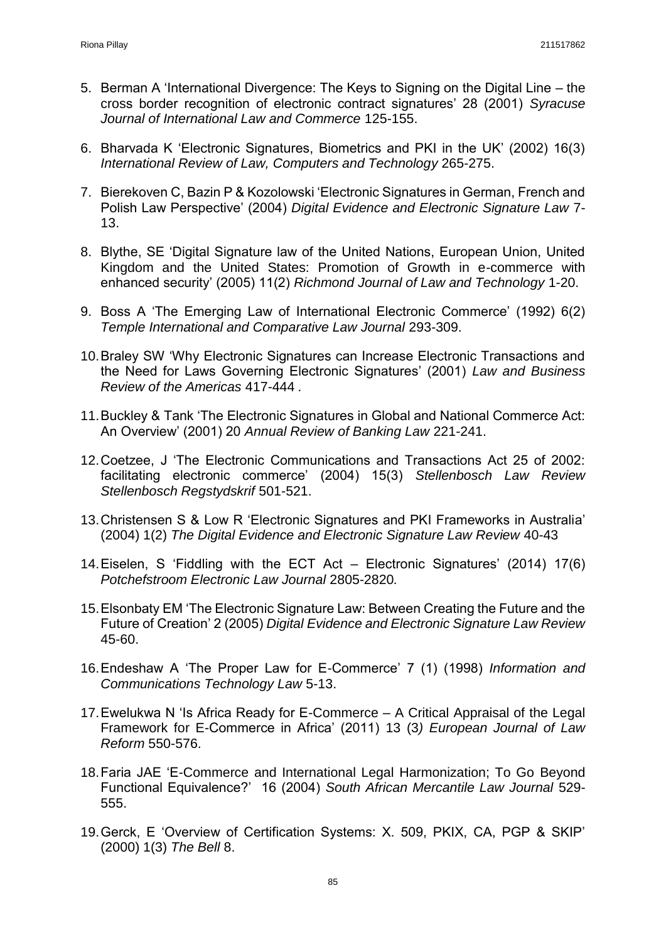- 5. Berman A 'International Divergence: The Keys to Signing on the Digital Line the cross border recognition of electronic contract signatures' 28 (2001) *Syracuse Journal of International Law and Commerce* 125-155.
- 6. Bharvada K 'Electronic Signatures, Biometrics and PKI in the UK' (2002) 16(3) *International Review of Law, Computers and Technology* 265-275.
- 7. Bierekoven C, Bazin P & Kozolowski 'Electronic Signatures in German, French and Polish Law Perspective' (2004) *Digital Evidence and Electronic Signature Law* 7- 13.
- 8. Blythe, SE 'Digital Signature law of the United Nations, European Union, United Kingdom and the United States: Promotion of Growth in e-commerce with enhanced security' (2005) 11(2) *Richmond Journal of Law and Technology* 1-20.
- 9. Boss A 'The Emerging Law of International Electronic Commerce' (1992) 6(2) *Temple International and Comparative Law Journal* 293-309.
- 10.Braley SW 'Why Electronic Signatures can Increase Electronic Transactions and the Need for Laws Governing Electronic Signatures' (2001) *Law and Business Review of the Americas* 417-444 *.*
- 11.Buckley & Tank 'The Electronic Signatures in Global and National Commerce Act: An Overview' (2001) 20 *Annual Review of Banking Law* 221-241.
- 12.Coetzee, J 'The Electronic Communications and Transactions Act 25 of 2002: facilitating electronic commerce' (2004) 15(3) *Stellenbosch Law Review Stellenbosch Regstydskrif* 501-521.
- 13.Christensen S & Low R 'Electronic Signatures and PKI Frameworks in Australia' (2004) 1(2) *The Digital Evidence and Electronic Signature Law Review* 40-43
- 14.Eiselen, S 'Fiddling with the ECT Act Electronic Signatures' (2014) 17(6) *Potchefstroom Electronic Law Journal* 2805-2820*.*
- 15.Elsonbaty EM 'The Electronic Signature Law: Between Creating the Future and the Future of Creation' 2 (2005) *Digital Evidence and Electronic Signature Law Review* 45-60.
- 16.Endeshaw A 'The Proper Law for E-Commerce' 7 (1) (1998) *Information and Communications Technology Law* 5-13.
- 17.Ewelukwa N 'Is Africa Ready for E-Commerce A Critical Appraisal of the Legal Framework for E-Commerce in Africa' (2011) 13 (3*) European Journal of Law Reform* 550-576.
- 18.Faria JAE 'E-Commerce and International Legal Harmonization; To Go Beyond Functional Equivalence?' 16 (2004) *South African Mercantile Law Journal* 529- 555.
- 19.Gerck, E 'Overview of Certification Systems: X. 509, PKIX, CA, PGP & SKIP' (2000) 1(3) *The Bell* 8.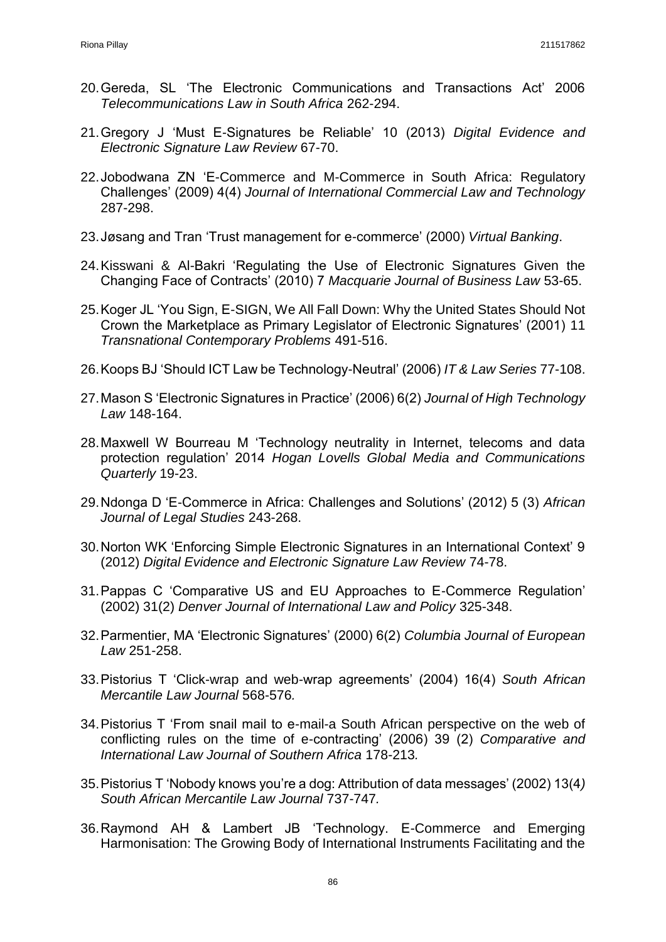- 20.Gereda, SL 'The Electronic Communications and Transactions Act' 2006 *Telecommunications Law in South Africa* 262-294.
- 21.Gregory J 'Must E-Signatures be Reliable' 10 (2013) *Digital Evidence and Electronic Signature Law Review* 67-70.
- 22.Jobodwana ZN 'E-Commerce and M-Commerce in South Africa: Regulatory Challenges' (2009) 4(4) *Journal of International Commercial Law and Technology* 287-298.
- 23.Jøsang and Tran 'Trust management for e-commerce' (2000) *Virtual Banking*.
- 24.Kisswani & Al-Bakri 'Regulating the Use of Electronic Signatures Given the Changing Face of Contracts' (2010) 7 *Macquarie Journal of Business Law* 53-65.
- 25.Koger JL 'You Sign, E-SIGN, We All Fall Down: Why the United States Should Not Crown the Marketplace as Primary Legislator of Electronic Signatures' (2001) 11 *Transnational Contemporary Problems* 491-516.
- 26.Koops BJ 'Should ICT Law be Technology-Neutral' (2006) *IT & Law Series* 77-108.
- 27.Mason S 'Electronic Signatures in Practice' (2006) 6(2) *Journal of High Technology Law* 148-164.
- 28.Maxwell W Bourreau M 'Technology neutrality in Internet, telecoms and data protection regulation' 2014 *Hogan Lovells Global Media and Communications Quarterly* 19-23.
- 29.Ndonga D 'E-Commerce in Africa: Challenges and Solutions' (2012) 5 (3) *African Journal of Legal Studies* 243-268.
- 30.Norton WK 'Enforcing Simple Electronic Signatures in an International Context' 9 (2012) *Digital Evidence and Electronic Signature Law Review* 74-78.
- 31.Pappas C 'Comparative US and EU Approaches to E-Commerce Regulation' (2002) 31(2) *Denver Journal of International Law and Policy* 325-348.
- 32.Parmentier, MA 'Electronic Signatures' (2000) 6(2) *Columbia Journal of European Law* 251-258.
- 33.Pistorius T 'Click-wrap and web-wrap agreements' (2004) 16(4) *South African Mercantile Law Journal* 568-576*.*
- 34.Pistorius T 'From snail mail to e-mail-a South African perspective on the web of conflicting rules on the time of e-contracting' (2006) 39 (2) *Comparative and International Law Journal of Southern Africa* 178-213*.*
- 35.Pistorius T 'Nobody knows you're a dog: Attribution of data messages' (2002) 13(4*) South African Mercantile Law Journal* 737-747*.*
- 36.Raymond AH & Lambert JB 'Technology. E-Commerce and Emerging Harmonisation: The Growing Body of International Instruments Facilitating and the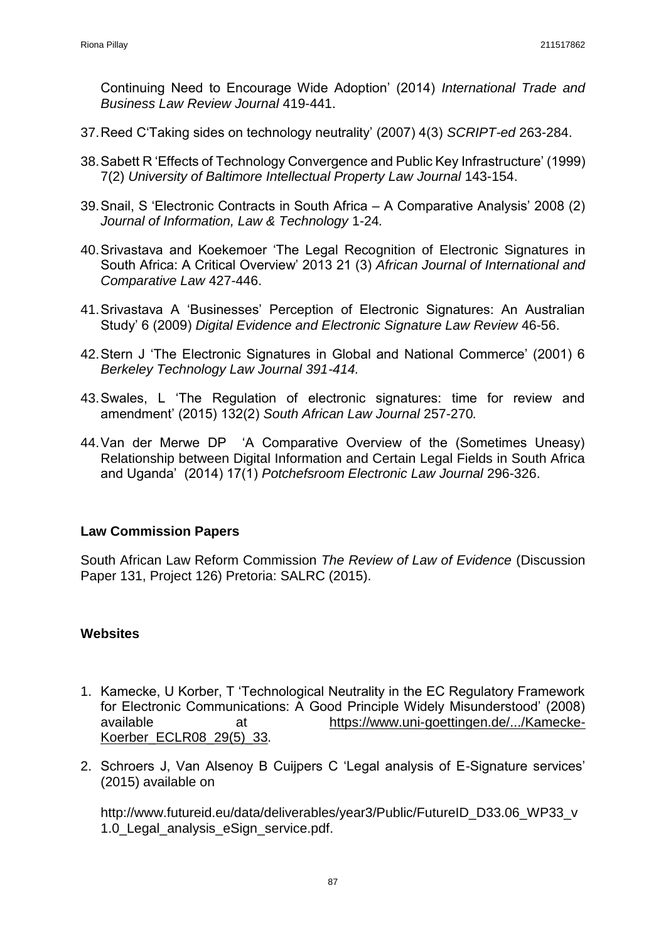Continuing Need to Encourage Wide Adoption' (2014) *International Trade and Business Law Review Journal* 419-441.

- 37.Reed C'Taking sides on technology neutrality' (2007) 4(3) *SCRIPT-ed* 263-284.
- 38.Sabett R 'Effects of Technology Convergence and Public Key Infrastructure' (1999) 7(2) *University of Baltimore Intellectual Property Law Journal* 143-154.
- 39.Snail, S 'Electronic Contracts in South Africa A Comparative Analysis' 2008 (2) *Journal of Information, Law & Technology* 1-24*.*
- 40.Srivastava and Koekemoer 'The Legal Recognition of Electronic Signatures in South Africa: A Critical Overview' 2013 21 (3) *African Journal of International and Comparative Law* 427-446.
- 41.Srivastava A 'Businesses' Perception of Electronic Signatures: An Australian Study' 6 (2009) *Digital Evidence and Electronic Signature Law Review* 46-56.
- 42.Stern J 'The Electronic Signatures in Global and National Commerce' (2001) 6 *Berkeley Technology Law Journal 391-414.*
- 43.Swales, L 'The Regulation of electronic signatures: time for review and amendment' (2015) 132(2) *South African Law Journal* 257-270*.*
- 44.Van der Merwe DP 'A Comparative Overview of the (Sometimes Uneasy) Relationship between Digital Information and Certain Legal Fields in South Africa and Uganda' (2014) 17(1) *Potchefsroom Electronic Law Journal* 296-326.

## **Law Commission Papers**

South African Law Reform Commission *The Review of Law of Evidence* (Discussion Paper 131, Project 126) Pretoria: SALRC (2015).

# **Websites**

- 1. Kamecke, U Korber, T 'Technological Neutrality in the EC Regulatory Framework for Electronic Communications: A Good Principle Widely Misunderstood' (2008) available at [https://www.uni-goettingen.de/.../Kamecke-](https://www.uni-goettingen.de/.../Kamecke-Koerber_ECLR08_29(5)_33)[Koerber\\_ECLR08\\_29\(5\)\\_33](https://www.uni-goettingen.de/.../Kamecke-Koerber_ECLR08_29(5)_33)*.*
- 2. Schroers J, Van Alsenoy B Cuijpers C 'Legal analysis of E-Signature services' (2015) available on

http://www.futureid.eu/data/deliverables/year3/Public/FutureID\_D33.06\_WP33\_v 1.0 Legal analysis eSign service.pdf.